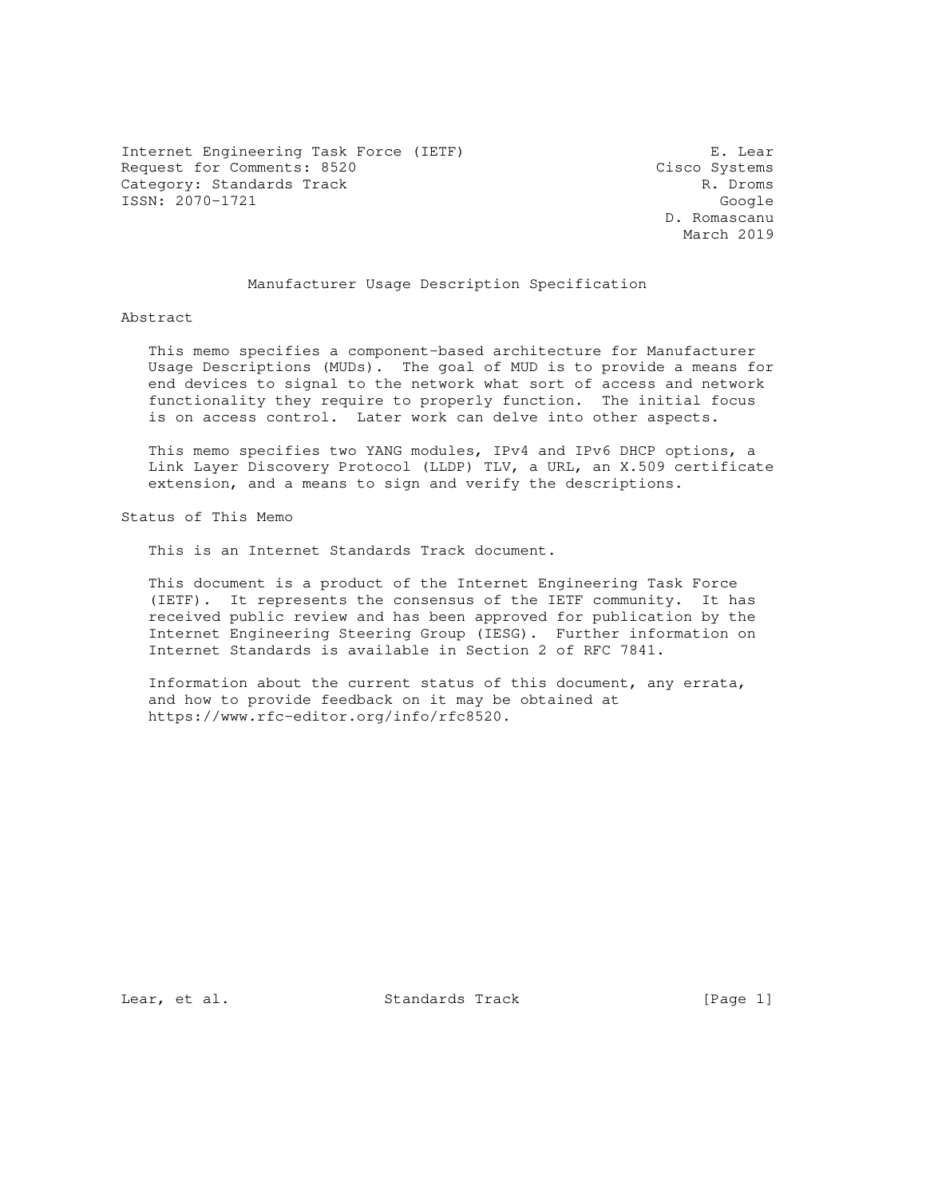Internet Engineering Task Force (IETF) E. Lear Request for Comments: 8520 Cisco Systems Category: Standards Track R. Droms ISSN: 2070-1721 Google

 D. Romascanu March 2019

# Manufacturer Usage Description Specification

## Abstract

 This memo specifies a component-based architecture for Manufacturer Usage Descriptions (MUDs). The goal of MUD is to provide a means for end devices to signal to the network what sort of access and network functionality they require to properly function. The initial focus is on access control. Later work can delve into other aspects.

 This memo specifies two YANG modules, IPv4 and IPv6 DHCP options, a Link Layer Discovery Protocol (LLDP) TLV, a URL, an X.509 certificate extension, and a means to sign and verify the descriptions.

Status of This Memo

This is an Internet Standards Track document.

 This document is a product of the Internet Engineering Task Force (IETF). It represents the consensus of the IETF community. It has received public review and has been approved for publication by the Internet Engineering Steering Group (IESG). Further information on Internet Standards is available in Section 2 of RFC 7841.

 Information about the current status of this document, any errata, and how to provide feedback on it may be obtained at https://www.rfc-editor.org/info/rfc8520.

Lear, et al. Standards Track [Page 1]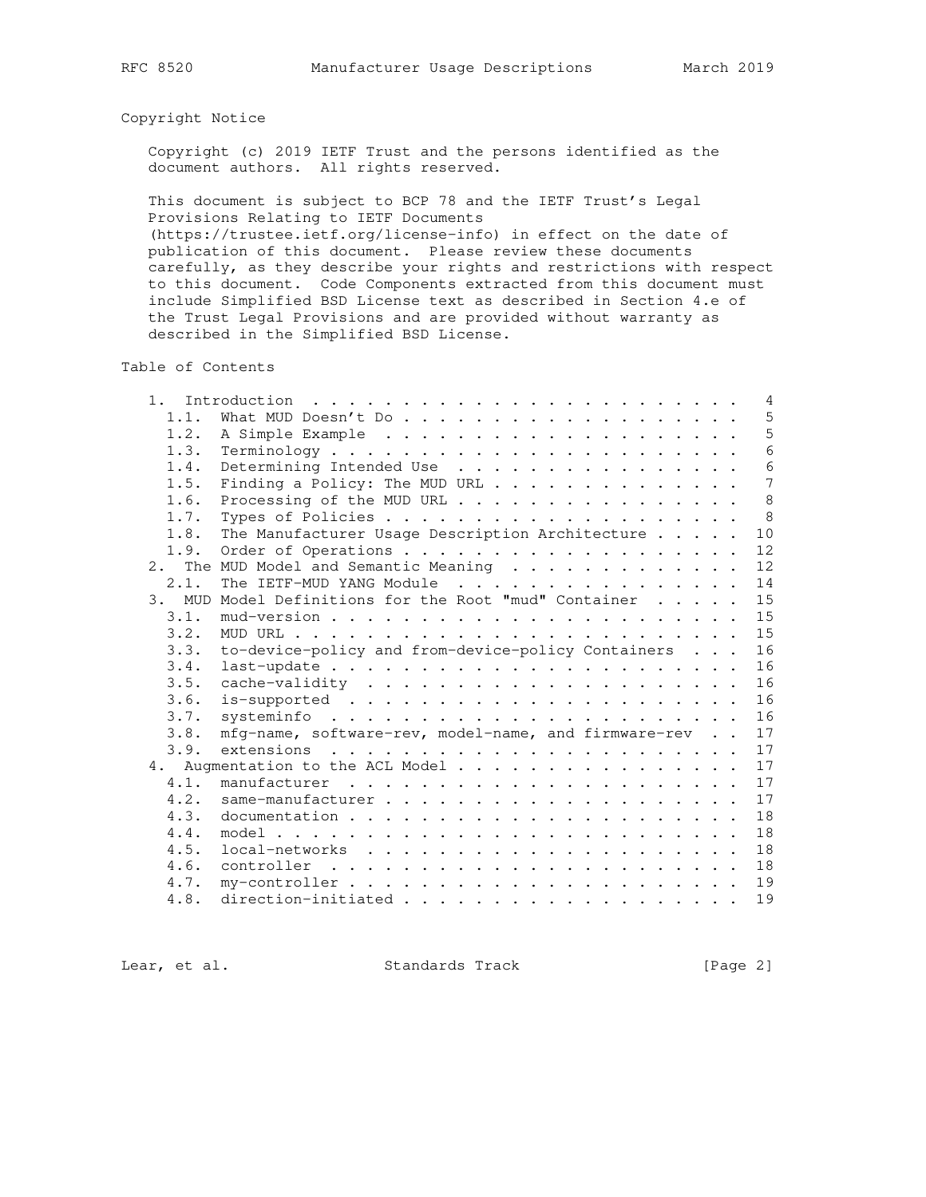# Copyright Notice

 Copyright (c) 2019 IETF Trust and the persons identified as the document authors. All rights reserved.

 This document is subject to BCP 78 and the IETF Trust's Legal Provisions Relating to IETF Documents

 (https://trustee.ietf.org/license-info) in effect on the date of publication of this document. Please review these documents carefully, as they describe your rights and restrictions with respect to this document. Code Components extracted from this document must include Simplified BSD License text as described in Section 4.e of the Trust Legal Provisions and are provided without warranty as described in the Simplified BSD License.

Table of Contents

| 1. |      |                                                      |  | 4    |
|----|------|------------------------------------------------------|--|------|
|    | 1.1. | What MUD Doesn't Do                                  |  | 5    |
|    | 1.2. |                                                      |  | 5    |
|    | 1.3. |                                                      |  | 6    |
|    | 1.4. | Determining Intended Use                             |  | 6    |
|    | 1.5. | Finding a Policy: The MUD URL                        |  | 7    |
|    | 1.6. | Processing of the MUD URL                            |  | 8    |
|    | 1.7. |                                                      |  | 8    |
|    | 1.8. | The Manufacturer Usage Description Architecture      |  | $10$ |
|    | 1.9. |                                                      |  | 12   |
| 2. |      | The MUD Model and Semantic Meaning                   |  | 12   |
|    | 2.1. | The IETF-MUD YANG Module                             |  | 14   |
| 3. |      | MUD Model Definitions for the Root "mud" Container   |  | 15   |
|    | 3.1. |                                                      |  | 15   |
|    | 3.2. |                                                      |  | 15   |
|    | 3.3. | to-device-policy and from-device-policy Containers   |  | 16   |
|    | 3.4. |                                                      |  | 16   |
|    | 3.5. |                                                      |  | 16   |
|    | 3.6. |                                                      |  | 16   |
|    | 3.7. |                                                      |  | 16   |
|    | 3.8. | mfg-name, software-rev, model-name, and firmware-rev |  | 17   |
|    | 3.9. |                                                      |  | 17   |
| 4. |      |                                                      |  | 17   |
|    | 4.1. | Augmentation to the ACL Model                        |  | 17   |
|    |      |                                                      |  |      |
|    | 4.2. |                                                      |  | 17   |
|    | 4.3. |                                                      |  | 18   |
|    | 4.4. |                                                      |  | 18   |
|    | 4.5. |                                                      |  | 18   |
|    | 4.6. | controller                                           |  | 18   |
|    | 4.7. |                                                      |  | 19   |
|    | 4.8. |                                                      |  | 19   |

Lear, et al. Standards Track [Page 2]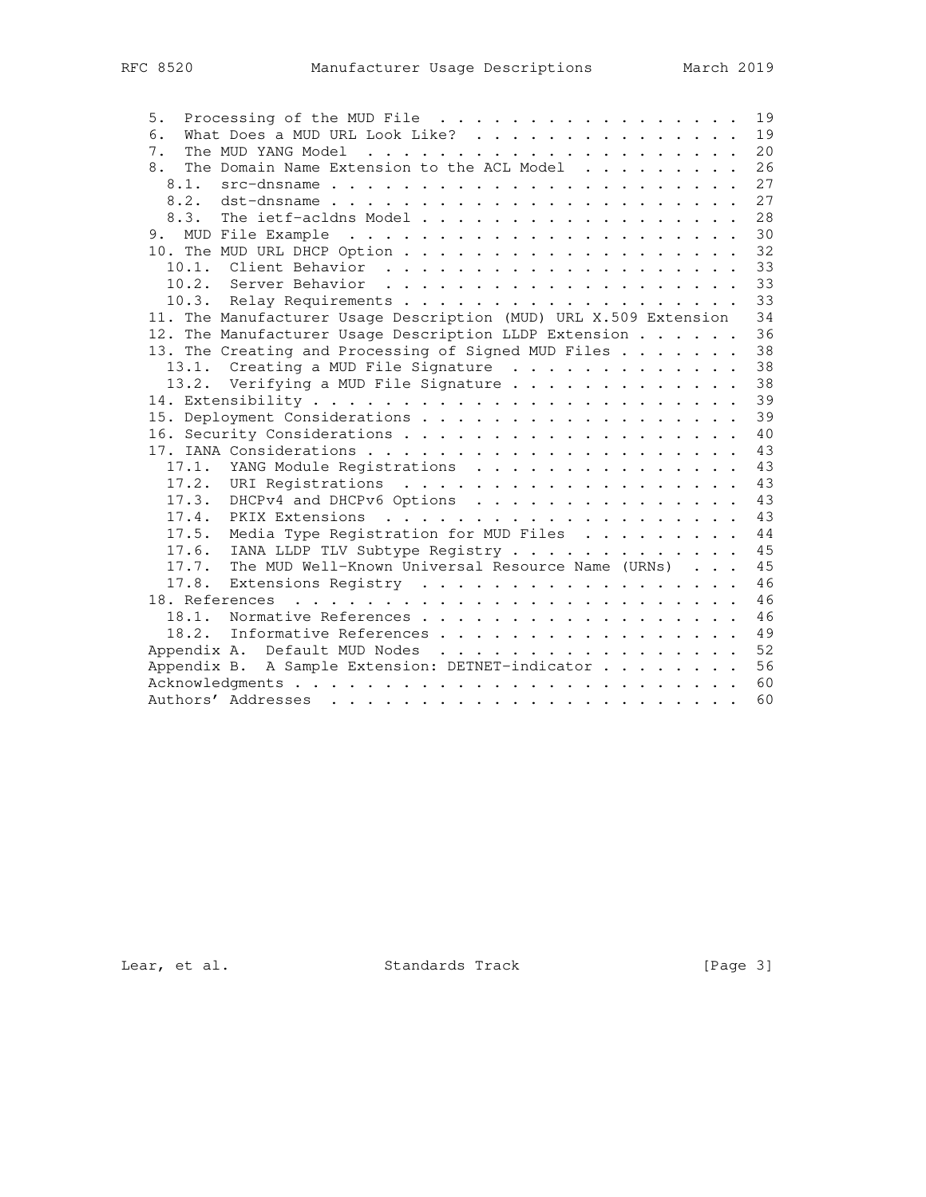| Processing of the MUD File<br>5.                                 | 19 |
|------------------------------------------------------------------|----|
| What Does a MUD URL Look Like?<br>6.                             | 19 |
| 7.                                                               | 20 |
| The Domain Name Extension to the ACL Model<br>8.                 | 26 |
| 8.1.                                                             | 27 |
| 8.2. dst-dnsname                                                 | 27 |
| 8.3.<br>The ietf-acldns Model                                    | 28 |
|                                                                  | 30 |
|                                                                  | 32 |
|                                                                  | 33 |
|                                                                  | 33 |
|                                                                  | 33 |
| 11. The Manufacturer Usage Description (MUD) URL X.509 Extension | 34 |
| 12. The Manufacturer Usage Description LLDP Extension            | 36 |
| 13. The Creating and Processing of Signed MUD Files              | 38 |
| 13.1. Creating a MUD File Signature                              | 38 |
| 13.2. Verifying a MUD File Signature                             | 38 |
|                                                                  | 39 |
|                                                                  | 39 |
|                                                                  | 40 |
|                                                                  | 43 |
| 17.1. YANG Module Registrations                                  | 43 |
|                                                                  | 43 |
| 17.3. DHCPv4 and DHCPv6 Options                                  | 43 |
|                                                                  | 43 |
| 17.5. Media Type Registration for MUD Files                      | 44 |
| 17.6. IANA LLDP TLV Subtype Registry                             | 45 |
| 17.7. The MUD Well-Known Universal Resource Name (URNs)          | 45 |
| 17.8. Extensions Registry                                        | 46 |
|                                                                  | 46 |
| 18.1.<br>Normative References                                    | 46 |
| 18.2. Informative References                                     | 49 |
| Appendix A. Default MUD Nodes                                    | 52 |
| Appendix B. A Sample Extension: DETNET-indicator                 | 56 |
|                                                                  | 60 |
|                                                                  | 60 |
|                                                                  |    |

Lear, et al. Standards Track [Page 3]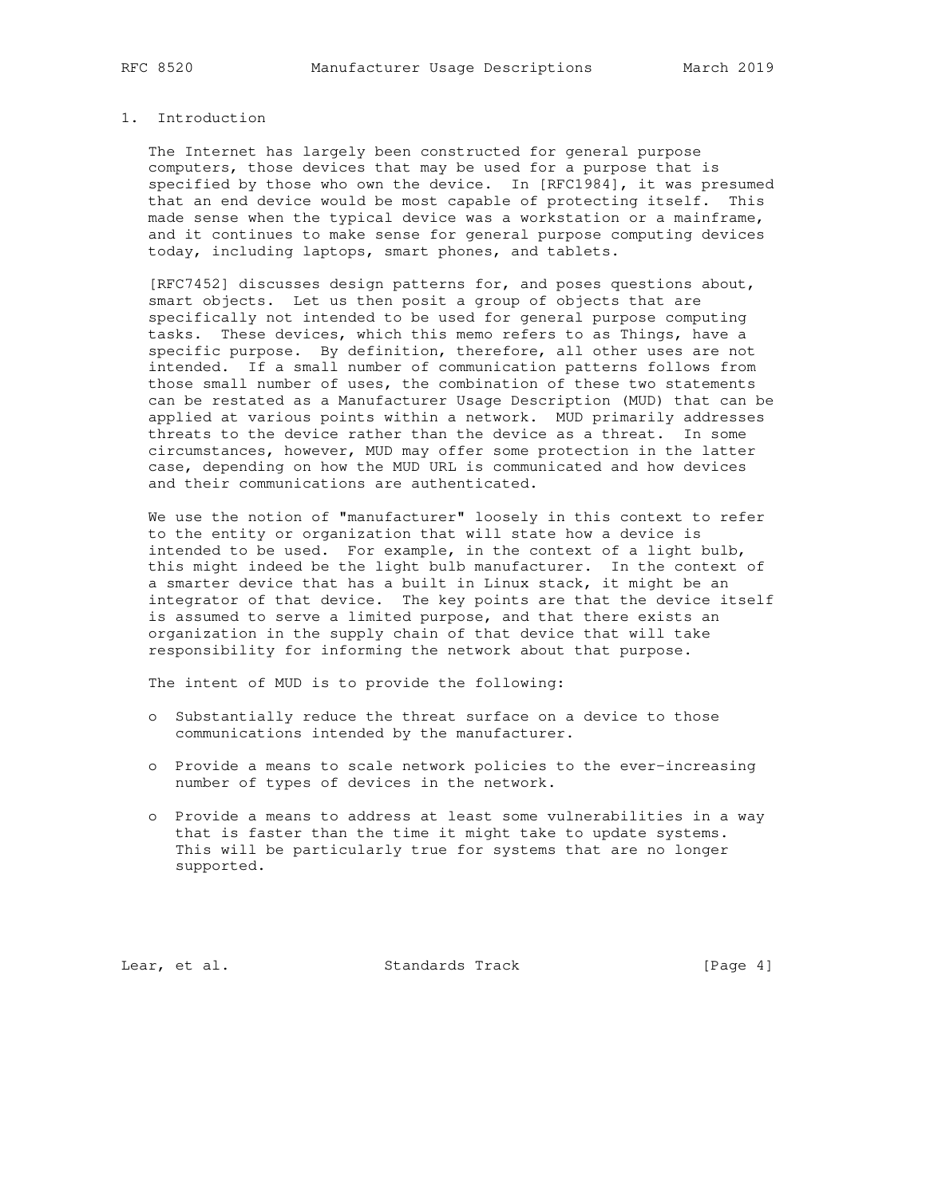# 1. Introduction

 The Internet has largely been constructed for general purpose computers, those devices that may be used for a purpose that is specified by those who own the device. In [RFC1984], it was presumed that an end device would be most capable of protecting itself. This made sense when the typical device was a workstation or a mainframe, and it continues to make sense for general purpose computing devices today, including laptops, smart phones, and tablets.

 [RFC7452] discusses design patterns for, and poses questions about, smart objects. Let us then posit a group of objects that are specifically not intended to be used for general purpose computing tasks. These devices, which this memo refers to as Things, have a specific purpose. By definition, therefore, all other uses are not intended. If a small number of communication patterns follows from those small number of uses, the combination of these two statements can be restated as a Manufacturer Usage Description (MUD) that can be applied at various points within a network. MUD primarily addresses threats to the device rather than the device as a threat. In some circumstances, however, MUD may offer some protection in the latter case, depending on how the MUD URL is communicated and how devices and their communications are authenticated.

 We use the notion of "manufacturer" loosely in this context to refer to the entity or organization that will state how a device is intended to be used. For example, in the context of a light bulb, this might indeed be the light bulb manufacturer. In the context of a smarter device that has a built in Linux stack, it might be an integrator of that device. The key points are that the device itself is assumed to serve a limited purpose, and that there exists an organization in the supply chain of that device that will take responsibility for informing the network about that purpose.

The intent of MUD is to provide the following:

- o Substantially reduce the threat surface on a device to those communications intended by the manufacturer.
- o Provide a means to scale network policies to the ever-increasing number of types of devices in the network.
- o Provide a means to address at least some vulnerabilities in a way that is faster than the time it might take to update systems. This will be particularly true for systems that are no longer supported.

Lear, et al. Standards Track [Page 4]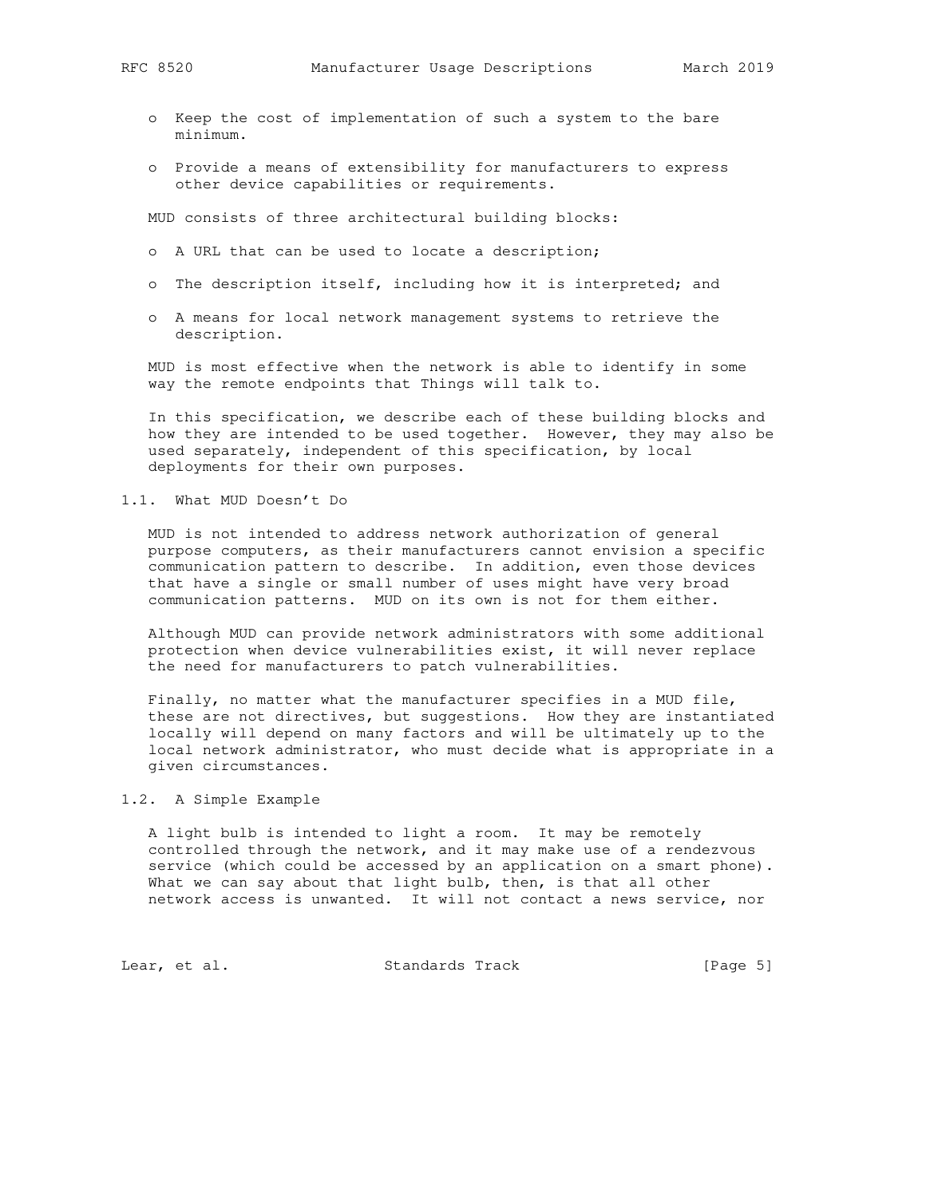- o Keep the cost of implementation of such a system to the bare minimum.
- o Provide a means of extensibility for manufacturers to express other device capabilities or requirements.

MUD consists of three architectural building blocks:

- o A URL that can be used to locate a description;
- o The description itself, including how it is interpreted; and
- o A means for local network management systems to retrieve the description.

 MUD is most effective when the network is able to identify in some way the remote endpoints that Things will talk to.

 In this specification, we describe each of these building blocks and how they are intended to be used together. However, they may also be used separately, independent of this specification, by local deployments for their own purposes.

## 1.1. What MUD Doesn't Do

 MUD is not intended to address network authorization of general purpose computers, as their manufacturers cannot envision a specific communication pattern to describe. In addition, even those devices that have a single or small number of uses might have very broad communication patterns. MUD on its own is not for them either.

 Although MUD can provide network administrators with some additional protection when device vulnerabilities exist, it will never replace the need for manufacturers to patch vulnerabilities.

 Finally, no matter what the manufacturer specifies in a MUD file, these are not directives, but suggestions. How they are instantiated locally will depend on many factors and will be ultimately up to the local network administrator, who must decide what is appropriate in a given circumstances.

# 1.2. A Simple Example

 A light bulb is intended to light a room. It may be remotely controlled through the network, and it may make use of a rendezvous service (which could be accessed by an application on a smart phone). What we can say about that light bulb, then, is that all other network access is unwanted. It will not contact a news service, nor

Lear, et al. Standards Track [Page 5]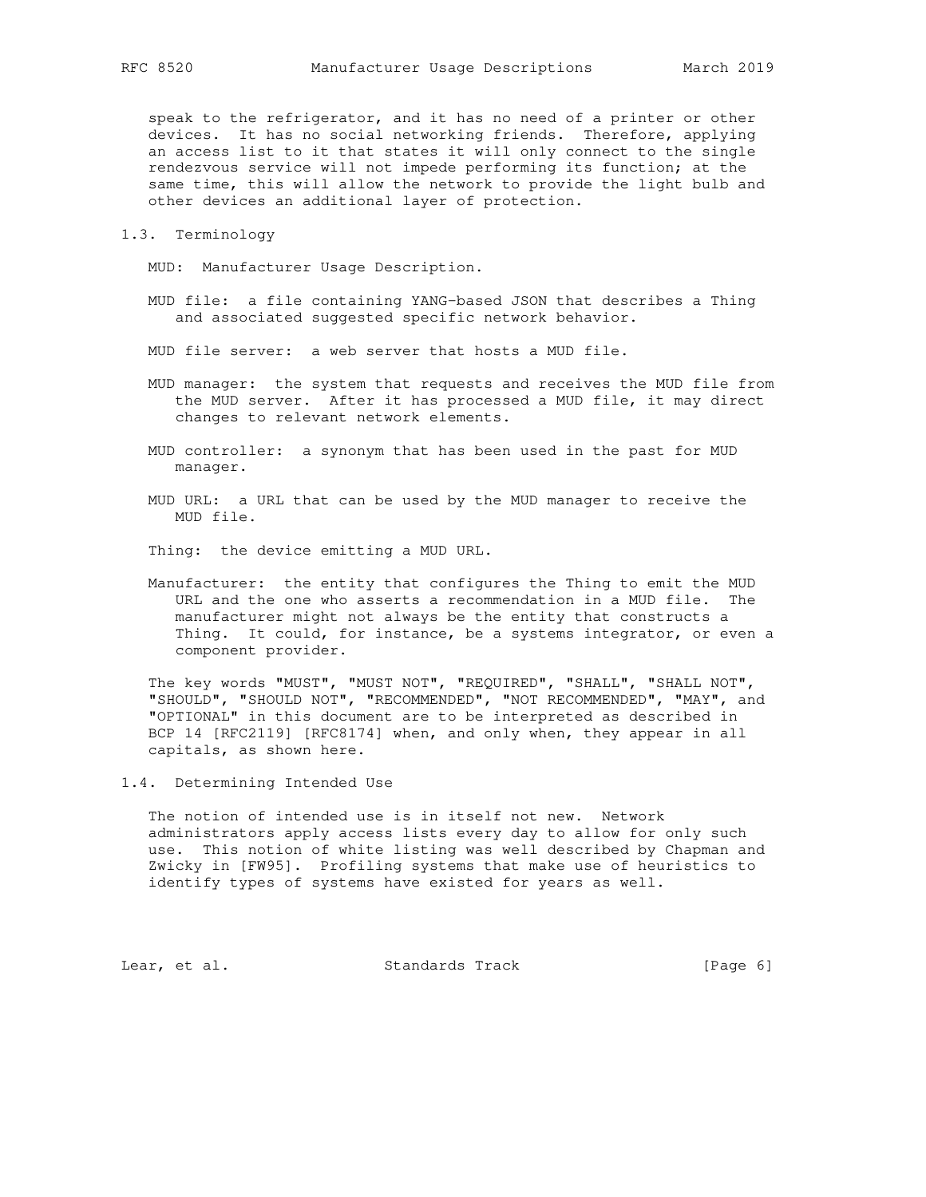speak to the refrigerator, and it has no need of a printer or other devices. It has no social networking friends. Therefore, applying an access list to it that states it will only connect to the single rendezvous service will not impede performing its function; at the same time, this will allow the network to provide the light bulb and other devices an additional layer of protection.

1.3. Terminology

MUD: Manufacturer Usage Description.

 MUD file: a file containing YANG-based JSON that describes a Thing and associated suggested specific network behavior.

MUD file server: a web server that hosts a MUD file.

- MUD manager: the system that requests and receives the MUD file from the MUD server. After it has processed a MUD file, it may direct changes to relevant network elements.
- MUD controller: a synonym that has been used in the past for MUD manager.
- MUD URL: a URL that can be used by the MUD manager to receive the MUD file.

Thing: the device emitting a MUD URL.

 Manufacturer: the entity that configures the Thing to emit the MUD URL and the one who asserts a recommendation in a MUD file. The manufacturer might not always be the entity that constructs a Thing. It could, for instance, be a systems integrator, or even a component provider.

 The key words "MUST", "MUST NOT", "REQUIRED", "SHALL", "SHALL NOT", "SHOULD", "SHOULD NOT", "RECOMMENDED", "NOT RECOMMENDED", "MAY", and "OPTIONAL" in this document are to be interpreted as described in BCP 14 [RFC2119] [RFC8174] when, and only when, they appear in all capitals, as shown here.

1.4. Determining Intended Use

 The notion of intended use is in itself not new. Network administrators apply access lists every day to allow for only such use. This notion of white listing was well described by Chapman and Zwicky in [FW95]. Profiling systems that make use of heuristics to identify types of systems have existed for years as well.

Lear, et al. Standards Track [Page 6]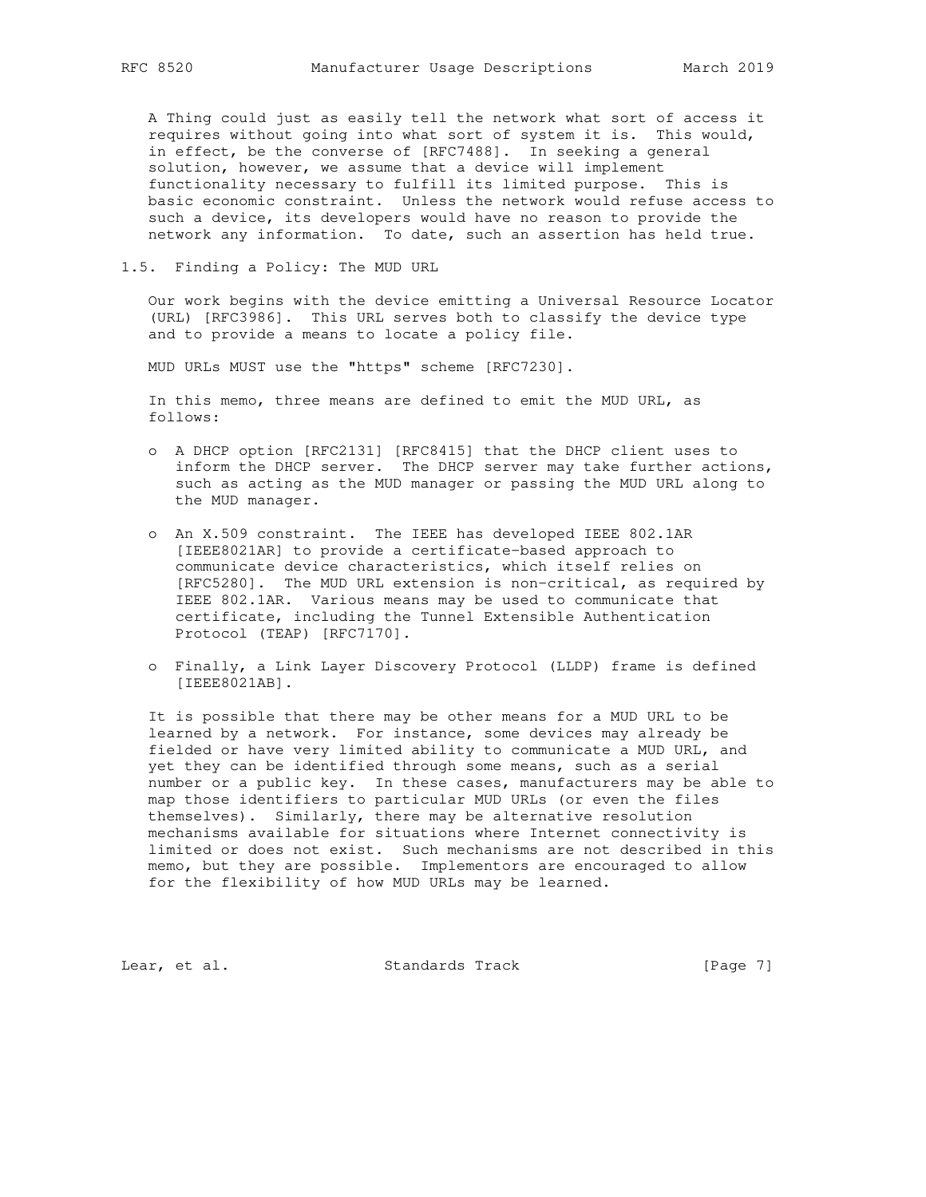A Thing could just as easily tell the network what sort of access it requires without going into what sort of system it is. This would, in effect, be the converse of [RFC7488]. In seeking a general solution, however, we assume that a device will implement functionality necessary to fulfill its limited purpose. This is basic economic constraint. Unless the network would refuse access to such a device, its developers would have no reason to provide the network any information. To date, such an assertion has held true.

1.5. Finding a Policy: The MUD URL

 Our work begins with the device emitting a Universal Resource Locator (URL) [RFC3986]. This URL serves both to classify the device type and to provide a means to locate a policy file.

MUD URLs MUST use the "https" scheme [RFC7230].

 In this memo, three means are defined to emit the MUD URL, as follows:

- o A DHCP option [RFC2131] [RFC8415] that the DHCP client uses to inform the DHCP server. The DHCP server may take further actions, such as acting as the MUD manager or passing the MUD URL along to the MUD manager.
- o An X.509 constraint. The IEEE has developed IEEE 802.1AR [IEEE8021AR] to provide a certificate-based approach to communicate device characteristics, which itself relies on [RFC5280]. The MUD URL extension is non-critical, as required by IEEE 802.1AR. Various means may be used to communicate that certificate, including the Tunnel Extensible Authentication Protocol (TEAP) [RFC7170].
- o Finally, a Link Layer Discovery Protocol (LLDP) frame is defined [IEEE8021AB].

 It is possible that there may be other means for a MUD URL to be learned by a network. For instance, some devices may already be fielded or have very limited ability to communicate a MUD URL, and yet they can be identified through some means, such as a serial number or a public key. In these cases, manufacturers may be able to map those identifiers to particular MUD URLs (or even the files themselves). Similarly, there may be alternative resolution mechanisms available for situations where Internet connectivity is limited or does not exist. Such mechanisms are not described in this memo, but they are possible. Implementors are encouraged to allow for the flexibility of how MUD URLs may be learned.

Lear, et al. Standards Track [Page 7]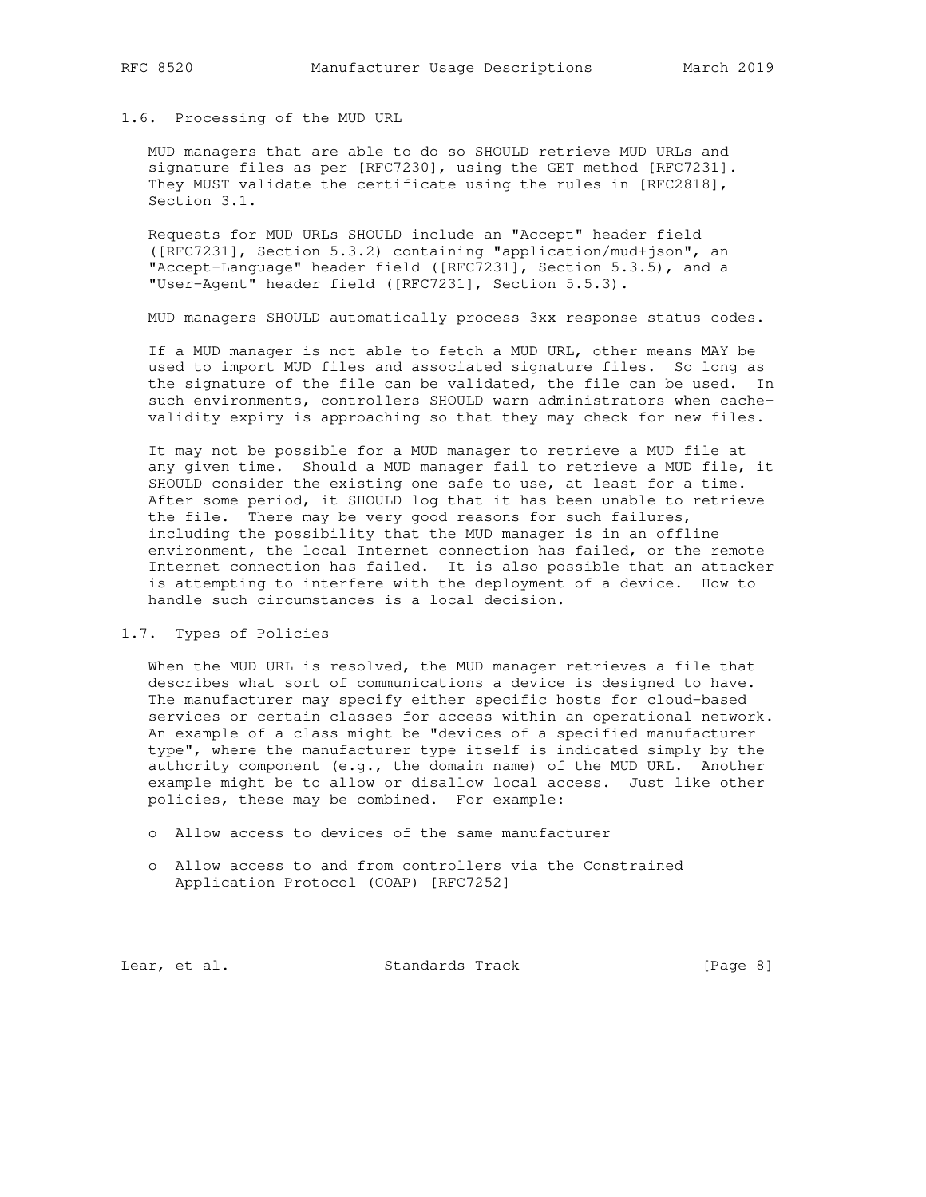# 1.6. Processing of the MUD URL

 MUD managers that are able to do so SHOULD retrieve MUD URLs and signature files as per [RFC7230], using the GET method [RFC7231]. They MUST validate the certificate using the rules in [RFC2818], Section 3.1.

 Requests for MUD URLs SHOULD include an "Accept" header field ([RFC7231], Section 5.3.2) containing "application/mud+json", an "Accept-Language" header field ([RFC7231], Section 5.3.5), and a "User-Agent" header field ([RFC7231], Section 5.5.3).

MUD managers SHOULD automatically process 3xx response status codes.

 If a MUD manager is not able to fetch a MUD URL, other means MAY be used to import MUD files and associated signature files. So long as the signature of the file can be validated, the file can be used. In such environments, controllers SHOULD warn administrators when cache validity expiry is approaching so that they may check for new files.

 It may not be possible for a MUD manager to retrieve a MUD file at any given time. Should a MUD manager fail to retrieve a MUD file, it SHOULD consider the existing one safe to use, at least for a time. After some period, it SHOULD log that it has been unable to retrieve the file. There may be very good reasons for such failures, including the possibility that the MUD manager is in an offline environment, the local Internet connection has failed, or the remote Internet connection has failed. It is also possible that an attacker is attempting to interfere with the deployment of a device. How to handle such circumstances is a local decision.

# 1.7. Types of Policies

 When the MUD URL is resolved, the MUD manager retrieves a file that describes what sort of communications a device is designed to have. The manufacturer may specify either specific hosts for cloud-based services or certain classes for access within an operational network. An example of a class might be "devices of a specified manufacturer type", where the manufacturer type itself is indicated simply by the authority component (e.g., the domain name) of the MUD URL. Another example might be to allow or disallow local access. Just like other policies, these may be combined. For example:

- o Allow access to devices of the same manufacturer
- o Allow access to and from controllers via the Constrained Application Protocol (COAP) [RFC7252]

Lear, et al. Standards Track [Page 8]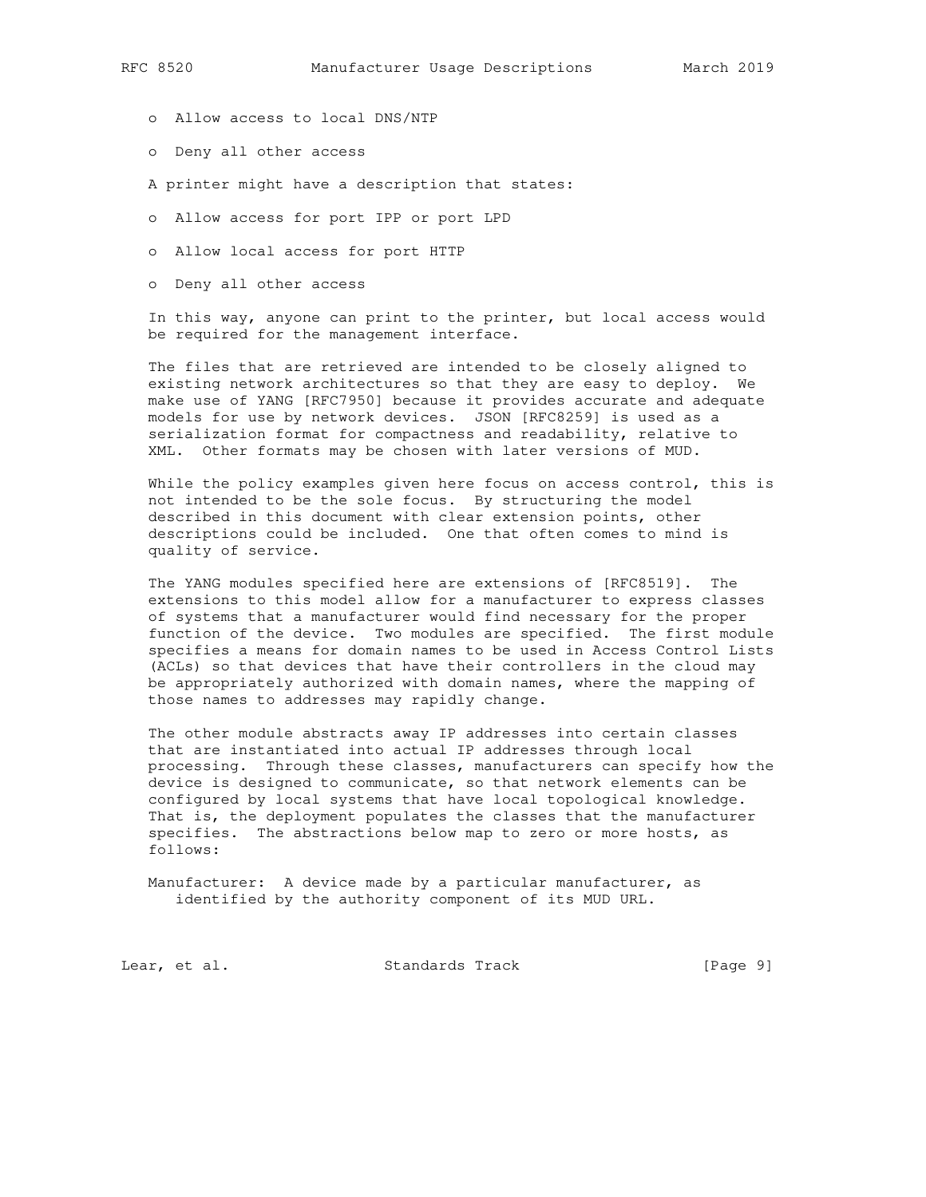- o Allow access to local DNS/NTP
- o Deny all other access
- A printer might have a description that states:
- o Allow access for port IPP or port LPD
- o Allow local access for port HTTP
- o Deny all other access

 In this way, anyone can print to the printer, but local access would be required for the management interface.

 The files that are retrieved are intended to be closely aligned to existing network architectures so that they are easy to deploy. We make use of YANG [RFC7950] because it provides accurate and adequate models for use by network devices. JSON [RFC8259] is used as a serialization format for compactness and readability, relative to XML. Other formats may be chosen with later versions of MUD.

While the policy examples given here focus on access control, this is not intended to be the sole focus. By structuring the model described in this document with clear extension points, other descriptions could be included. One that often comes to mind is quality of service.

 The YANG modules specified here are extensions of [RFC8519]. The extensions to this model allow for a manufacturer to express classes of systems that a manufacturer would find necessary for the proper function of the device. Two modules are specified. The first module specifies a means for domain names to be used in Access Control Lists (ACLs) so that devices that have their controllers in the cloud may be appropriately authorized with domain names, where the mapping of those names to addresses may rapidly change.

 The other module abstracts away IP addresses into certain classes that are instantiated into actual IP addresses through local processing. Through these classes, manufacturers can specify how the device is designed to communicate, so that network elements can be configured by local systems that have local topological knowledge. That is, the deployment populates the classes that the manufacturer specifies. The abstractions below map to zero or more hosts, as follows:

 Manufacturer: A device made by a particular manufacturer, as identified by the authority component of its MUD URL.

Lear, et al. Standards Track [Page 9]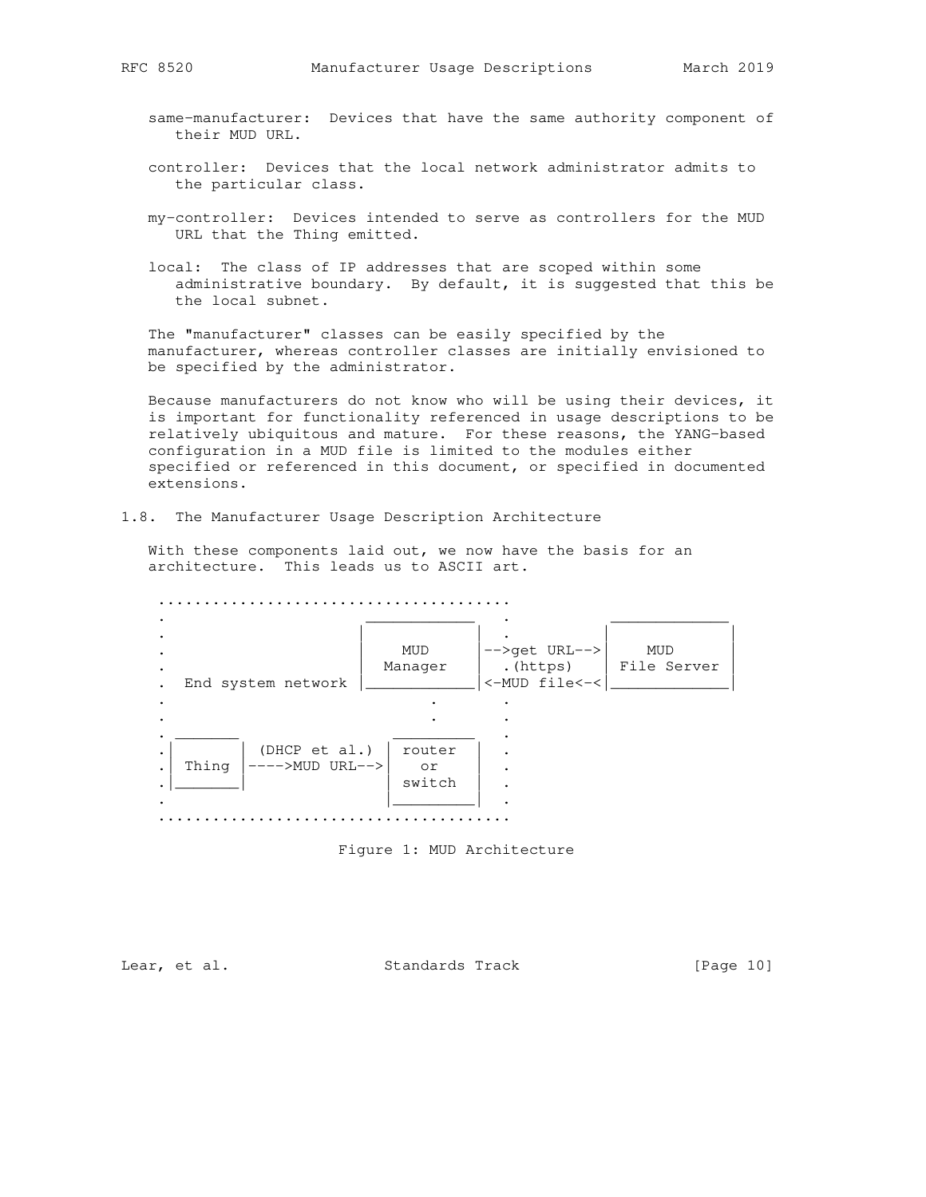- same-manufacturer: Devices that have the same authority component of their MUD URL.
- controller: Devices that the local network administrator admits to the particular class.
- my-controller: Devices intended to serve as controllers for the MUD URL that the Thing emitted.
- local: The class of IP addresses that are scoped within some administrative boundary. By default, it is suggested that this be the local subnet.

 The "manufacturer" classes can be easily specified by the manufacturer, whereas controller classes are initially envisioned to be specified by the administrator.

 Because manufacturers do not know who will be using their devices, it is important for functionality referenced in usage descriptions to be relatively ubiquitous and mature. For these reasons, the YANG-based configuration in a MUD file is limited to the modules either specified or referenced in this document, or specified in documented extensions.

1.8. The Manufacturer Usage Description Architecture

 With these components laid out, we now have the basis for an architecture. This leads us to ASCII art.

 ....................................... . The contribution of the contribution of  $\overline{\mathcal{L}}$  . The contribution of  $\overline{\mathcal{L}}$  . | | . | | . | MUD |-->get URL-->| MUD | . The manager that is the server  $\vert$  . (https) is the Server of the Server is the Server of the Server is the Server of the Server of the Server of the Server of the Server of the Server of the Server of the Server of the . End system network |\_\_\_\_\_\_\_\_\_\_\_\_\_\_|<-MUD file<-<|\_\_\_\_\_\_\_\_\_\_\_\_\_\_\_| . . . . . . . \_\_\_\_\_\_\_ \_\_\_\_\_\_\_\_\_ .  $\blacksquare$   $\blacksquare$   $\blacksquare$  (DHCP et al.)  $\blacksquare$  router  $\blacksquare$  . .| Thing |---->MUD URL-->| or | . . Thing  $\begin{vmatrix} - & - & - \end{vmatrix}$  URL-->  $\begin{vmatrix} 0 & \text{or} \\ \text{switch} & \end{vmatrix}$ . . |\_\_\_\_\_\_\_\_\_| . .......................................



Lear, et al. Standards Track [Page 10]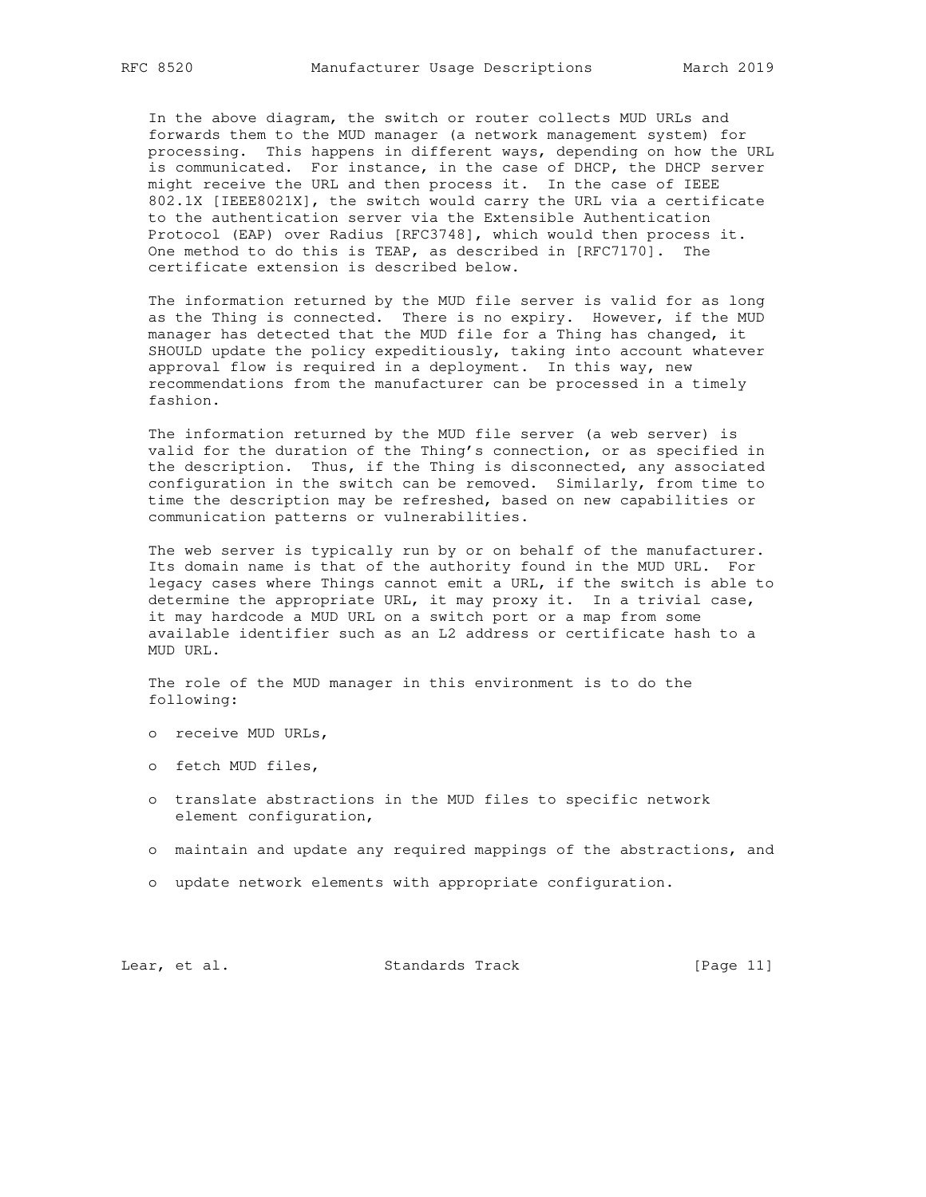In the above diagram, the switch or router collects MUD URLs and forwards them to the MUD manager (a network management system) for processing. This happens in different ways, depending on how the URL is communicated. For instance, in the case of DHCP, the DHCP server might receive the URL and then process it. In the case of IEEE 802.1X [IEEE8021X], the switch would carry the URL via a certificate to the authentication server via the Extensible Authentication Protocol (EAP) over Radius [RFC3748], which would then process it. One method to do this is TEAP, as described in [RFC7170]. The certificate extension is described below.

 The information returned by the MUD file server is valid for as long as the Thing is connected. There is no expiry. However, if the MUD manager has detected that the MUD file for a Thing has changed, it SHOULD update the policy expeditiously, taking into account whatever approval flow is required in a deployment. In this way, new recommendations from the manufacturer can be processed in a timely fashion.

 The information returned by the MUD file server (a web server) is valid for the duration of the Thing's connection, or as specified in the description. Thus, if the Thing is disconnected, any associated configuration in the switch can be removed. Similarly, from time to time the description may be refreshed, based on new capabilities or communication patterns or vulnerabilities.

 The web server is typically run by or on behalf of the manufacturer. Its domain name is that of the authority found in the MUD URL. For legacy cases where Things cannot emit a URL, if the switch is able to determine the appropriate URL, it may proxy it. In a trivial case, it may hardcode a MUD URL on a switch port or a map from some available identifier such as an L2 address or certificate hash to a MUD URL.

 The role of the MUD manager in this environment is to do the following:

- o receive MUD URLs,
- o fetch MUD files,
- o translate abstractions in the MUD files to specific network element configuration,
- o maintain and update any required mappings of the abstractions, and
- o update network elements with appropriate configuration.

Lear, et al. Standards Track [Page 11]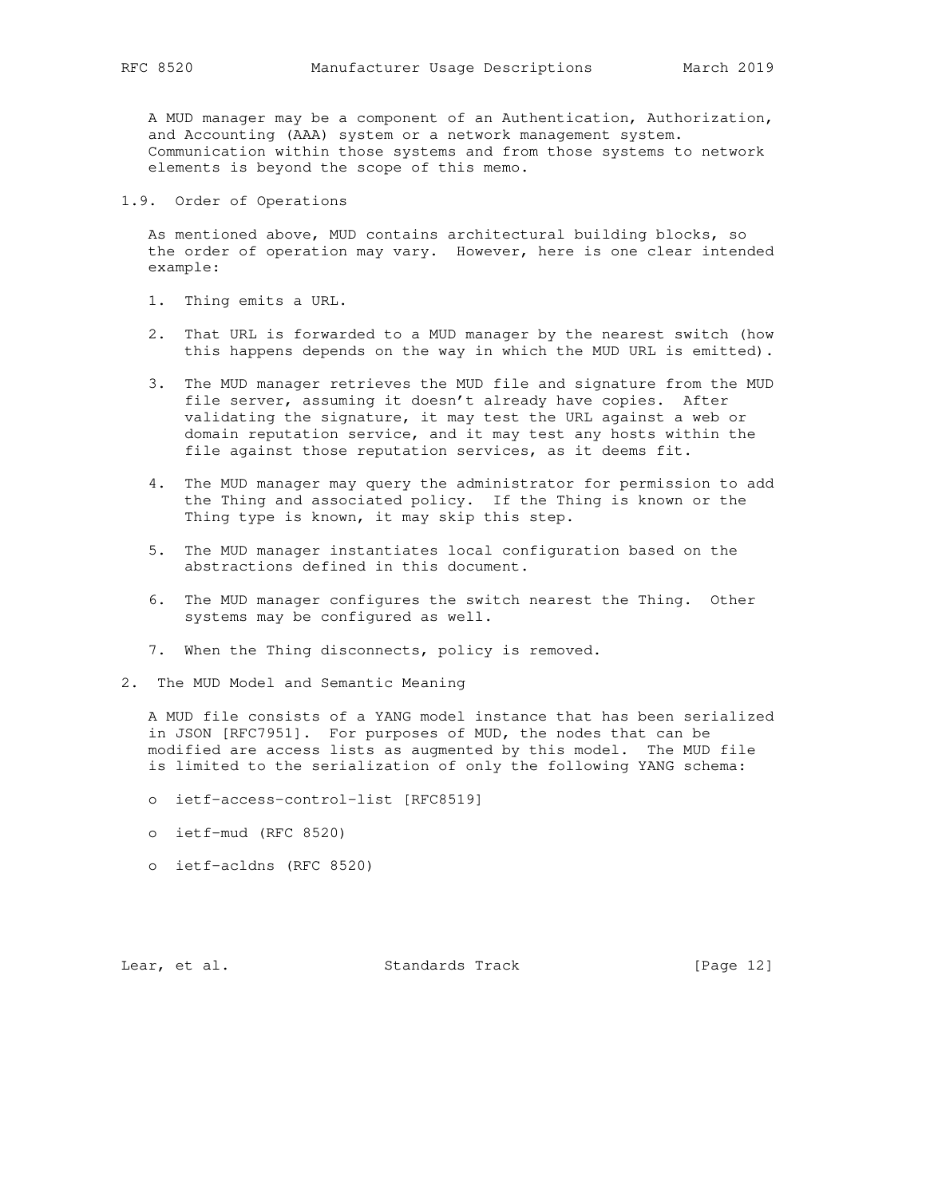A MUD manager may be a component of an Authentication, Authorization, and Accounting (AAA) system or a network management system. Communication within those systems and from those systems to network elements is beyond the scope of this memo.

1.9. Order of Operations

 As mentioned above, MUD contains architectural building blocks, so the order of operation may vary. However, here is one clear intended example:

- 1. Thing emits a URL.
- 2. That URL is forwarded to a MUD manager by the nearest switch (how this happens depends on the way in which the MUD URL is emitted).
- 3. The MUD manager retrieves the MUD file and signature from the MUD file server, assuming it doesn't already have copies. After validating the signature, it may test the URL against a web or domain reputation service, and it may test any hosts within the file against those reputation services, as it deems fit.
- 4. The MUD manager may query the administrator for permission to add the Thing and associated policy. If the Thing is known or the Thing type is known, it may skip this step.
- 5. The MUD manager instantiates local configuration based on the abstractions defined in this document.
- 6. The MUD manager configures the switch nearest the Thing. Other systems may be configured as well.
- 7. When the Thing disconnects, policy is removed.
- 2. The MUD Model and Semantic Meaning

 A MUD file consists of a YANG model instance that has been serialized in JSON [RFC7951]. For purposes of MUD, the nodes that can be modified are access lists as augmented by this model. The MUD file is limited to the serialization of only the following YANG schema:

- o ietf-access-control-list [RFC8519]
- o ietf-mud (RFC 8520)
- o ietf-acldns (RFC 8520)

Lear, et al. Standards Track [Page 12]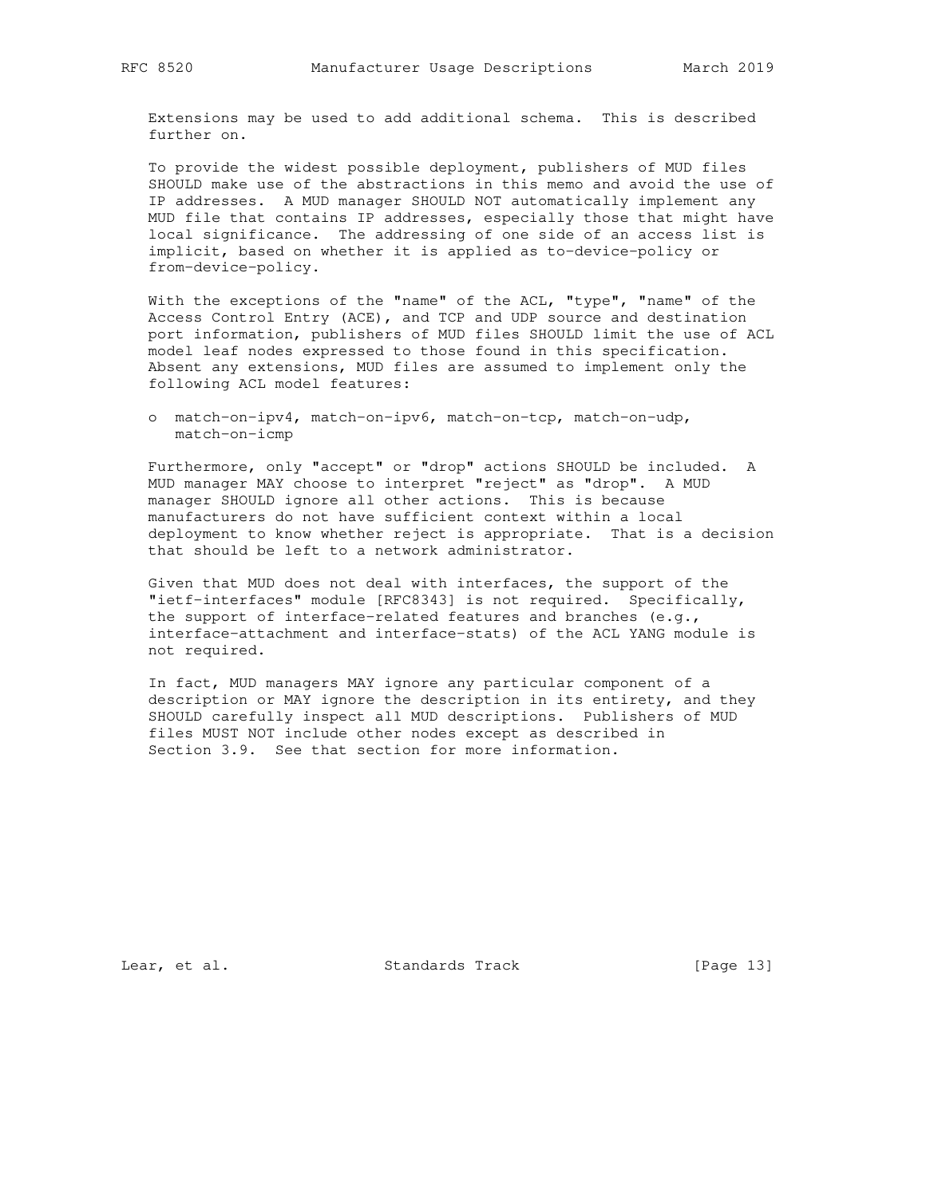Extensions may be used to add additional schema. This is described further on.

 To provide the widest possible deployment, publishers of MUD files SHOULD make use of the abstractions in this memo and avoid the use of IP addresses. A MUD manager SHOULD NOT automatically implement any MUD file that contains IP addresses, especially those that might have local significance. The addressing of one side of an access list is implicit, based on whether it is applied as to-device-policy or from-device-policy.

 With the exceptions of the "name" of the ACL, "type", "name" of the Access Control Entry (ACE), and TCP and UDP source and destination port information, publishers of MUD files SHOULD limit the use of ACL model leaf nodes expressed to those found in this specification. Absent any extensions, MUD files are assumed to implement only the following ACL model features:

 o match-on-ipv4, match-on-ipv6, match-on-tcp, match-on-udp, match-on-icmp

 Furthermore, only "accept" or "drop" actions SHOULD be included. A MUD manager MAY choose to interpret "reject" as "drop". A MUD manager SHOULD ignore all other actions. This is because manufacturers do not have sufficient context within a local deployment to know whether reject is appropriate. That is a decision that should be left to a network administrator.

 Given that MUD does not deal with interfaces, the support of the "ietf-interfaces" module [RFC8343] is not required. Specifically, the support of interface-related features and branches (e.g., interface-attachment and interface-stats) of the ACL YANG module is not required.

 In fact, MUD managers MAY ignore any particular component of a description or MAY ignore the description in its entirety, and they SHOULD carefully inspect all MUD descriptions. Publishers of MUD files MUST NOT include other nodes except as described in Section 3.9. See that section for more information.

Lear, et al. Standards Track [Page 13]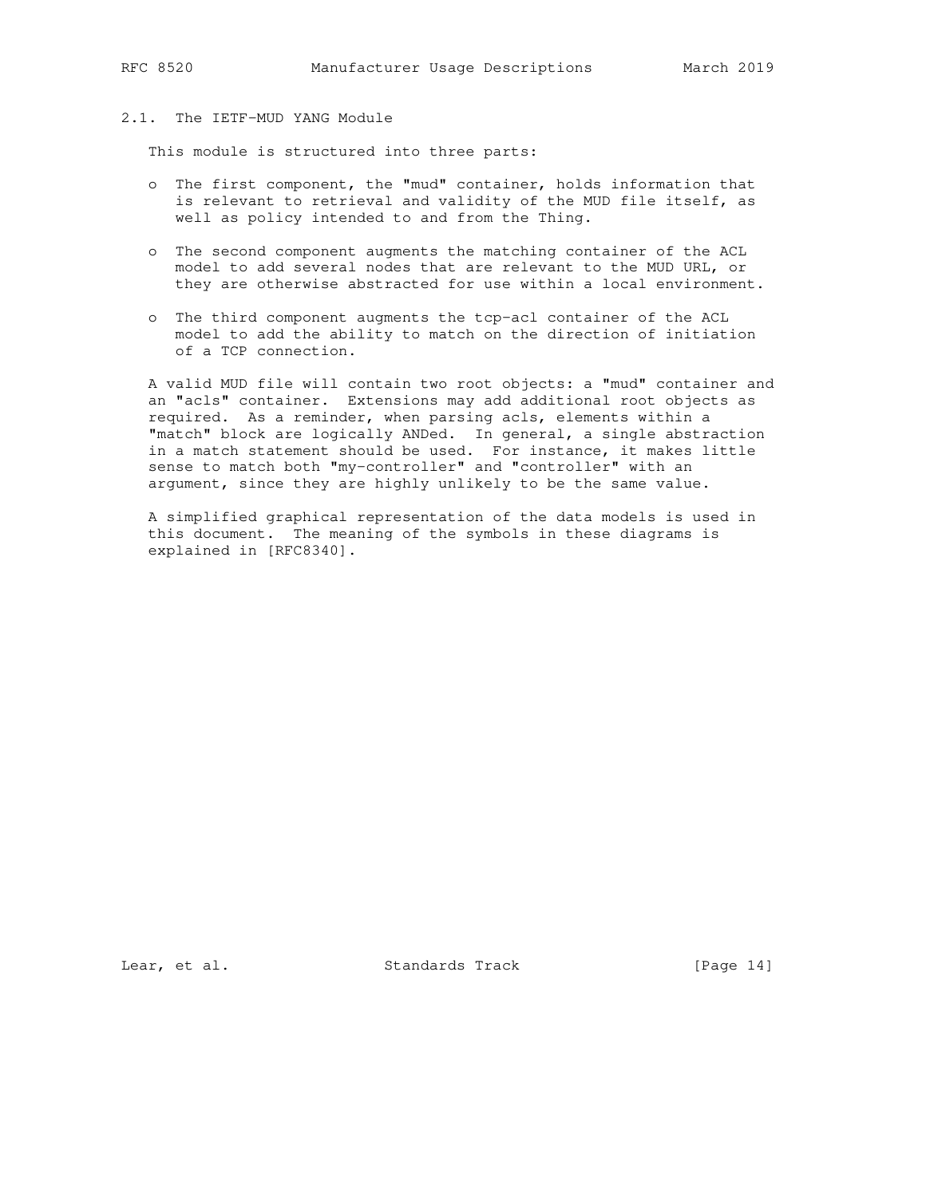# 2.1. The IETF-MUD YANG Module

This module is structured into three parts:

- o The first component, the "mud" container, holds information that is relevant to retrieval and validity of the MUD file itself, as well as policy intended to and from the Thing.
- o The second component augments the matching container of the ACL model to add several nodes that are relevant to the MUD URL, or they are otherwise abstracted for use within a local environment.
- o The third component augments the tcp-acl container of the ACL model to add the ability to match on the direction of initiation of a TCP connection.

 A valid MUD file will contain two root objects: a "mud" container and an "acls" container. Extensions may add additional root objects as required. As a reminder, when parsing acls, elements within a "match" block are logically ANDed. In general, a single abstraction in a match statement should be used. For instance, it makes little sense to match both "my-controller" and "controller" with an argument, since they are highly unlikely to be the same value.

 A simplified graphical representation of the data models is used in this document. The meaning of the symbols in these diagrams is explained in [RFC8340].

Lear, et al. Standards Track [Page 14]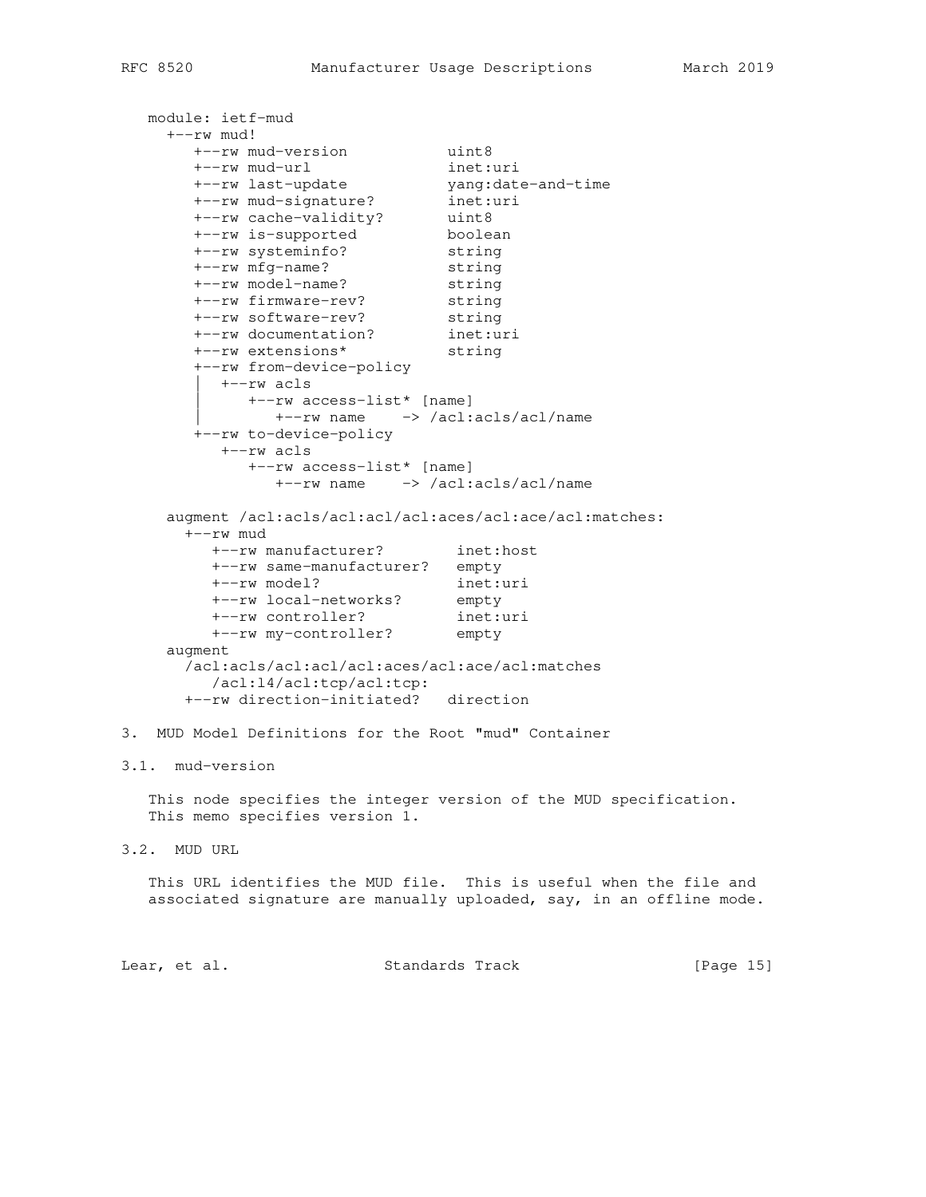```
 module: ietf-mud
    +--rw mud!
 +--rw mud-version uint8
 +--rw mud-url inet:uri
 +--rw last-update yang:date-and-time
 +--rw mud-signature? inet:uri
 +--rw cache-validity? uint8
 +--rw is-supported boolean
 +--rw systeminfo? string
 +--rw mfg-name? string
 +--rw model-name? string
 +--rw firmware-rev? string
 +--rw software-rev? string
 +--rw documentation? inet:uri
 +--rw extensions* string
 +--rw from-device-policy
         | +--rw acls
           | +--rw access-list* [name]
            | +--rw name -> /acl:acls/acl/name
       +--rw to-device-policy
         +--rw acls
            +--rw access-list* [name]
              +--rw name -> /acl:acls/acl/name
     augment /acl:acls/acl:acl/acl:aces/acl:ace/acl:matches:
      +--rw mud
 +--rw manufacturer? inet:host
 +--rw same-manufacturer? empty
 +--rw model? inet:uri
 +--rw local-networks? empty
 +--rw controller? inet:uri
 +--rw my-controller? empty
    augment
      /acl:acls/acl:acl/acl:aces/acl:ace/acl:matches
        /acl:l4/acl:tcp/acl:tcp:
      +--rw direction-initiated? direction
3. MUD Model Definitions for the Root "mud" Container
3.1. mud-version
   This node specifies the integer version of the MUD specification.
   This memo specifies version 1.
3.2. MUD URL
   This URL identifies the MUD file. This is useful when the file and
   associated signature are manually uploaded, say, in an offline mode.
```
Lear, et al. Standards Track [Page 15]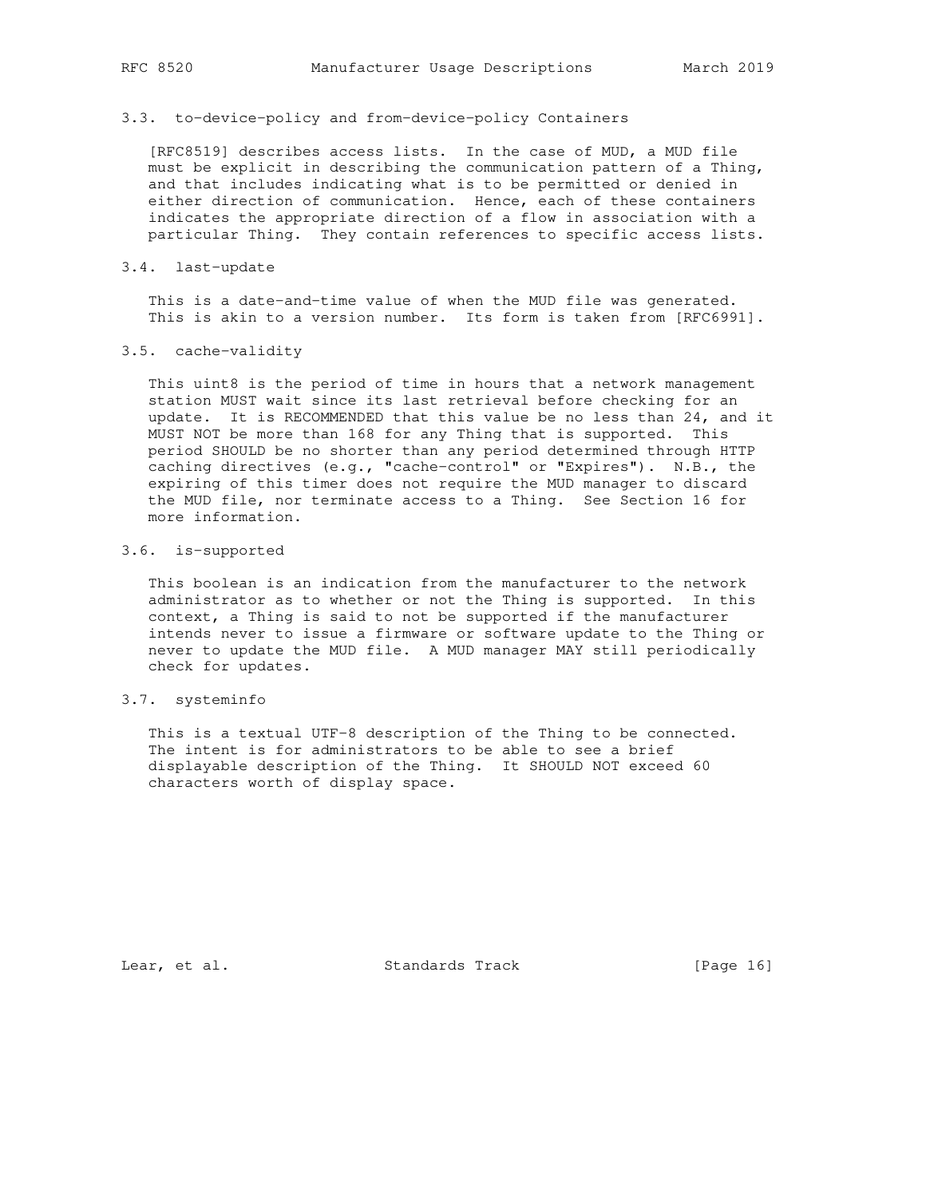#### 3.3. to-device-policy and from-device-policy Containers

 [RFC8519] describes access lists. In the case of MUD, a MUD file must be explicit in describing the communication pattern of a Thing, and that includes indicating what is to be permitted or denied in either direction of communication. Hence, each of these containers indicates the appropriate direction of a flow in association with a particular Thing. They contain references to specific access lists.

### 3.4. last-update

 This is a date-and-time value of when the MUD file was generated. This is akin to a version number. Its form is taken from [RFC6991].

## 3.5. cache-validity

This uint8 is the period of time in hours that a network management station MUST wait since its last retrieval before checking for an update. It is RECOMMENDED that this value be no less than 24, and it MUST NOT be more than 168 for any Thing that is supported. This period SHOULD be no shorter than any period determined through HTTP caching directives (e.g., "cache-control" or "Expires"). N.B., the expiring of this timer does not require the MUD manager to discard the MUD file, nor terminate access to a Thing. See Section 16 for more information.

# 3.6. is-supported

 This boolean is an indication from the manufacturer to the network administrator as to whether or not the Thing is supported. In this context, a Thing is said to not be supported if the manufacturer intends never to issue a firmware or software update to the Thing or never to update the MUD file. A MUD manager MAY still periodically check for updates.

## 3.7. systeminfo

 This is a textual UTF-8 description of the Thing to be connected. The intent is for administrators to be able to see a brief displayable description of the Thing. It SHOULD NOT exceed 60 characters worth of display space.

Lear, et al. Standards Track [Page 16]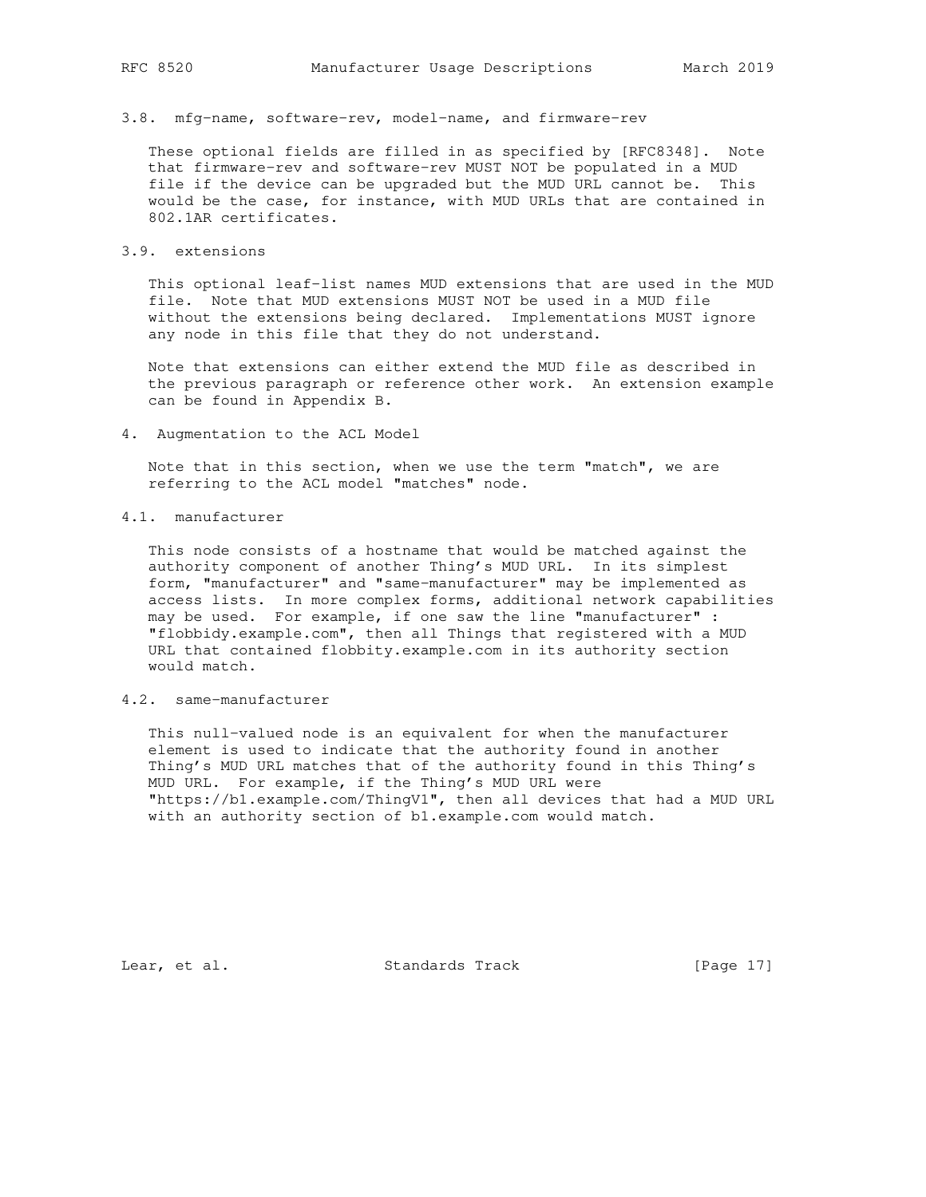3.8. mfg-name, software-rev, model-name, and firmware-rev

 These optional fields are filled in as specified by [RFC8348]. Note that firmware-rev and software-rev MUST NOT be populated in a MUD file if the device can be upgraded but the MUD URL cannot be. This would be the case, for instance, with MUD URLs that are contained in 802.1AR certificates.

3.9. extensions

 This optional leaf-list names MUD extensions that are used in the MUD file. Note that MUD extensions MUST NOT be used in a MUD file without the extensions being declared. Implementations MUST ignore any node in this file that they do not understand.

 Note that extensions can either extend the MUD file as described in the previous paragraph or reference other work. An extension example can be found in Appendix B.

4. Augmentation to the ACL Model

 Note that in this section, when we use the term "match", we are referring to the ACL model "matches" node.

4.1. manufacturer

 This node consists of a hostname that would be matched against the authority component of another Thing's MUD URL. In its simplest form, "manufacturer" and "same-manufacturer" may be implemented as access lists. In more complex forms, additional network capabilities may be used. For example, if one saw the line "manufacturer" : "flobbidy.example.com", then all Things that registered with a MUD URL that contained flobbity.example.com in its authority section would match.

# 4.2. same-manufacturer

 This null-valued node is an equivalent for when the manufacturer element is used to indicate that the authority found in another Thing's MUD URL matches that of the authority found in this Thing's MUD URL. For example, if the Thing's MUD URL were "https://b1.example.com/ThingV1", then all devices that had a MUD URL with an authority section of b1.example.com would match.

Lear, et al. Standards Track [Page 17]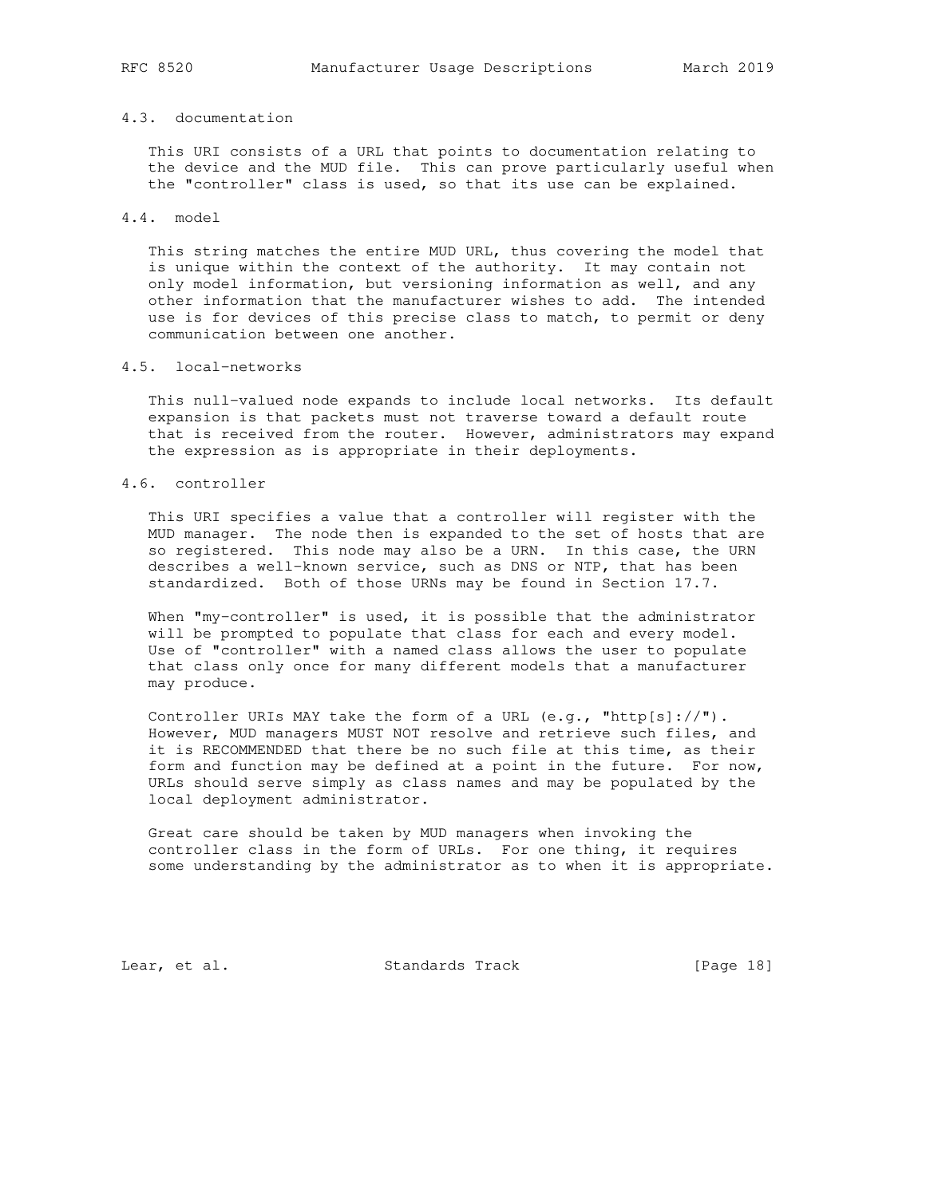# 4.3. documentation

 This URI consists of a URL that points to documentation relating to the device and the MUD file. This can prove particularly useful when the "controller" class is used, so that its use can be explained.

## 4.4. model

 This string matches the entire MUD URL, thus covering the model that is unique within the context of the authority. It may contain not only model information, but versioning information as well, and any other information that the manufacturer wishes to add. The intended use is for devices of this precise class to match, to permit or deny communication between one another.

# 4.5. local-networks

 This null-valued node expands to include local networks. Its default expansion is that packets must not traverse toward a default route that is received from the router. However, administrators may expand the expression as is appropriate in their deployments.

# 4.6. controller

 This URI specifies a value that a controller will register with the MUD manager. The node then is expanded to the set of hosts that are so registered. This node may also be a URN. In this case, the URN describes a well-known service, such as DNS or NTP, that has been standardized. Both of those URNs may be found in Section 17.7.

When "my-controller" is used, it is possible that the administrator will be prompted to populate that class for each and every model. Use of "controller" with a named class allows the user to populate that class only once for many different models that a manufacturer may produce.

Controller URIs MAY take the form of a URL (e.g., "http[s]://"). However, MUD managers MUST NOT resolve and retrieve such files, and it is RECOMMENDED that there be no such file at this time, as their form and function may be defined at a point in the future. For now, URLs should serve simply as class names and may be populated by the local deployment administrator.

 Great care should be taken by MUD managers when invoking the controller class in the form of URLs. For one thing, it requires some understanding by the administrator as to when it is appropriate.

Lear, et al. Standards Track [Page 18]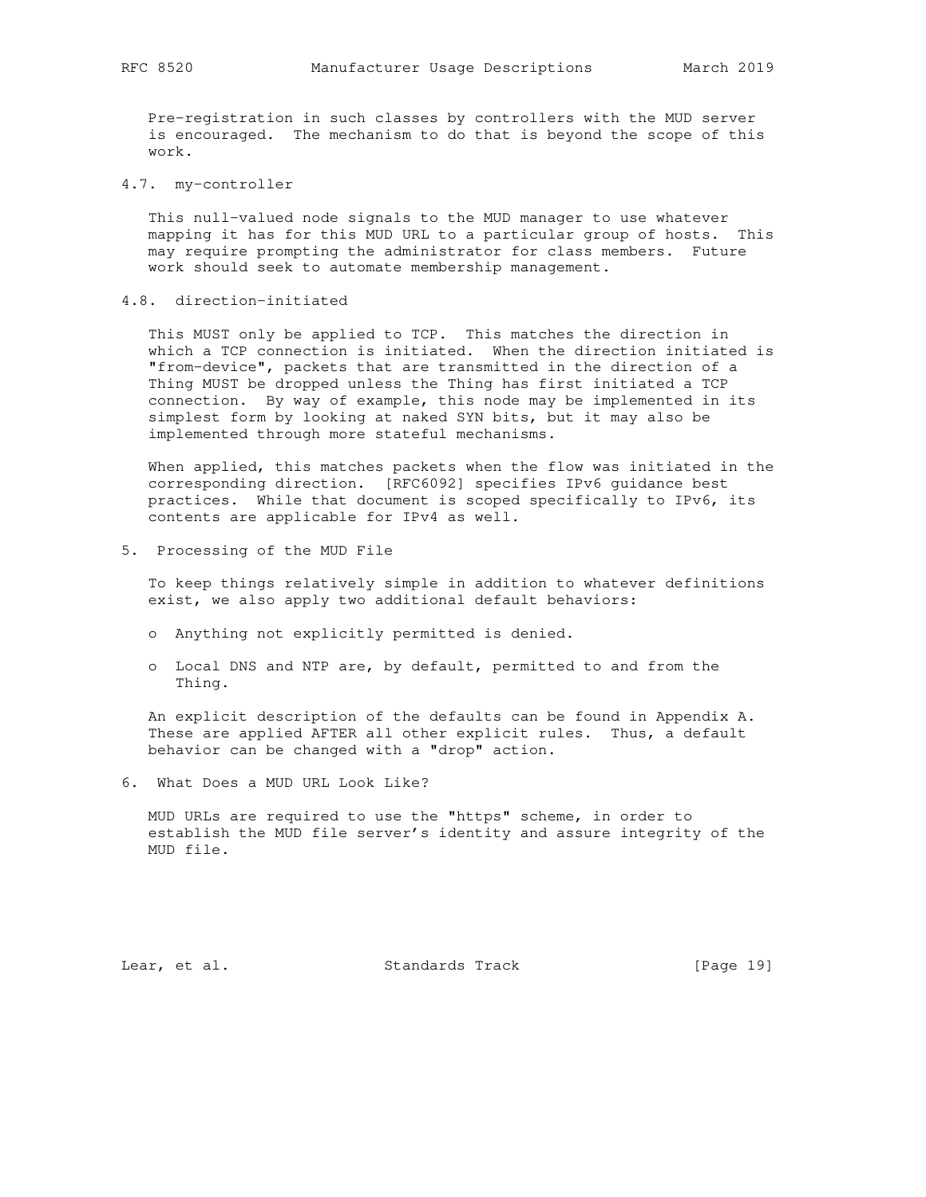Pre-registration in such classes by controllers with the MUD server is encouraged. The mechanism to do that is beyond the scope of this work.

4.7. my-controller

 This null-valued node signals to the MUD manager to use whatever mapping it has for this MUD URL to a particular group of hosts. This may require prompting the administrator for class members. Future work should seek to automate membership management.

4.8. direction-initiated

 This MUST only be applied to TCP. This matches the direction in which a TCP connection is initiated. When the direction initiated is "from-device", packets that are transmitted in the direction of a Thing MUST be dropped unless the Thing has first initiated a TCP connection. By way of example, this node may be implemented in its simplest form by looking at naked SYN bits, but it may also be implemented through more stateful mechanisms.

 When applied, this matches packets when the flow was initiated in the corresponding direction. [RFC6092] specifies IPv6 guidance best practices. While that document is scoped specifically to IPv6, its contents are applicable for IPv4 as well.

5. Processing of the MUD File

 To keep things relatively simple in addition to whatever definitions exist, we also apply two additional default behaviors:

- o Anything not explicitly permitted is denied.
- o Local DNS and NTP are, by default, permitted to and from the Thing.

 An explicit description of the defaults can be found in Appendix A. These are applied AFTER all other explicit rules. Thus, a default behavior can be changed with a "drop" action.

6. What Does a MUD URL Look Like?

 MUD URLs are required to use the "https" scheme, in order to establish the MUD file server's identity and assure integrity of the MUD file.

Lear, et al. Standards Track [Page 19]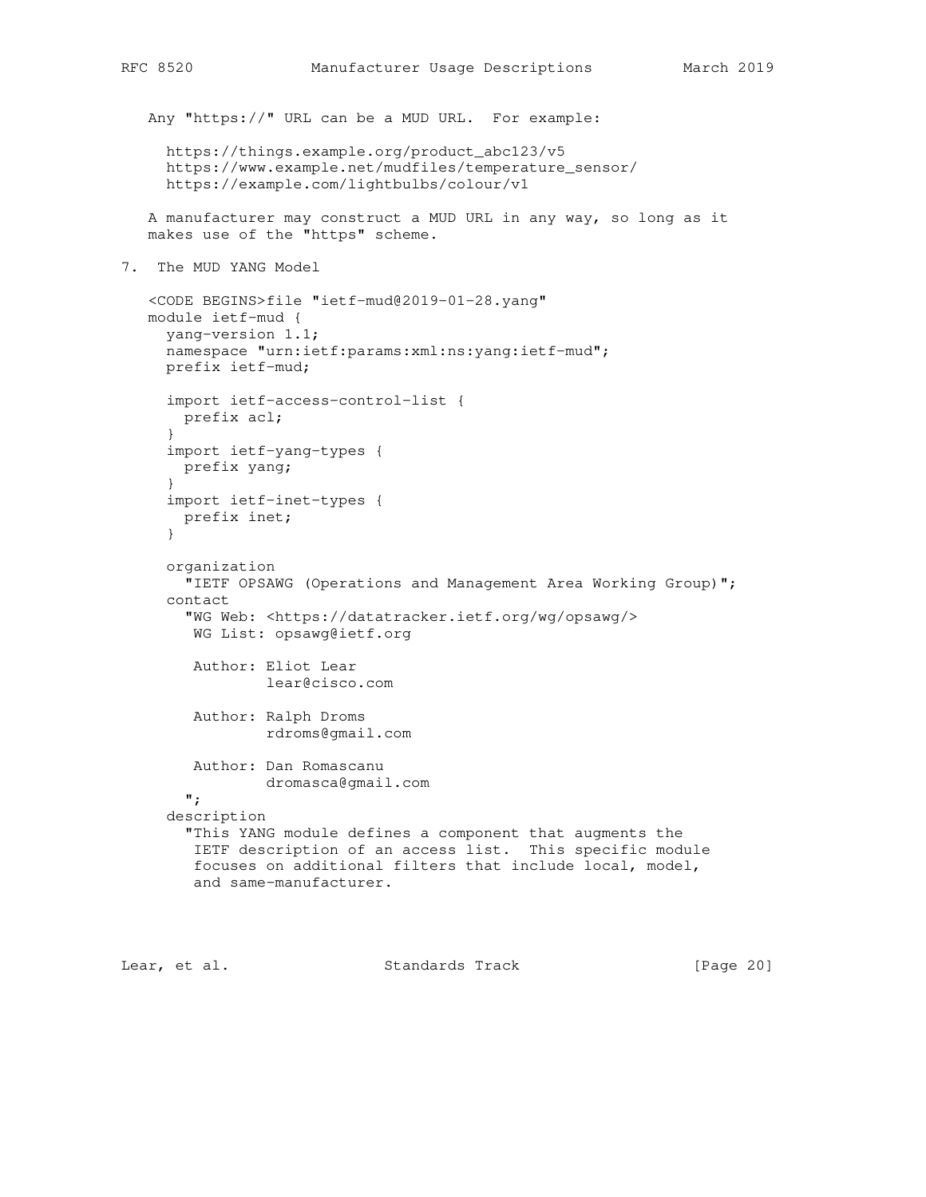```
 Any "https://" URL can be a MUD URL. For example:
      https://things.example.org/product_abc123/v5
      https://www.example.net/mudfiles/temperature_sensor/
      https://example.com/lightbulbs/colour/v1
    A manufacturer may construct a MUD URL in any way, so long as it
   makes use of the "https" scheme.
7. The MUD YANG Model
    <CODE BEGINS>file "ietf-mud@2019-01-28.yang"
    module ietf-mud {
     yang-version 1.1;
      namespace "urn:ietf:params:xml:ns:yang:ietf-mud";
      prefix ietf-mud;
      import ietf-access-control-list {
       prefix acl;
      }
      import ietf-yang-types {
       prefix yang;
      }
      import ietf-inet-types {
       prefix inet;
      }
      organization
        "IETF OPSAWG (Operations and Management Area Working Group)";
      contact
        "WG Web: <https://datatracker.ietf.org/wg/opsawg/>
         WG List: opsawg@ietf.org
         Author: Eliot Lear
                 lear@cisco.com
         Author: Ralph Droms
                 rdroms@gmail.com
         Author: Dan Romascanu
```
 "This YANG module defines a component that augments the IETF description of an access list. This specific module focuses on additional filters that include local, model,

Lear, et al. Standards Track [Page 20]

dromasca@gmail.com

and same-manufacturer.

 "; description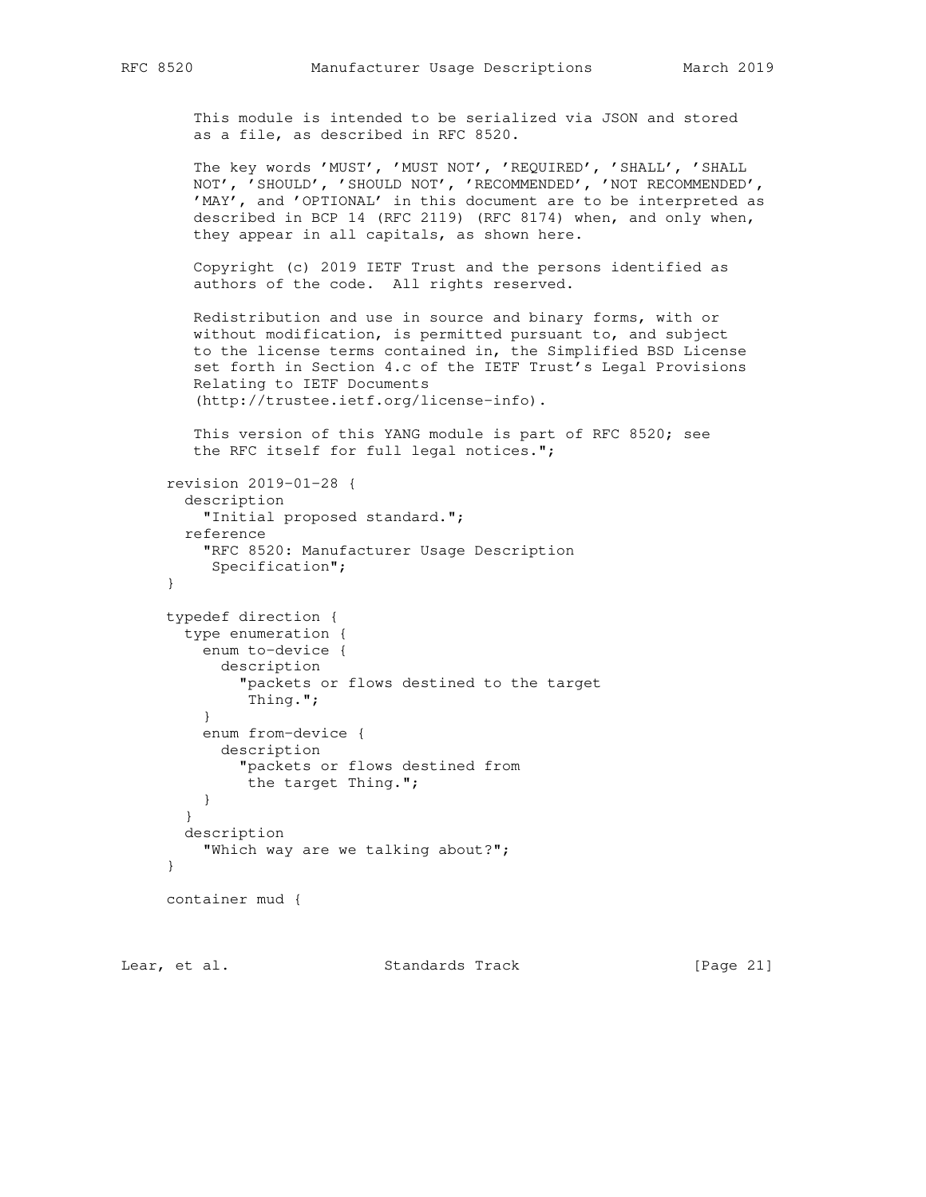```
 This module is intended to be serialized via JSON and stored
 as a file, as described in RFC 8520.
```
 The key words 'MUST', 'MUST NOT', 'REQUIRED', 'SHALL', 'SHALL NOT', 'SHOULD', 'SHOULD NOT', 'RECOMMENDED', 'NOT RECOMMENDED', 'MAY', and 'OPTIONAL' in this document are to be interpreted as described in BCP 14 (RFC 2119) (RFC 8174) when, and only when, they appear in all capitals, as shown here.

 Copyright (c) 2019 IETF Trust and the persons identified as authors of the code. All rights reserved.

 Redistribution and use in source and binary forms, with or without modification, is permitted pursuant to, and subject to the license terms contained in, the Simplified BSD License set forth in Section 4.c of the IETF Trust's Legal Provisions Relating to IETF Documents (http://trustee.ietf.org/license-info).

 This version of this YANG module is part of RFC 8520; see the RFC itself for full legal notices.";

```
 revision 2019-01-28 {
       description
          "Initial proposed standard.";
        reference
          "RFC 8520: Manufacturer Usage Description
           Specification";
      }
      typedef direction {
       type enumeration {
         enum to-device {
            description
              "packets or flows destined to the target
              Thing.";
 }
          enum from-device {
           description
              "packets or flows destined from
              the target Thing.";
         }
        }
        description
          "Which way are we talking about?";
      }
     container mud {
```
Lear, et al. Standards Track [Page 21]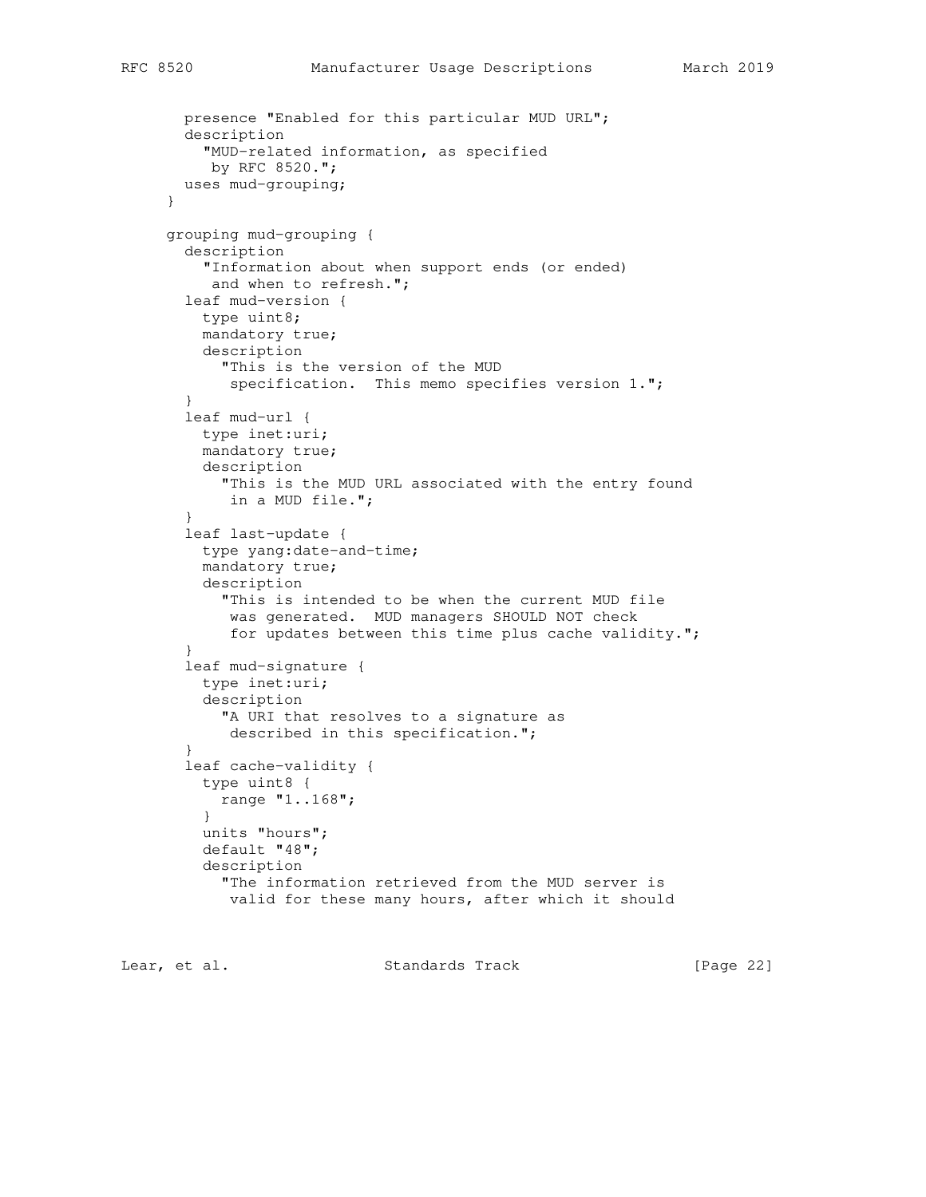```
 presence "Enabled for this particular MUD URL";
   description
     "MUD-related information, as specified
     by RFC 8520.";
  uses mud-grouping;
 }
 grouping mud-grouping {
   description
     "Information about when support ends (or ended)
     and when to refresh.";
   leaf mud-version {
    type uint8;
     mandatory true;
     description
       "This is the version of the MUD
       specification. This memo specifies version 1.";
   }
   leaf mud-url {
    type inet:uri;
     mandatory true;
     description
       "This is the MUD URL associated with the entry found
       in a MUD file.";
   }
   leaf last-update {
    type yang:date-and-time;
     mandatory true;
    description
       "This is intended to be when the current MUD file
       was generated. MUD managers SHOULD NOT check
        for updates between this time plus cache validity.";
   }
   leaf mud-signature {
     type inet:uri;
     description
       "A URI that resolves to a signature as
       described in this specification.";
   }
   leaf cache-validity {
    type uint8 {
      range "1..168";
     }
     units "hours";
     default "48";
     description
       "The information retrieved from the MUD server is
        valid for these many hours, after which it should
```
Lear, et al. Standards Track [Page 22]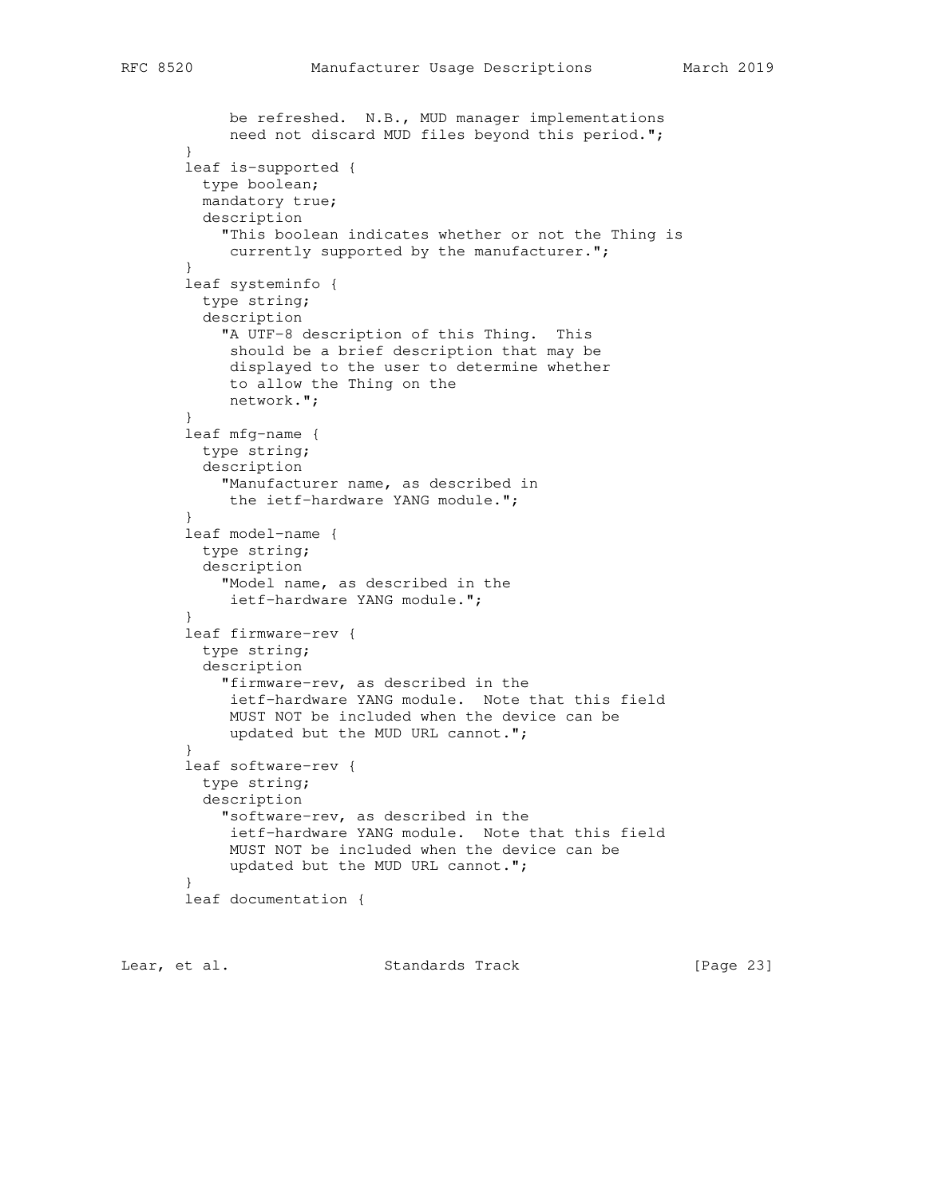```
 be refreshed. N.B., MUD manager implementations
             need not discard MUD files beyond this period.";
        }
        leaf is-supported {
         type boolean;
         mandatory true;
         description
            "This boolean indicates whether or not the Thing is
           currently supported by the manufacturer.";
        }
        leaf systeminfo {
          type string;
          description
            "A UTF-8 description of this Thing. This
             should be a brief description that may be
             displayed to the user to determine whether
             to allow the Thing on the
            network.";
        }
        leaf mfg-name {
         type string;
          description
            "Manufacturer name, as described in
            the ietf-hardware YANG module.";
        }
        leaf model-name {
         type string;
          description
            "Model name, as described in the
            ietf-hardware YANG module.";
        }
        leaf firmware-rev {
         type string;
          description
            "firmware-rev, as described in the
            ietf-hardware YANG module. Note that this field
            MUST NOT be included when the device can be
             updated but the MUD URL cannot.";
        }
        leaf software-rev {
         type string;
         description
            "software-rev, as described in the
            ietf-hardware YANG module. Note that this field
            MUST NOT be included when the device can be
             updated but the MUD URL cannot.";
 }
        leaf documentation {
```
Lear, et al. Standards Track [Page 23]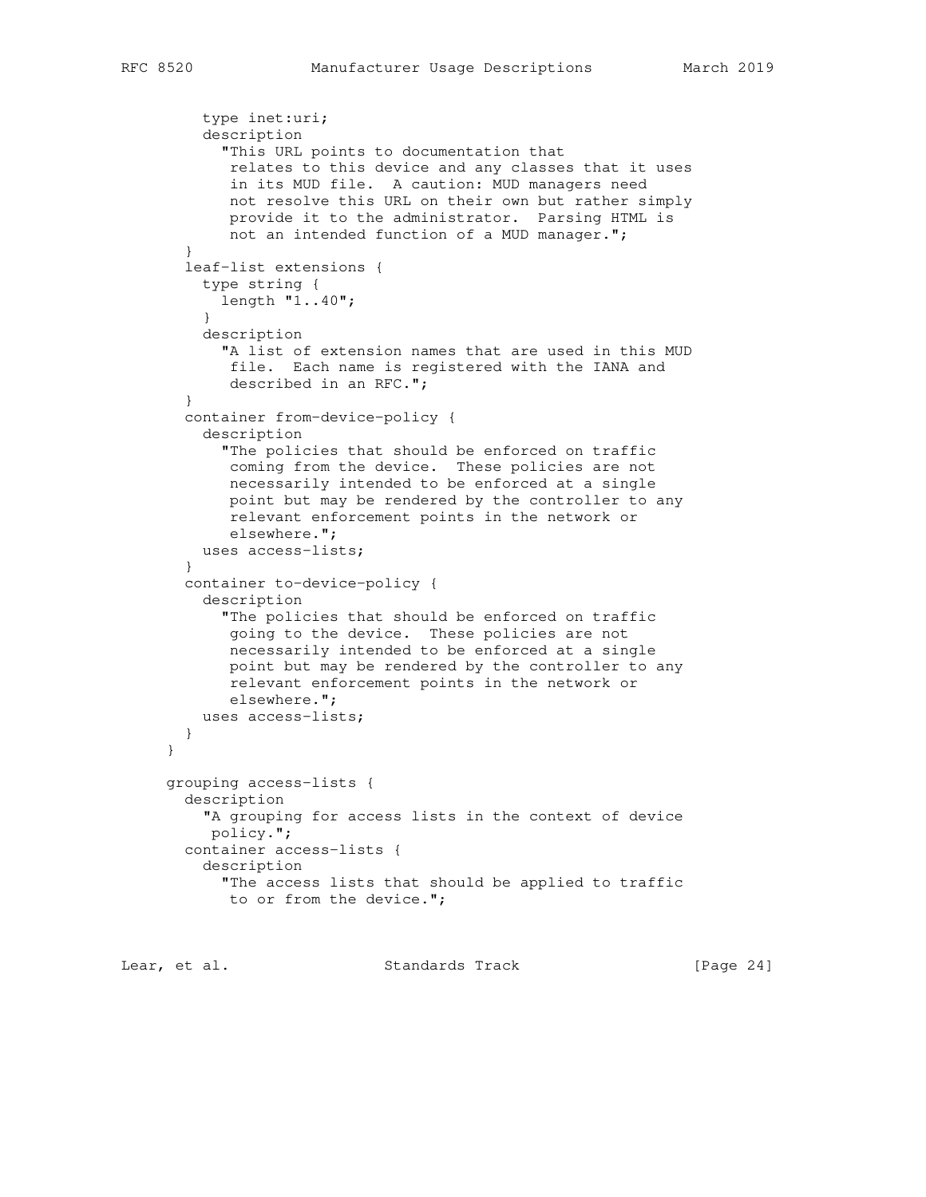```
 type inet:uri;
          description
            "This URL points to documentation that
             relates to this device and any classes that it uses
             in its MUD file. A caution: MUD managers need
            not resolve this URL on their own but rather simply
             provide it to the administrator. Parsing HTML is
             not an intended function of a MUD manager.";
        }
        leaf-list extensions {
         type string {
           length "1..40";
 }
          description
           "A list of extension names that are used in this MUD
            file. Each name is registered with the IANA and
            described in an RFC.";
        }
        container from-device-policy {
          description
            "The policies that should be enforced on traffic
            coming from the device. These policies are not
            necessarily intended to be enforced at a single
             point but may be rendered by the controller to any
             relevant enforcement points in the network or
             elsewhere.";
          uses access-lists;
        }
        container to-device-policy {
          description
            "The policies that should be enforced on traffic
            going to the device. These policies are not
            necessarily intended to be enforced at a single
            point but may be rendered by the controller to any
            relevant enforcement points in the network or
            elsewhere.";
          uses access-lists;
        }
     }
     grouping access-lists {
       description
          "A grouping for access lists in the context of device
          policy.";
        container access-lists {
          description
            "The access lists that should be applied to traffic
           to or from the device.";
```
Lear, et al. Standards Track [Page 24]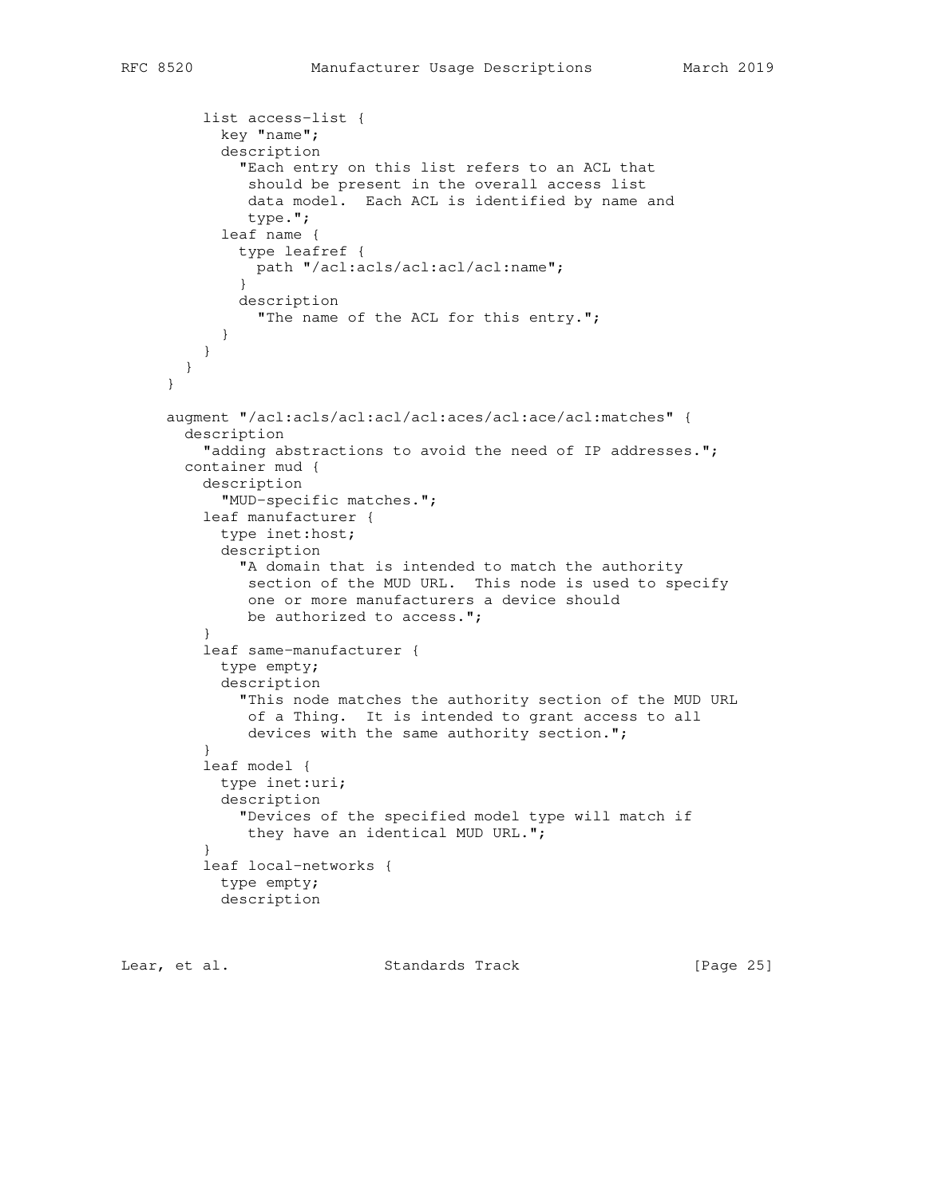```
 list access-list {
           key "name";
           description
             "Each entry on this list refers to an ACL that
              should be present in the overall access list
              data model. Each ACL is identified by name and
              type.";
           leaf name {
             type leafref {
               path "/acl:acls/acl:acl/acl:name";
 }
             description
               "The name of the ACL for this entry.";
 }
 }
       }
     }
     augment "/acl:acls/acl:acl/acl:aces/acl:ace/acl:matches" {
       description
         "adding abstractions to avoid the need of IP addresses.";
       container mud {
         description
           "MUD-specific matches.";
         leaf manufacturer {
           type inet:host;
           description
             "A domain that is intended to match the authority
              section of the MUD URL. This node is used to specify
              one or more manufacturers a device should
             be authorized to access.";
 }
         leaf same-manufacturer {
           type empty;
           description
             "This node matches the authority section of the MUD URL
              of a Thing. It is intended to grant access to all
             devices with the same authority section.";
 }
         leaf model {
           type inet:uri;
           description
             "Devices of the specified model type will match if
             they have an identical MUD URL.";
 }
         leaf local-networks {
           type empty;
           description
```
Lear, et al. Standards Track [Page 25]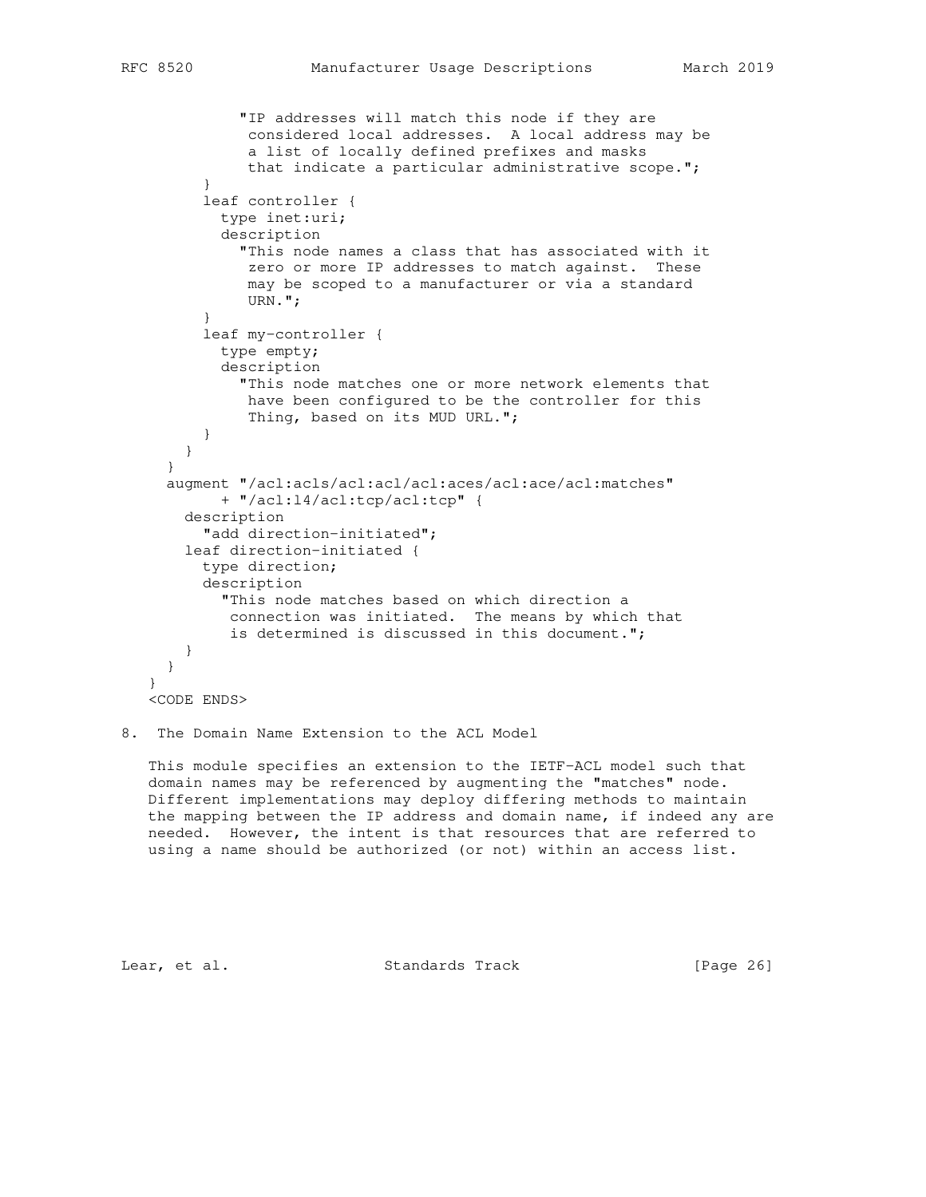```
 "IP addresses will match this node if they are
              considered local addresses. A local address may be
              a list of locally defined prefixes and masks
              that indicate a particular administrative scope.";
 }
         leaf controller {
           type inet:uri;
           description
             "This node names a class that has associated with it
              zero or more IP addresses to match against. These
              may be scoped to a manufacturer or via a standard
              URN.";
 }
         leaf my-controller {
           type empty;
           description
             "This node matches one or more network elements that
              have been configured to be the controller for this
              Thing, based on its MUD URL.";
 }
      }
     }
     augment "/acl:acls/acl:acl/acl:aces/acl:ace/acl:matches"
           + "/acl:l4/acl:tcp/acl:tcp" {
       description
         "add direction-initiated";
       leaf direction-initiated {
         type direction;
         description
            "This node matches based on which direction a
            connection was initiated. The means by which that
            is determined is discussed in this document.";
       }
     }
   }
   <CODE ENDS>
```
# 8. The Domain Name Extension to the ACL Model

 This module specifies an extension to the IETF-ACL model such that domain names may be referenced by augmenting the "matches" node. Different implementations may deploy differing methods to maintain the mapping between the IP address and domain name, if indeed any are needed. However, the intent is that resources that are referred to using a name should be authorized (or not) within an access list.

Lear, et al. Standards Track [Page 26]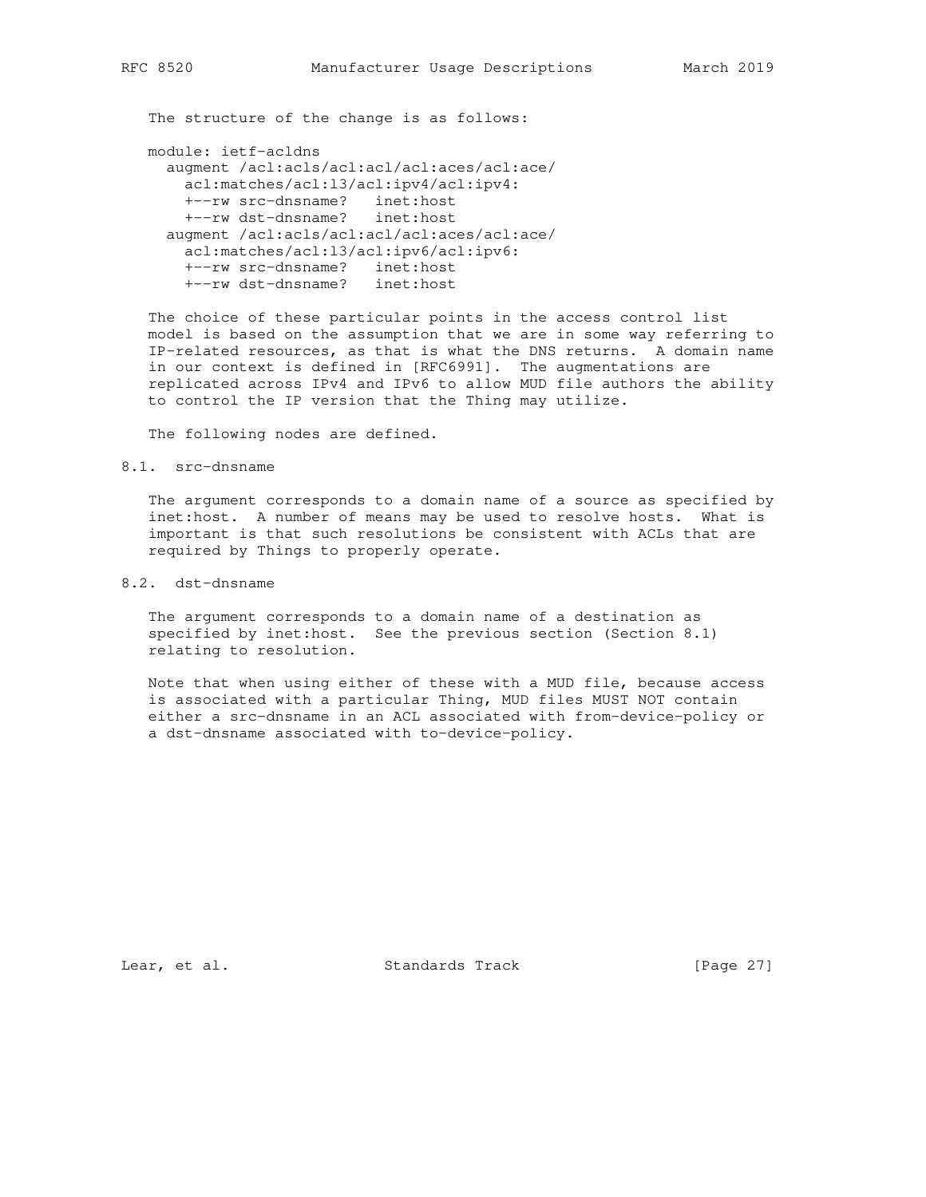The structure of the change is as follows:

module: ietf-acldns

```
 augment /acl:acls/acl:acl/acl:aces/acl:ace/
  acl:matches/acl:l3/acl:ipv4/acl:ipv4:
  +--rw src-dnsname? inet:host
  +--rw dst-dnsname? inet:host
 augment /acl:acls/acl:acl/acl:aces/acl:ace/
  acl:matches/acl:l3/acl:ipv6/acl:ipv6:
  +--rw src-dnsname? inet:host
  +--rw dst-dnsname? inet:host
```
 The choice of these particular points in the access control list model is based on the assumption that we are in some way referring to IP-related resources, as that is what the DNS returns. A domain name in our context is defined in [RFC6991]. The augmentations are replicated across IPv4 and IPv6 to allow MUD file authors the ability to control the IP version that the Thing may utilize.

The following nodes are defined.

### 8.1. src-dnsname

 The argument corresponds to a domain name of a source as specified by inet:host. A number of means may be used to resolve hosts. What is important is that such resolutions be consistent with ACLs that are required by Things to properly operate.

# 8.2. dst-dnsname

 The argument corresponds to a domain name of a destination as specified by inet:host. See the previous section (Section 8.1) relating to resolution.

 Note that when using either of these with a MUD file, because access is associated with a particular Thing, MUD files MUST NOT contain either a src-dnsname in an ACL associated with from-device-policy or a dst-dnsname associated with to-device-policy.

Lear, et al. Standards Track [Page 27]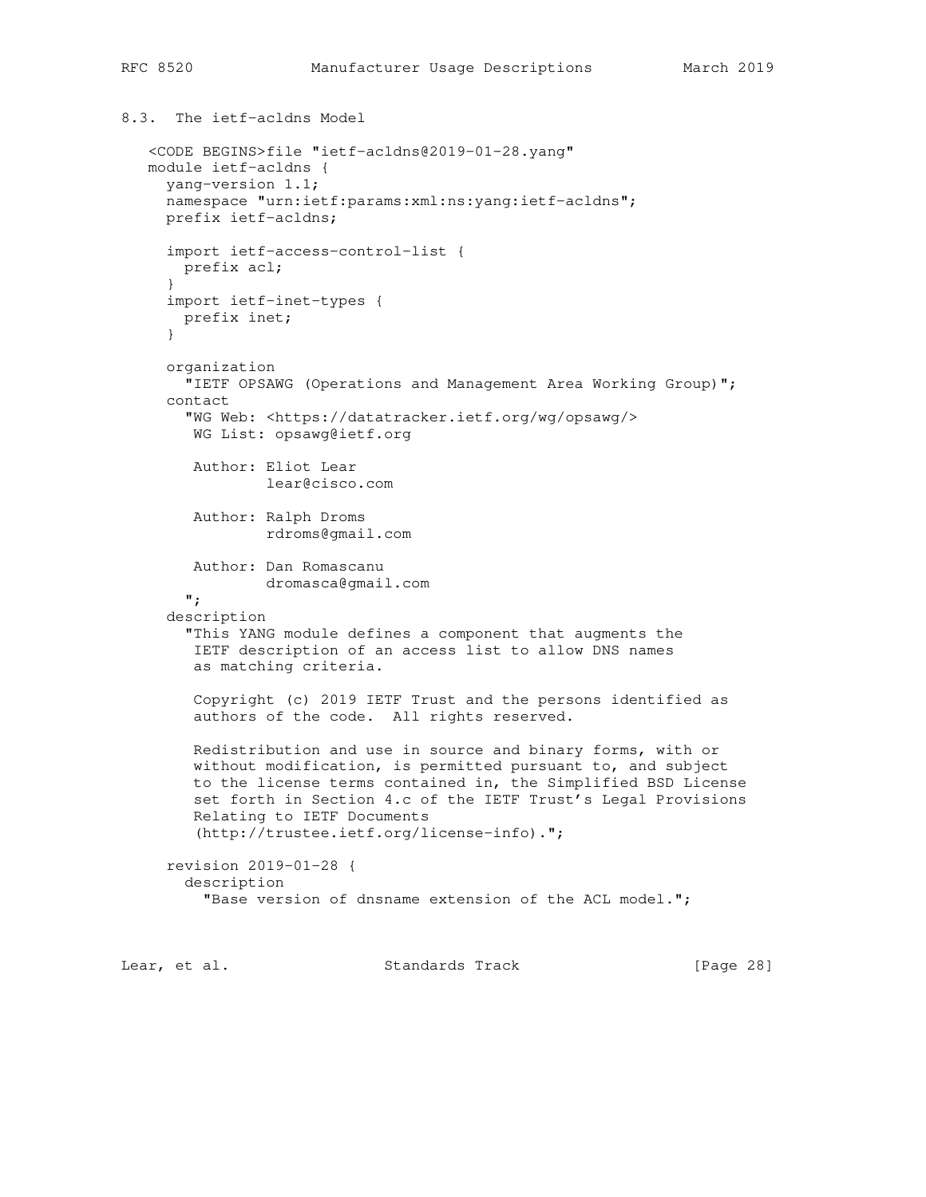```
8.3. The ietf-acldns Model
```

```
 <CODE BEGINS>file "ietf-acldns@2019-01-28.yang"
 module ietf-acldns {
   yang-version 1.1;
   namespace "urn:ietf:params:xml:ns:yang:ietf-acldns";
  prefix ietf-acldns;
   import ietf-access-control-list {
    prefix acl;
   }
   import ietf-inet-types {
    prefix inet;
   }
   organization
     "IETF OPSAWG (Operations and Management Area Working Group)";
   contact
     "WG Web: <https://datatracker.ietf.org/wg/opsawg/>
     WG List: opsawg@ietf.org
      Author: Eliot Lear
              lear@cisco.com
      Author: Ralph Droms
              rdroms@gmail.com
      Author: Dan Romascanu
             dromasca@gmail.com
     ";
   description
     "This YANG module defines a component that augments the
     IETF description of an access list to allow DNS names
      as matching criteria.
      Copyright (c) 2019 IETF Trust and the persons identified as
      authors of the code. All rights reserved.
      Redistribution and use in source and binary forms, with or
      without modification, is permitted pursuant to, and subject
      to the license terms contained in, the Simplified BSD License
      set forth in Section 4.c of the IETF Trust's Legal Provisions
      Relating to IETF Documents
      (http://trustee.ietf.org/license-info).";
   revision 2019-01-28 {
     description
       "Base version of dnsname extension of the ACL model.";
```
Lear, et al. Standards Track [Page 28]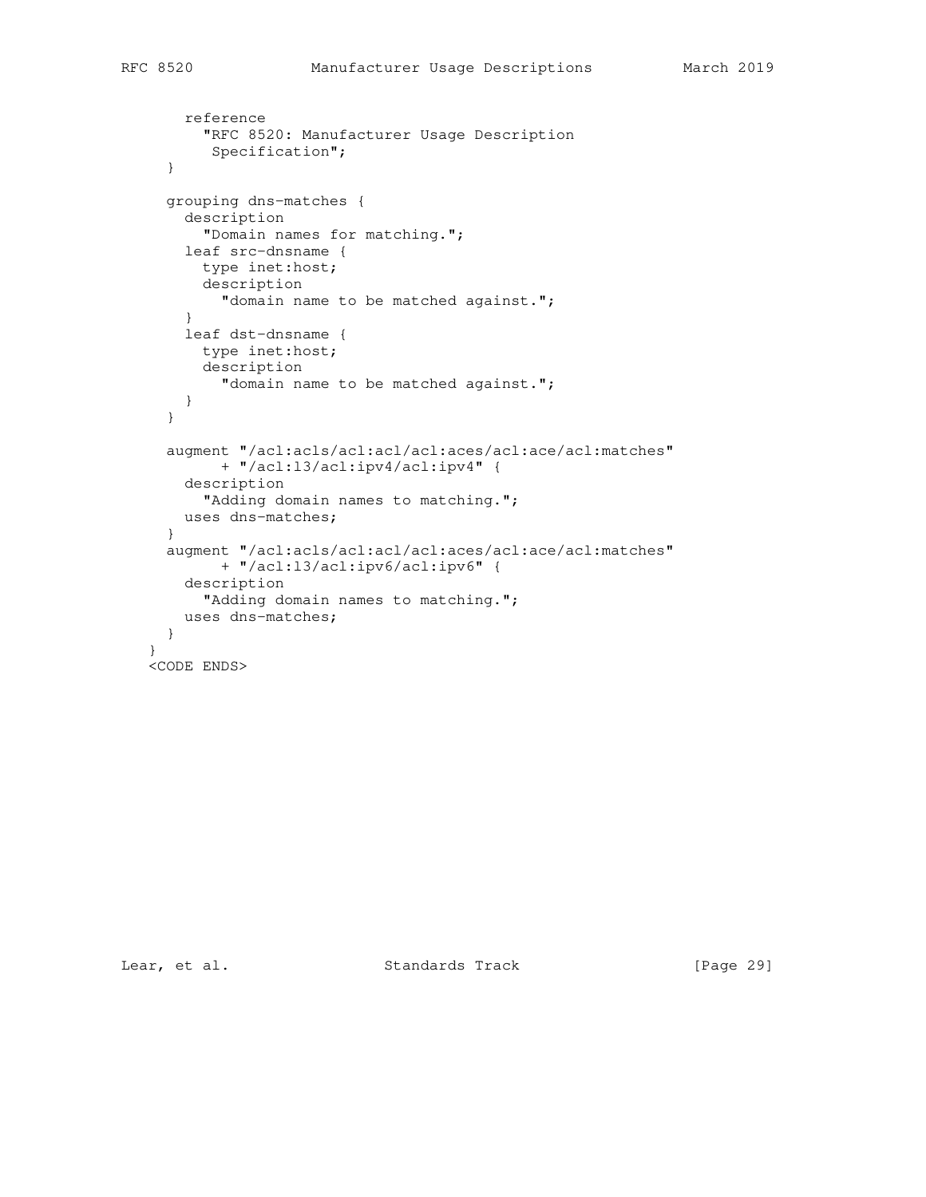reference

```
 "RFC 8520: Manufacturer Usage Description
       Specification";
   }
  grouping dns-matches {
     description
       "Domain names for matching.";
    leaf src-dnsname {
      type inet:host;
      description
        "domain name to be matched against.";
     }
     leaf dst-dnsname {
      type inet:host;
      description
        "domain name to be matched against.";
    }
  }
   augment "/acl:acls/acl:acl/acl:aces/acl:ace/acl:matches"
        + "/acl:l3/acl:ipv4/acl:ipv4" {
    description
       "Adding domain names to matching.";
    uses dns-matches;
   }
  augment "/acl:acls/acl:acl/acl:aces/acl:ace/acl:matches"
        + "/acl:l3/acl:ipv6/acl:ipv6" {
    description
      "Adding domain names to matching.";
    uses dns-matches;
   }
 }
 <CODE ENDS>
```
Lear, et al. Standards Track [Page 29]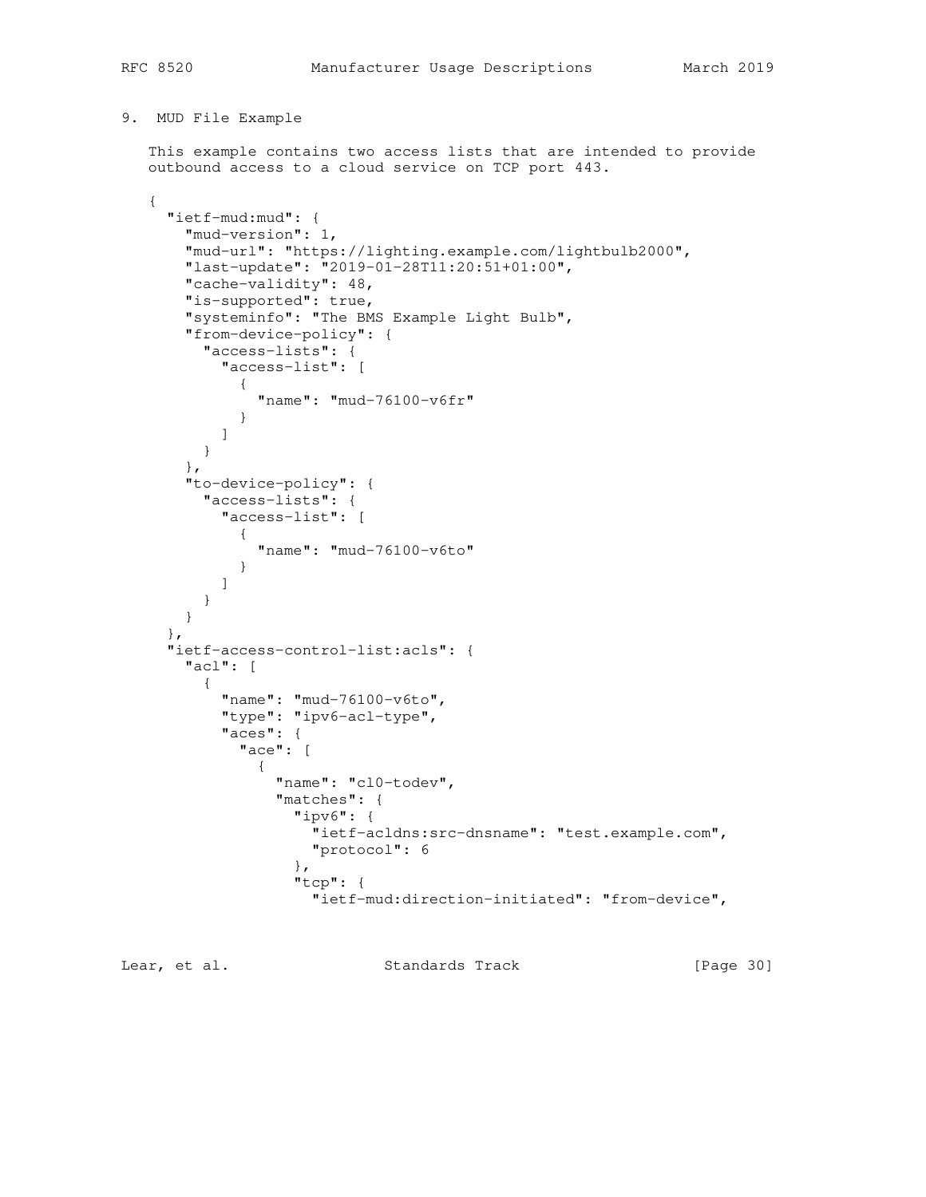# 9. MUD File Example

 This example contains two access lists that are intended to provide outbound access to a cloud service on TCP port 443.

```
 {
     "ietf-mud:mud": {
       "mud-version": 1,
       "mud-url": "https://lighting.example.com/lightbulb2000",
       "last-update": "2019-01-28T11:20:51+01:00",
       "cache-validity": 48,
       "is-supported": true,
       "systeminfo": "The BMS Example Light Bulb",
       "from-device-policy": {
         "access-lists": {
           "access-list": [
 {
               "name": "mud-76100-v6fr"
 }
           ]
         }
       },
       "to-device-policy": {
         "access-lists": {
           "access-list": [
 {
               "name": "mud-76100-v6to"
 }
           ]
         }
       }
     },
     "ietf-access-control-list:acls": {
       "acl": [
         {
           "name": "mud-76100-v6to",
           "type": "ipv6-acl-type",
           "aces": {
             "ace": [
 {
                 "name": "cl0-todev",
                 "matches": {
                   "ipv6": {
                     "ietf-acldns:src-dnsname": "test.example.com",
                     "protocol": 6
                   },
                   "tcp": {
                      "ietf-mud:direction-initiated": "from-device",
```
Lear, et al. Standards Track [Page 30]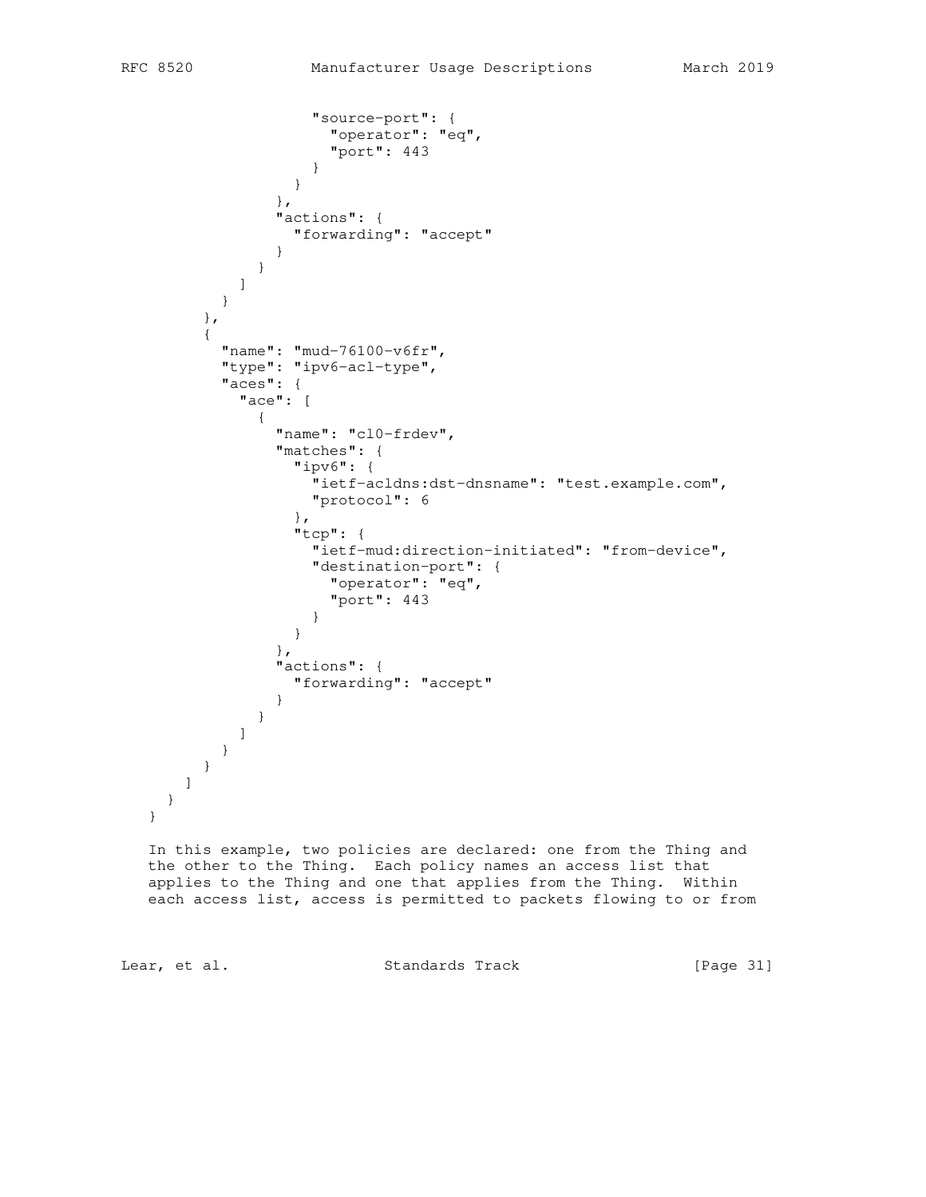```
 "source-port": {
                  "operator": "eq",
                   "port": 443
 }
 }
              },
              "actions": {
               "forwarding": "accept"
 }
 }
 ]
 }
        },
\overline{\mathcal{A}} "name": "mud-76100-v6fr",
         "type": "ipv6-acl-type",
         "aces": {
           "ace": [
 {
              "name": "cl0-frdev",
              "matches": {
               "ipv6": {
                 "ietf-acldns:dst-dnsname": "test.example.com",
                 "protocol": 6
 },
               "tcp": {
                 "ietf-mud:direction-initiated": "from-device",
                 "destination-port": {
                  "operator": "eq",
                  "port": 443
 }
 }
              },
              "actions": {
               "forwarding": "accept"
 }
 }
 ]
         }
       }
     ]
    }
```
 In this example, two policies are declared: one from the Thing and the other to the Thing. Each policy names an access list that applies to the Thing and one that applies from the Thing. Within each access list, access is permitted to packets flowing to or from

}

Lear, et al. Standards Track [Page 31]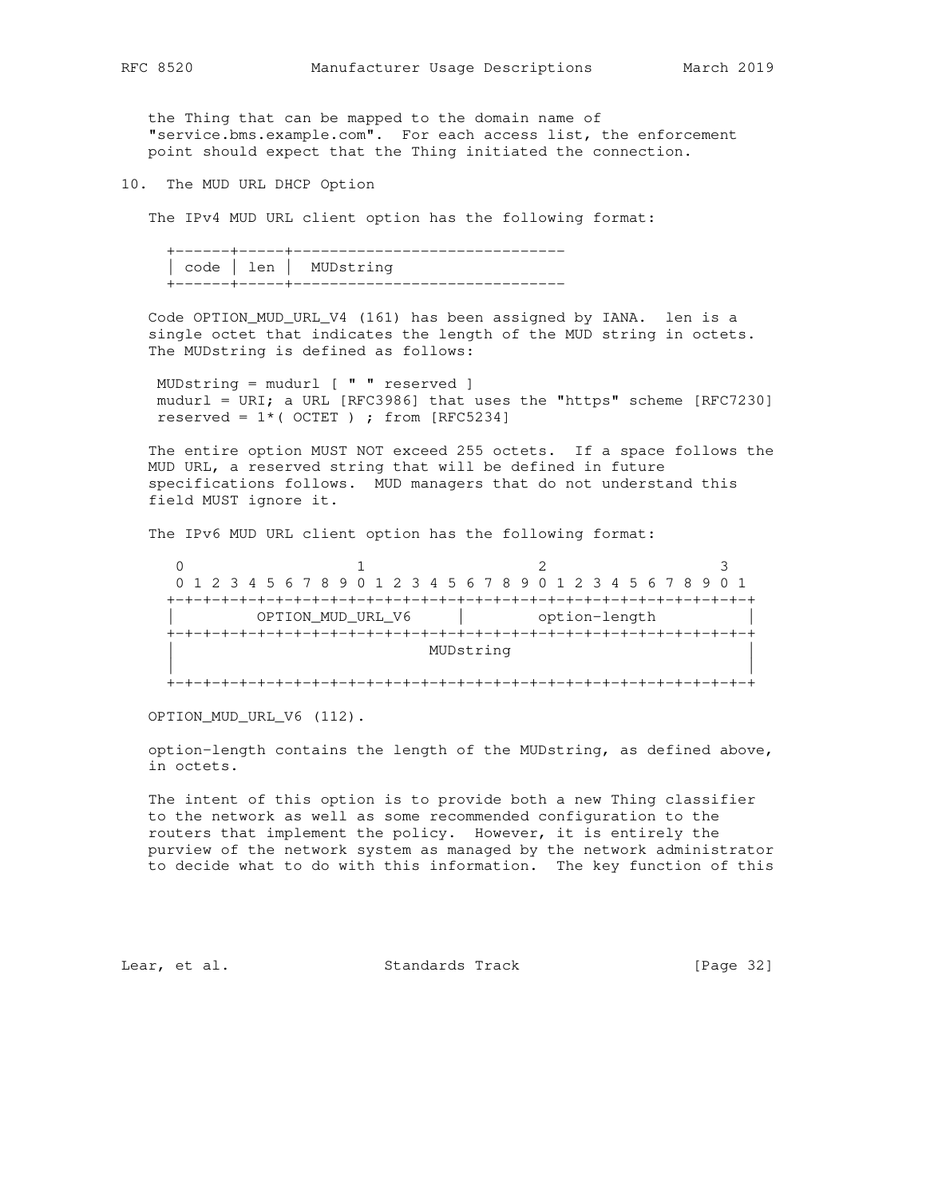the Thing that can be mapped to the domain name of "service.bms.example.com". For each access list, the enforcement point should expect that the Thing initiated the connection.

10. The MUD URL DHCP Option

The IPv4 MUD URL client option has the following format:

 +------+-----+------------------------------ | code | len | MUDstring +------+-----+------------------------------

 Code OPTION\_MUD\_URL\_V4 (161) has been assigned by IANA. len is a single octet that indicates the length of the MUD string in octets. The MUDstring is defined as follows:

 MUDstring = mudurl [ " " reserved ] mudurl = URI; a URL [RFC3986] that uses the "https" scheme [RFC7230] reserved =  $1*($  OCTET ) ; from [RFC5234]

 The entire option MUST NOT exceed 255 octets. If a space follows the MUD URL, a reserved string that will be defined in future specifications follows. MUD managers that do not understand this field MUST ignore it.

The IPv6 MUD URL client option has the following format:

0  $1$  2 3 0 1 2 3 4 5 6 7 8 9 0 1 2 3 4 5 6 7 8 9 0 1 2 3 4 5 6 7 8 9 0 1 +-+-+-+-+-+-+-+-+-+-+-+-+-+-+-+-+-+-+-+-+-+-+-+-+-+-+-+-+-+-+-+-+ OPTION\_MUD\_URL\_V6 | option-length +-+-+-+-+-+-+-+-+-+-+-+-+-+-+-+-+-+-+-+-+-+-+-+-+-+-+-+-+-+-+-+-+ MUDstring | | +-+-+-+-+-+-+-+-+-+-+-+-+-+-+-+-+-+-+-+-+-+-+-+-+-+-+-+-+-+-+-+-+

OPTION\_MUD\_URL\_V6 (112).

 option-length contains the length of the MUDstring, as defined above, in octets.

 The intent of this option is to provide both a new Thing classifier to the network as well as some recommended configuration to the routers that implement the policy. However, it is entirely the purview of the network system as managed by the network administrator to decide what to do with this information. The key function of this

Lear, et al. Standards Track [Page 32]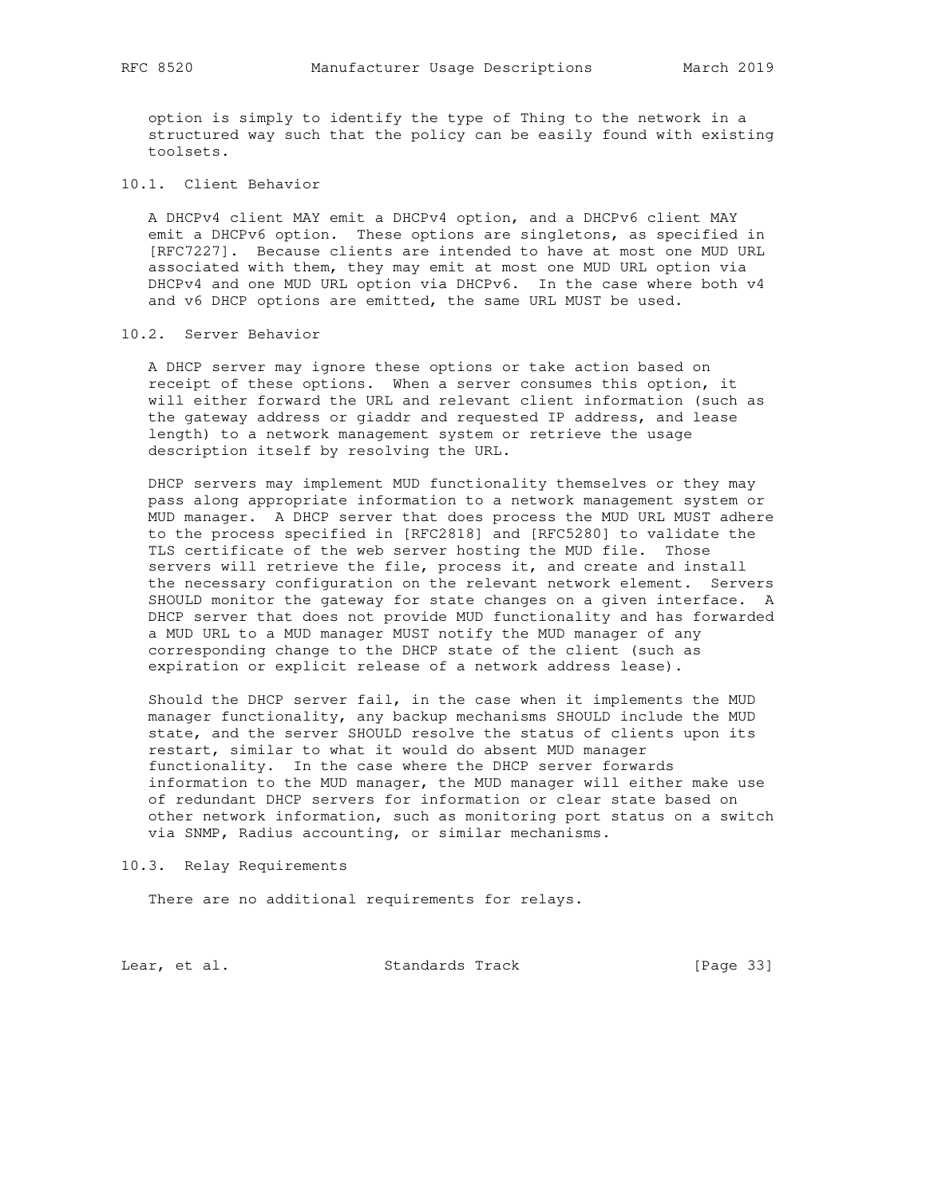option is simply to identify the type of Thing to the network in a structured way such that the policy can be easily found with existing toolsets.

# 10.1. Client Behavior

 A DHCPv4 client MAY emit a DHCPv4 option, and a DHCPv6 client MAY emit a DHCPv6 option. These options are singletons, as specified in [RFC7227]. Because clients are intended to have at most one MUD URL associated with them, they may emit at most one MUD URL option via DHCPv4 and one MUD URL option via DHCPv6. In the case where both v4 and v6 DHCP options are emitted, the same URL MUST be used.

# 10.2. Server Behavior

 A DHCP server may ignore these options or take action based on receipt of these options. When a server consumes this option, it will either forward the URL and relevant client information (such as the gateway address or giaddr and requested IP address, and lease length) to a network management system or retrieve the usage description itself by resolving the URL.

 DHCP servers may implement MUD functionality themselves or they may pass along appropriate information to a network management system or MUD manager. A DHCP server that does process the MUD URL MUST adhere to the process specified in [RFC2818] and [RFC5280] to validate the TLS certificate of the web server hosting the MUD file. Those servers will retrieve the file, process it, and create and install the necessary configuration on the relevant network element. Servers SHOULD monitor the gateway for state changes on a given interface. A DHCP server that does not provide MUD functionality and has forwarded a MUD URL to a MUD manager MUST notify the MUD manager of any corresponding change to the DHCP state of the client (such as expiration or explicit release of a network address lease).

 Should the DHCP server fail, in the case when it implements the MUD manager functionality, any backup mechanisms SHOULD include the MUD state, and the server SHOULD resolve the status of clients upon its restart, similar to what it would do absent MUD manager functionality. In the case where the DHCP server forwards information to the MUD manager, the MUD manager will either make use of redundant DHCP servers for information or clear state based on other network information, such as monitoring port status on a switch via SNMP, Radius accounting, or similar mechanisms.

10.3. Relay Requirements

There are no additional requirements for relays.

Lear, et al. Standards Track [Page 33]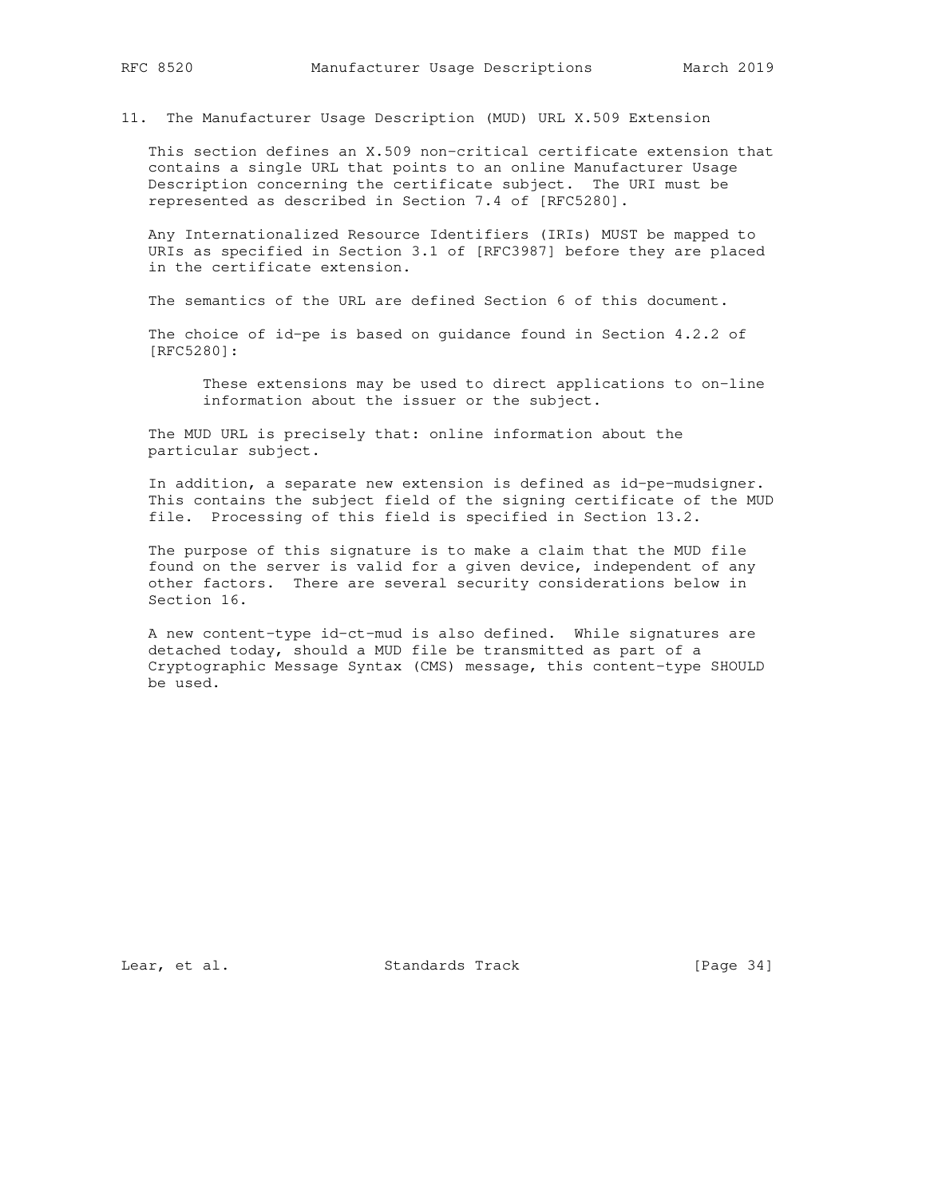11. The Manufacturer Usage Description (MUD) URL X.509 Extension

 This section defines an X.509 non-critical certificate extension that contains a single URL that points to an online Manufacturer Usage Description concerning the certificate subject. The URI must be represented as described in Section 7.4 of [RFC5280].

 Any Internationalized Resource Identifiers (IRIs) MUST be mapped to URIs as specified in Section 3.1 of [RFC3987] before they are placed in the certificate extension.

The semantics of the URL are defined Section 6 of this document.

 The choice of id-pe is based on guidance found in Section 4.2.2 of [RFC5280]:

 These extensions may be used to direct applications to on-line information about the issuer or the subject.

 The MUD URL is precisely that: online information about the particular subject.

 In addition, a separate new extension is defined as id-pe-mudsigner. This contains the subject field of the signing certificate of the MUD file. Processing of this field is specified in Section 13.2.

 The purpose of this signature is to make a claim that the MUD file found on the server is valid for a given device, independent of any other factors. There are several security considerations below in Section 16.

 A new content-type id-ct-mud is also defined. While signatures are detached today, should a MUD file be transmitted as part of a Cryptographic Message Syntax (CMS) message, this content-type SHOULD be used.

Lear, et al. Standards Track [Page 34]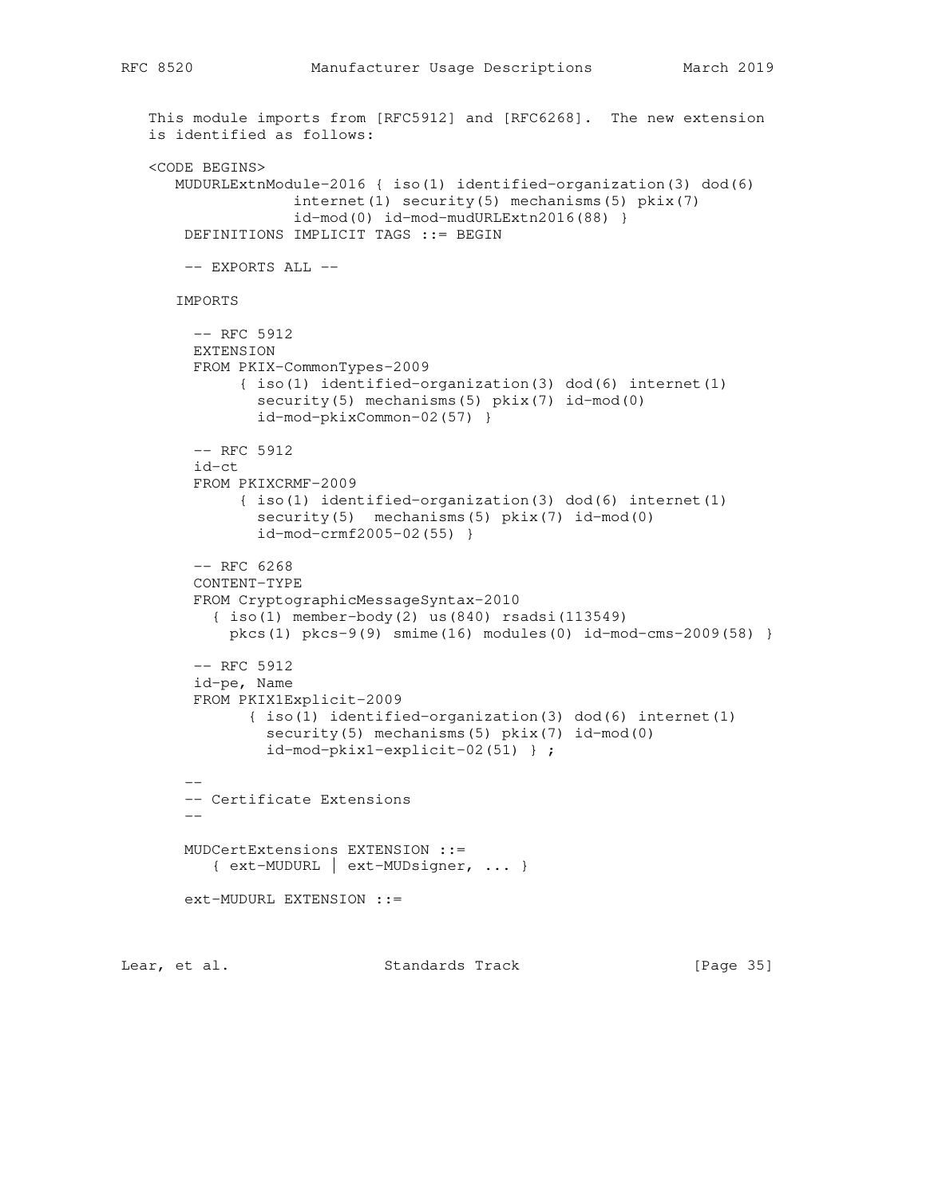```
 This module imports from [RFC5912] and [RFC6268]. The new extension
   is identified as follows:
   <CODE BEGINS>
      MUDURLExtnModule-2016 { iso(1) identified-organization(3) dod(6)
                    internet(1) security(5) mechanisms(5) pkix(7)
                    id-mod(0) id-mod-mudURLExtn2016(88) }
       DEFINITIONS IMPLICIT TAGS ::= BEGIN
      -- EXPORTS ALL --
      IMPORTS
         -- RFC 5912
        EXTENSION
        FROM PKIX-CommonTypes-2009
              { iso(1) identified-organization(3) dod(6) internet(1)
               security(5) mechanisms(5) pkix(7) id-mod(0)
                id-mod-pkixCommon-02(57) }
        -- RFC 5912
        id-ct
        FROM PKIXCRMF-2009
              { iso(1) identified-organization(3) dod(6) internet(1)
               security(5) mechanisms(5) pkix(7) id-mod(0)
                id-mod-crmf2005-02(55) }
        -- RFC 6268
        CONTENT-TYPE
        FROM CryptographicMessageSyntax-2010
           { iso(1) member-body(2) us(840) rsadsi(113549)
            pkcs(1) pkcs-9(9) smime(16) modules(0) id-mod-cms-2009(58) }
         -- RFC 5912
        id-pe, Name
        FROM PKIX1Explicit-2009
               { iso(1) identified-organization(3) dod(6) internet(1)
                security(5) mechanisms(5) pkix(7) id-mod(0)
                 id-mod-pkix1-explicit-02(51) } ;
 --
        -- Certificate Extensions
 --
       MUDCertExtensions EXTENSION ::=
           { ext-MUDURL | ext-MUDsigner, ... }
       ext-MUDURL EXTENSION ::=
```
Lear, et al. Standards Track [Page 35]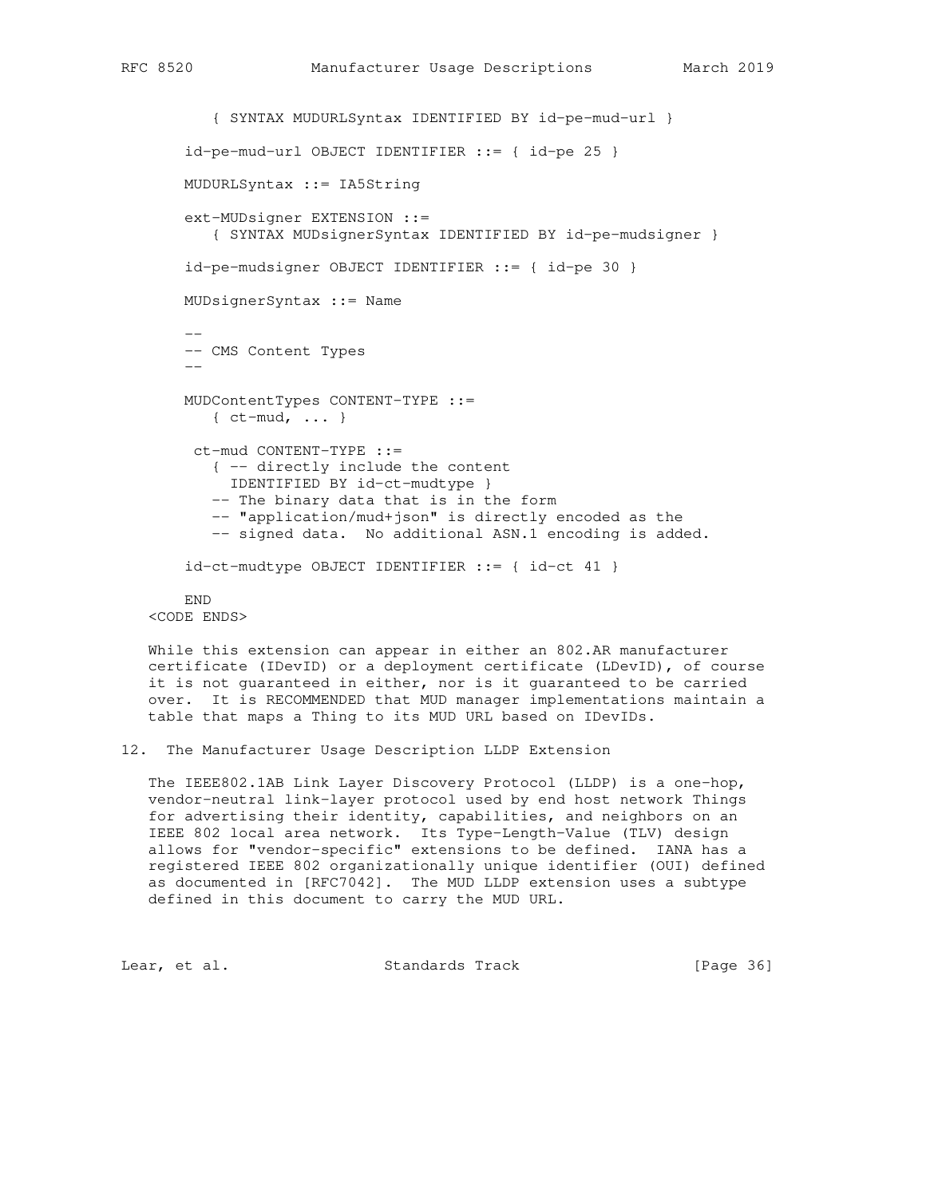```
 { SYNTAX MUDURLSyntax IDENTIFIED BY id-pe-mud-url }
       id-pe-mud-url OBJECT IDENTIFIER ::= { id-pe 25 }
       MUDURLSyntax ::= IA5String
       ext-MUDsigner EXTENSION ::=
           { SYNTAX MUDsignerSyntax IDENTIFIED BY id-pe-mudsigner }
       id-pe-mudsigner OBJECT IDENTIFIER ::= { id-pe 30 }
       MUDsignerSyntax ::= Name
 --
       -- CMS Content Types
 --
       MUDContentTypes CONTENT-TYPE ::=
          { ct-mud, ... }
        ct-mud CONTENT-TYPE ::=
           { -- directly include the content
            IDENTIFIED BY id-ct-mudtype }
          -- The binary data that is in the form
          -- "application/mud+json" is directly encoded as the
           -- signed data. No additional ASN.1 encoding is added.
      id-ct-mudtype OBJECT IDENTIFIER ::= { id-ct 41 }
       END
```
<CODE ENDS>

 While this extension can appear in either an 802.AR manufacturer certificate (IDevID) or a deployment certificate (LDevID), of course it is not guaranteed in either, nor is it guaranteed to be carried over. It is RECOMMENDED that MUD manager implementations maintain a table that maps a Thing to its MUD URL based on IDevIDs.

12. The Manufacturer Usage Description LLDP Extension

 The IEEE802.1AB Link Layer Discovery Protocol (LLDP) is a one-hop, vendor-neutral link-layer protocol used by end host network Things for advertising their identity, capabilities, and neighbors on an IEEE 802 local area network. Its Type-Length-Value (TLV) design allows for "vendor-specific" extensions to be defined. IANA has a registered IEEE 802 organizationally unique identifier (OUI) defined as documented in [RFC7042]. The MUD LLDP extension uses a subtype defined in this document to carry the MUD URL.

Lear, et al. Standards Track [Page 36]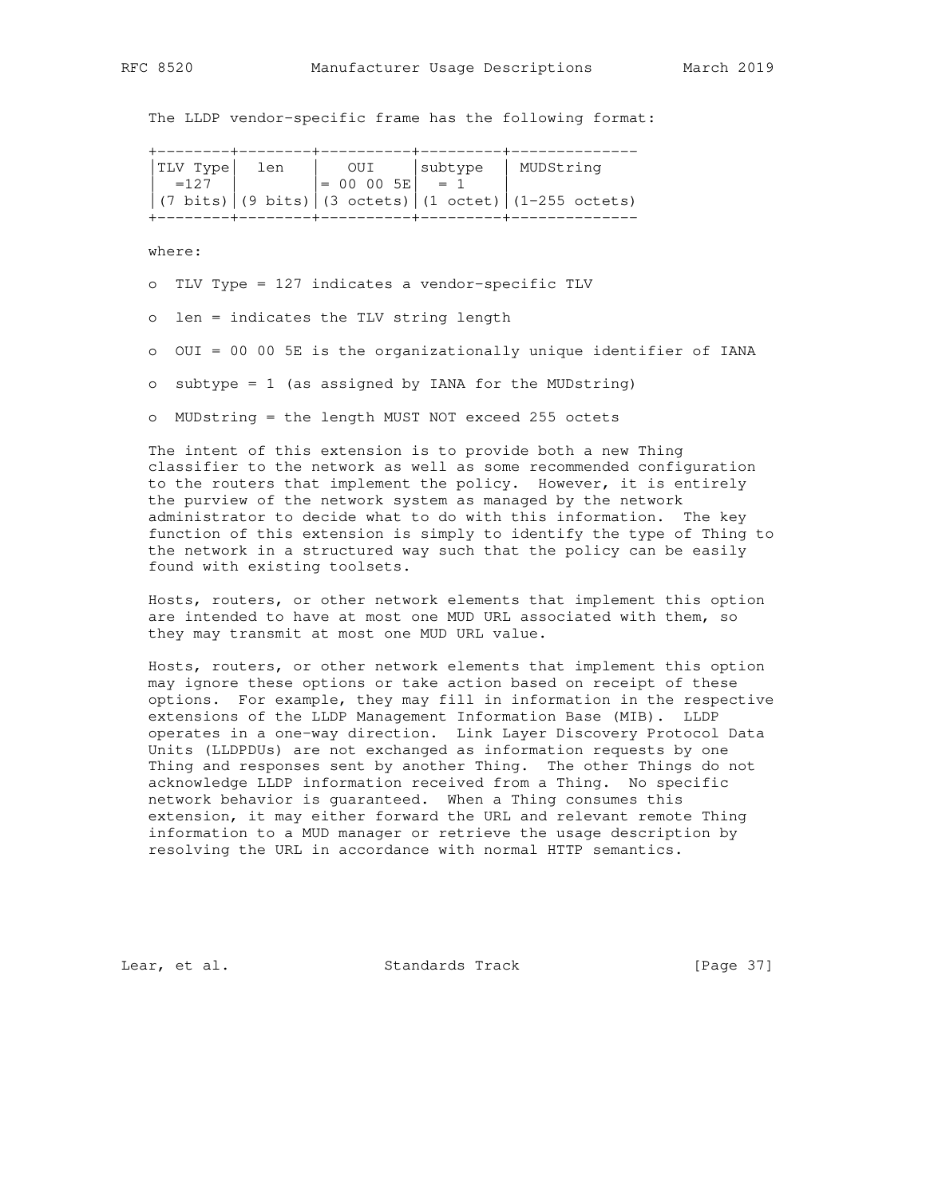The LLDP vendor-specific frame has the following format:

| $= 00 00 5E$ $= 1$<br>$\left(7 \text{ bits}\right) \left(9 \text{ bits}\right) \left(3 \text{ octets}\right) \left(1 \text{ octet}\right) \left(1-255 \text{ octets}\right)$ | $ TLV $ Type $ $<br>$=127$ | len | OUI | <i>subtype</i> | MUDString |
|------------------------------------------------------------------------------------------------------------------------------------------------------------------------------|----------------------------|-----|-----|----------------|-----------|
|                                                                                                                                                                              |                            |     |     |                |           |

where:

o TLV Type = 127 indicates a vendor-specific TLV

o len = indicates the TLV string length

o OUI = 00 00 5E is the organizationally unique identifier of IANA

o subtype = 1 (as assigned by IANA for the MUDstring)

o MUDstring = the length MUST NOT exceed 255 octets

 The intent of this extension is to provide both a new Thing classifier to the network as well as some recommended configuration to the routers that implement the policy. However, it is entirely the purview of the network system as managed by the network administrator to decide what to do with this information. The key function of this extension is simply to identify the type of Thing to the network in a structured way such that the policy can be easily found with existing toolsets.

 Hosts, routers, or other network elements that implement this option are intended to have at most one MUD URL associated with them, so they may transmit at most one MUD URL value.

 Hosts, routers, or other network elements that implement this option may ignore these options or take action based on receipt of these options. For example, they may fill in information in the respective extensions of the LLDP Management Information Base (MIB). LLDP operates in a one-way direction. Link Layer Discovery Protocol Data Units (LLDPDUs) are not exchanged as information requests by one Thing and responses sent by another Thing. The other Things do not acknowledge LLDP information received from a Thing. No specific network behavior is guaranteed. When a Thing consumes this extension, it may either forward the URL and relevant remote Thing information to a MUD manager or retrieve the usage description by resolving the URL in accordance with normal HTTP semantics.

Lear, et al. Standards Track [Page 37]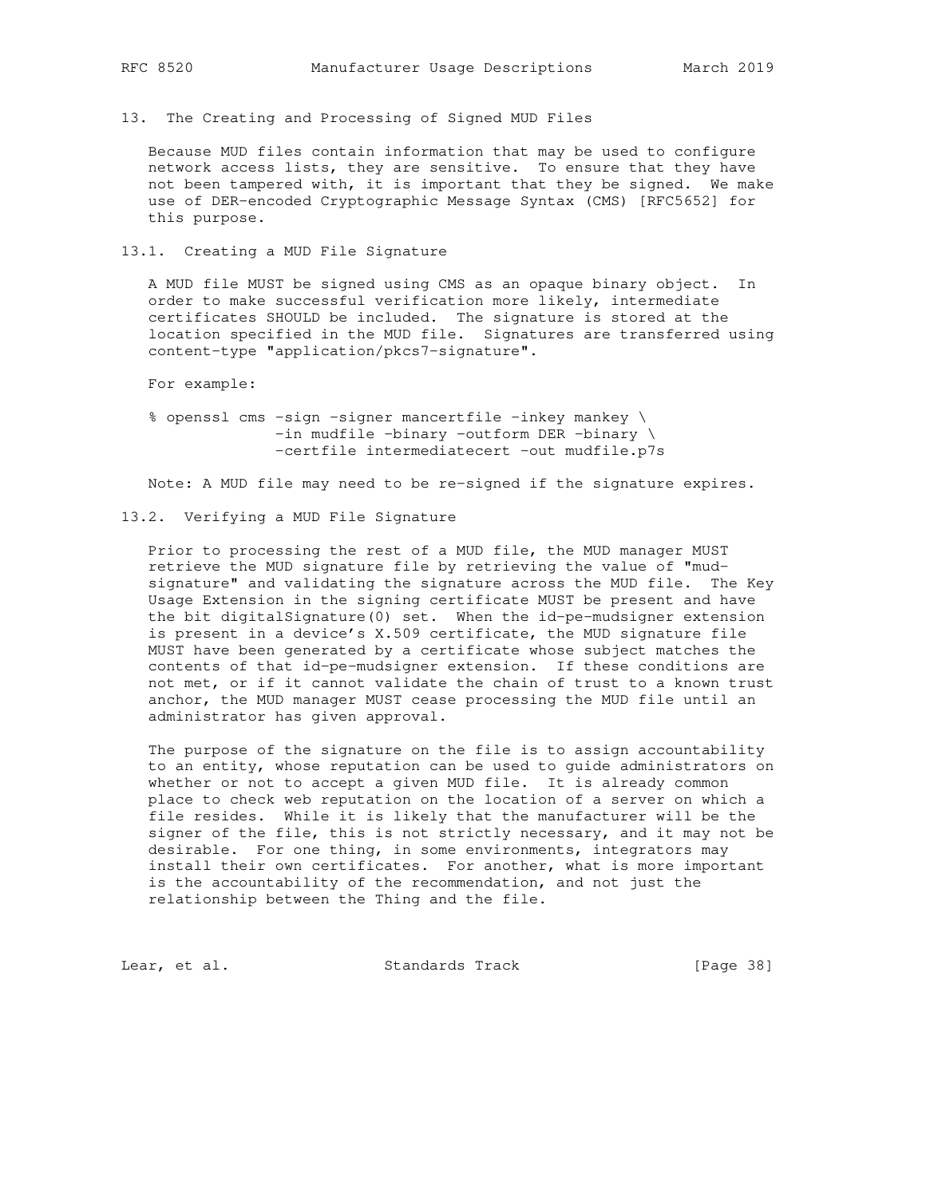13. The Creating and Processing of Signed MUD Files

 Because MUD files contain information that may be used to configure network access lists, they are sensitive. To ensure that they have not been tampered with, it is important that they be signed. We make use of DER-encoded Cryptographic Message Syntax (CMS) [RFC5652] for this purpose.

13.1. Creating a MUD File Signature

 A MUD file MUST be signed using CMS as an opaque binary object. In order to make successful verification more likely, intermediate certificates SHOULD be included. The signature is stored at the location specified in the MUD file. Signatures are transferred using content-type "application/pkcs7-signature".

For example:

 % openssl cms -sign -signer mancertfile -inkey mankey \ -in mudfile -binary -outform DER -binary \ -certfile intermediatecert -out mudfile.p7s

Note: A MUD file may need to be re-signed if the signature expires.

## 13.2. Verifying a MUD File Signature

 Prior to processing the rest of a MUD file, the MUD manager MUST retrieve the MUD signature file by retrieving the value of "mud signature" and validating the signature across the MUD file. The Key Usage Extension in the signing certificate MUST be present and have the bit digitalSignature(0) set. When the id-pe-mudsigner extension is present in a device's X.509 certificate, the MUD signature file MUST have been generated by a certificate whose subject matches the contents of that id-pe-mudsigner extension. If these conditions are not met, or if it cannot validate the chain of trust to a known trust anchor, the MUD manager MUST cease processing the MUD file until an administrator has given approval.

 The purpose of the signature on the file is to assign accountability to an entity, whose reputation can be used to guide administrators on whether or not to accept a given MUD file. It is already common place to check web reputation on the location of a server on which a file resides. While it is likely that the manufacturer will be the signer of the file, this is not strictly necessary, and it may not be desirable. For one thing, in some environments, integrators may install their own certificates. For another, what is more important is the accountability of the recommendation, and not just the relationship between the Thing and the file.

Lear, et al. Standards Track [Page 38]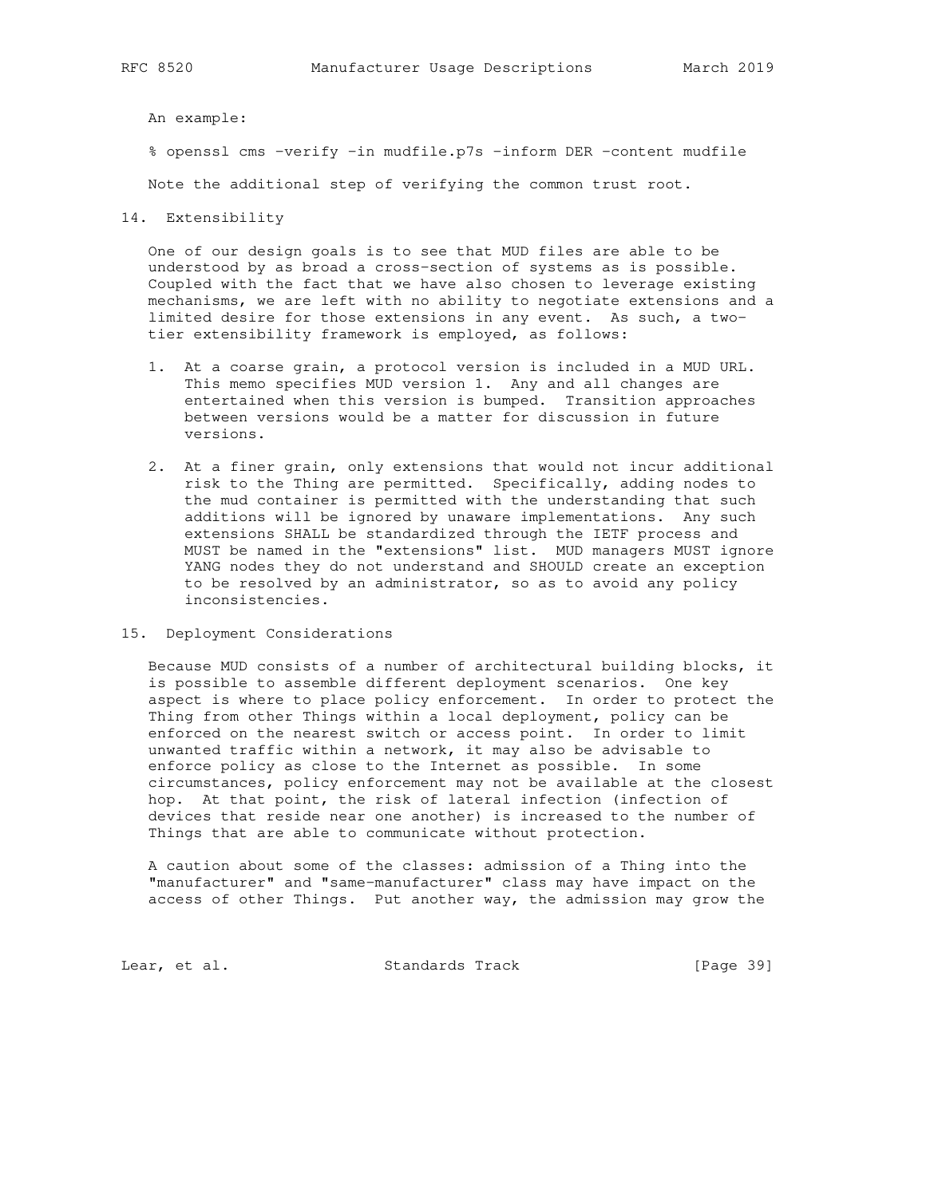An example:

% openssl cms -verify -in mudfile.p7s -inform DER -content mudfile

Note the additional step of verifying the common trust root.

14. Extensibility

 One of our design goals is to see that MUD files are able to be understood by as broad a cross-section of systems as is possible. Coupled with the fact that we have also chosen to leverage existing mechanisms, we are left with no ability to negotiate extensions and a limited desire for those extensions in any event. As such, a two tier extensibility framework is employed, as follows:

- 1. At a coarse grain, a protocol version is included in a MUD URL. This memo specifies MUD version 1. Any and all changes are entertained when this version is bumped. Transition approaches between versions would be a matter for discussion in future versions.
- 2. At a finer grain, only extensions that would not incur additional risk to the Thing are permitted. Specifically, adding nodes to the mud container is permitted with the understanding that such additions will be ignored by unaware implementations. Any such extensions SHALL be standardized through the IETF process and MUST be named in the "extensions" list. MUD managers MUST ignore YANG nodes they do not understand and SHOULD create an exception to be resolved by an administrator, so as to avoid any policy inconsistencies.
- 15. Deployment Considerations

 Because MUD consists of a number of architectural building blocks, it is possible to assemble different deployment scenarios. One key aspect is where to place policy enforcement. In order to protect the Thing from other Things within a local deployment, policy can be enforced on the nearest switch or access point. In order to limit unwanted traffic within a network, it may also be advisable to enforce policy as close to the Internet as possible. In some circumstances, policy enforcement may not be available at the closest hop. At that point, the risk of lateral infection (infection of devices that reside near one another) is increased to the number of Things that are able to communicate without protection.

 A caution about some of the classes: admission of a Thing into the "manufacturer" and "same-manufacturer" class may have impact on the access of other Things. Put another way, the admission may grow the

Lear, et al. Standards Track [Page 39]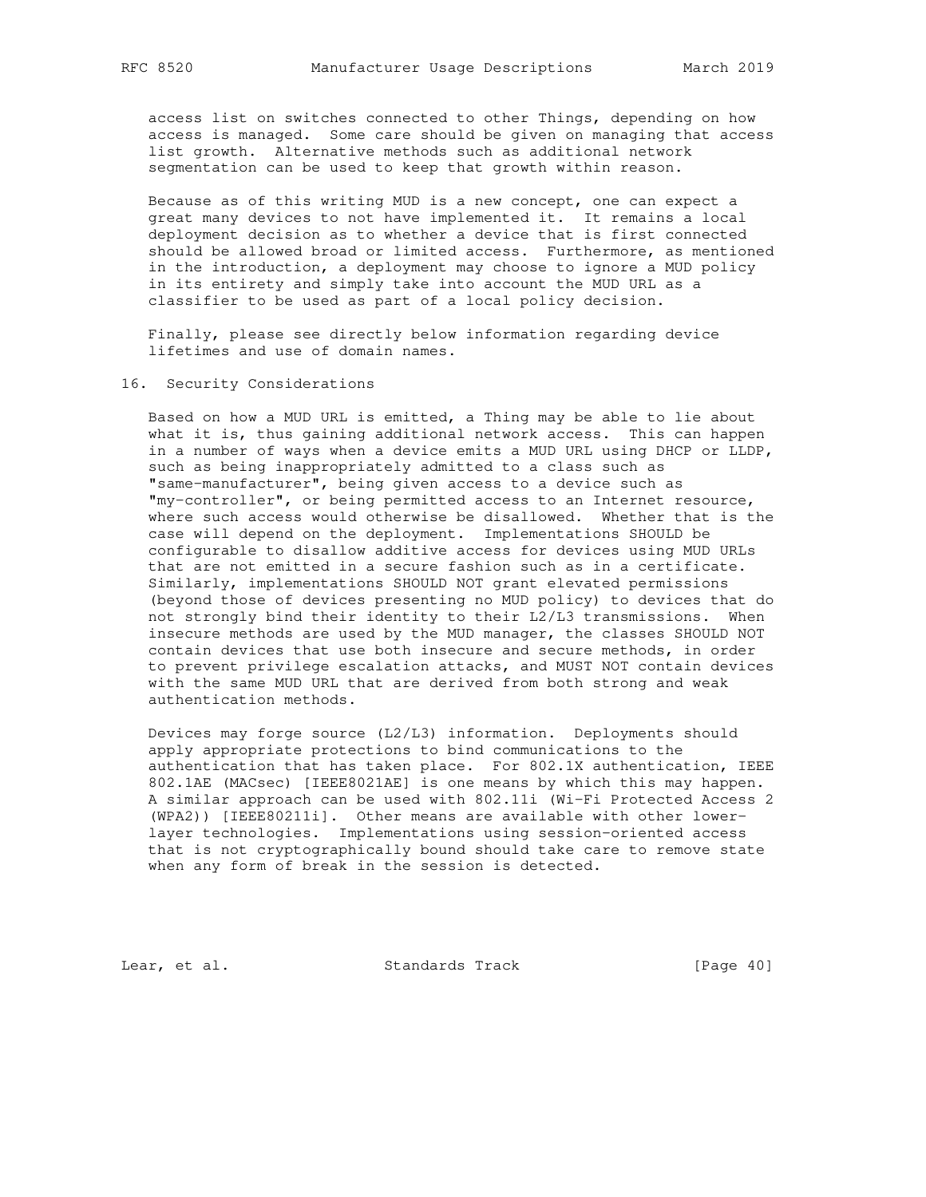access list on switches connected to other Things, depending on how access is managed. Some care should be given on managing that access list growth. Alternative methods such as additional network segmentation can be used to keep that growth within reason.

 Because as of this writing MUD is a new concept, one can expect a great many devices to not have implemented it. It remains a local deployment decision as to whether a device that is first connected should be allowed broad or limited access. Furthermore, as mentioned in the introduction, a deployment may choose to ignore a MUD policy in its entirety and simply take into account the MUD URL as a classifier to be used as part of a local policy decision.

 Finally, please see directly below information regarding device lifetimes and use of domain names.

### 16. Security Considerations

 Based on how a MUD URL is emitted, a Thing may be able to lie about what it is, thus gaining additional network access. This can happen in a number of ways when a device emits a MUD URL using DHCP or LLDP, such as being inappropriately admitted to a class such as "same-manufacturer", being given access to a device such as "my-controller", or being permitted access to an Internet resource, where such access would otherwise be disallowed. Whether that is the case will depend on the deployment. Implementations SHOULD be configurable to disallow additive access for devices using MUD URLs that are not emitted in a secure fashion such as in a certificate. Similarly, implementations SHOULD NOT grant elevated permissions (beyond those of devices presenting no MUD policy) to devices that do not strongly bind their identity to their L2/L3 transmissions. When insecure methods are used by the MUD manager, the classes SHOULD NOT contain devices that use both insecure and secure methods, in order to prevent privilege escalation attacks, and MUST NOT contain devices with the same MUD URL that are derived from both strong and weak authentication methods.

 Devices may forge source (L2/L3) information. Deployments should apply appropriate protections to bind communications to the authentication that has taken place. For 802.1X authentication, IEEE 802.1AE (MACsec) [IEEE8021AE] is one means by which this may happen. A similar approach can be used with 802.11i (Wi-Fi Protected Access 2 (WPA2)) [IEEE80211i]. Other means are available with other lower layer technologies. Implementations using session-oriented access that is not cryptographically bound should take care to remove state when any form of break in the session is detected.

Lear, et al. Standards Track [Page 40]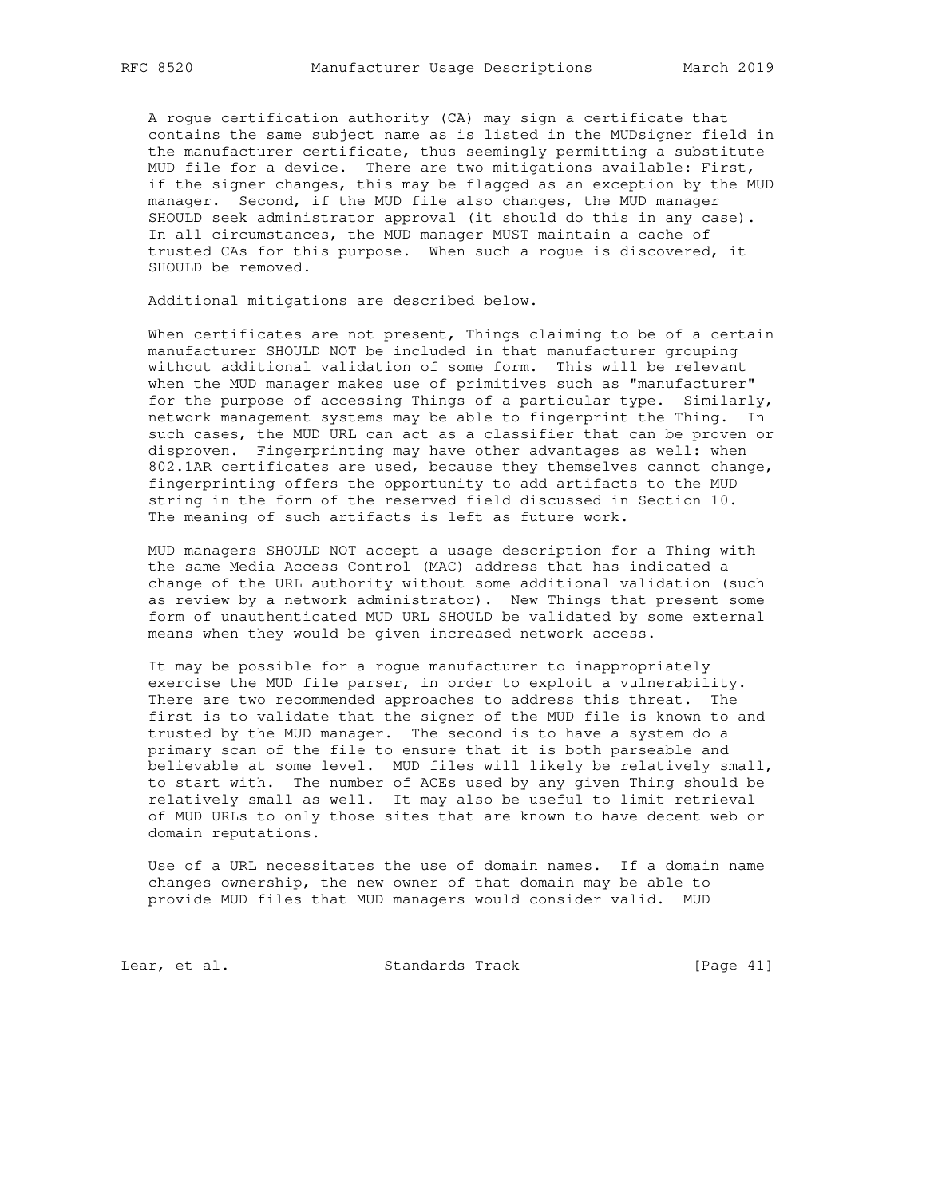A rogue certification authority (CA) may sign a certificate that contains the same subject name as is listed in the MUDsigner field in the manufacturer certificate, thus seemingly permitting a substitute MUD file for a device. There are two mitigations available: First, if the signer changes, this may be flagged as an exception by the MUD manager. Second, if the MUD file also changes, the MUD manager SHOULD seek administrator approval (it should do this in any case). In all circumstances, the MUD manager MUST maintain a cache of trusted CAs for this purpose. When such a rogue is discovered, it SHOULD be removed.

Additional mitigations are described below.

 When certificates are not present, Things claiming to be of a certain manufacturer SHOULD NOT be included in that manufacturer grouping without additional validation of some form. This will be relevant when the MUD manager makes use of primitives such as "manufacturer" for the purpose of accessing Things of a particular type. Similarly, network management systems may be able to fingerprint the Thing. In such cases, the MUD URL can act as a classifier that can be proven or disproven. Fingerprinting may have other advantages as well: when 802.1AR certificates are used, because they themselves cannot change, fingerprinting offers the opportunity to add artifacts to the MUD string in the form of the reserved field discussed in Section 10. The meaning of such artifacts is left as future work.

 MUD managers SHOULD NOT accept a usage description for a Thing with the same Media Access Control (MAC) address that has indicated a change of the URL authority without some additional validation (such as review by a network administrator). New Things that present some form of unauthenticated MUD URL SHOULD be validated by some external means when they would be given increased network access.

 It may be possible for a rogue manufacturer to inappropriately exercise the MUD file parser, in order to exploit a vulnerability. There are two recommended approaches to address this threat. The first is to validate that the signer of the MUD file is known to and trusted by the MUD manager. The second is to have a system do a primary scan of the file to ensure that it is both parseable and believable at some level. MUD files will likely be relatively small, to start with. The number of ACEs used by any given Thing should be relatively small as well. It may also be useful to limit retrieval of MUD URLs to only those sites that are known to have decent web or domain reputations.

 Use of a URL necessitates the use of domain names. If a domain name changes ownership, the new owner of that domain may be able to provide MUD files that MUD managers would consider valid. MUD

Lear, et al. Standards Track [Page 41]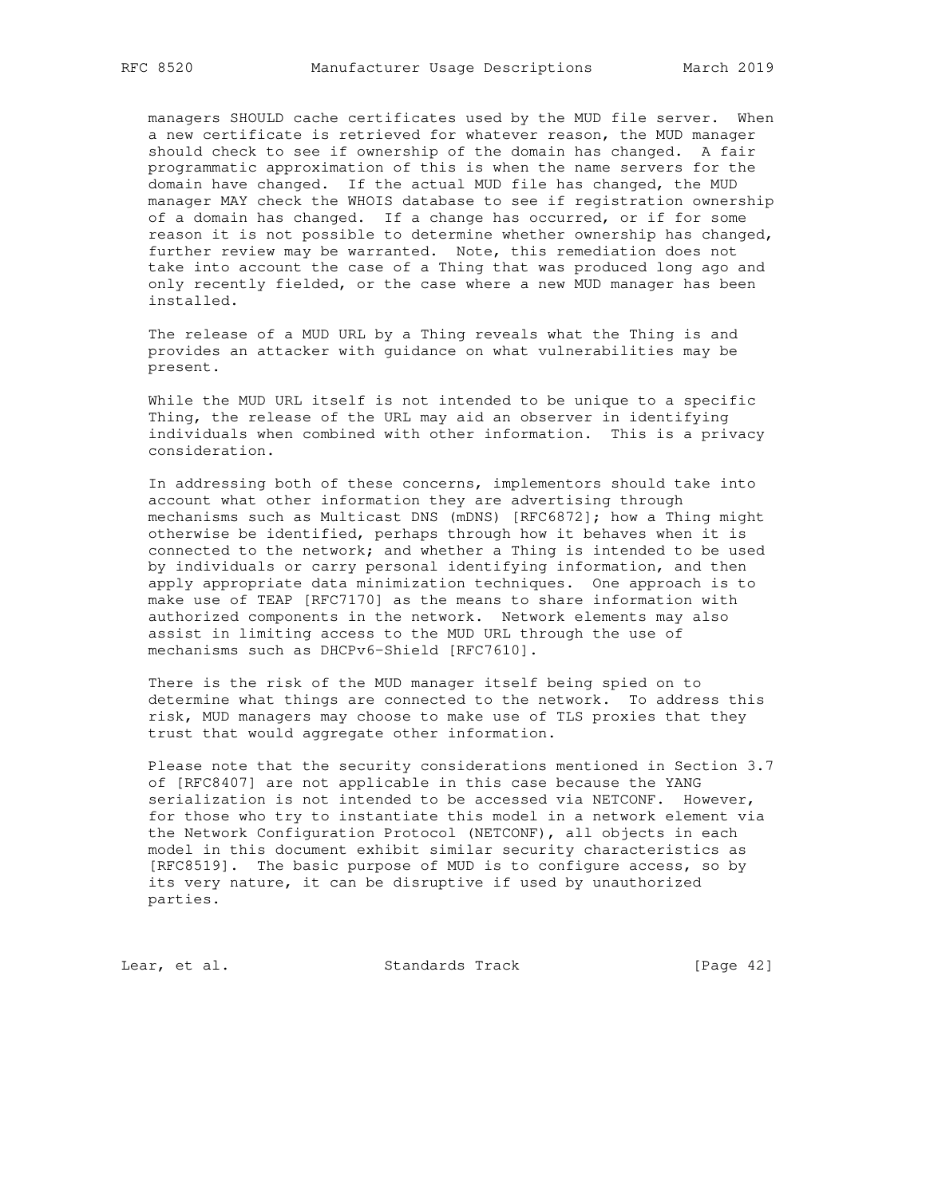managers SHOULD cache certificates used by the MUD file server. When a new certificate is retrieved for whatever reason, the MUD manager should check to see if ownership of the domain has changed. A fair programmatic approximation of this is when the name servers for the domain have changed. If the actual MUD file has changed, the MUD manager MAY check the WHOIS database to see if registration ownership of a domain has changed. If a change has occurred, or if for some reason it is not possible to determine whether ownership has changed, further review may be warranted. Note, this remediation does not take into account the case of a Thing that was produced long ago and only recently fielded, or the case where a new MUD manager has been installed.

 The release of a MUD URL by a Thing reveals what the Thing is and provides an attacker with guidance on what vulnerabilities may be present.

 While the MUD URL itself is not intended to be unique to a specific Thing, the release of the URL may aid an observer in identifying individuals when combined with other information. This is a privacy consideration.

 In addressing both of these concerns, implementors should take into account what other information they are advertising through mechanisms such as Multicast DNS (mDNS) [RFC6872]; how a Thing might otherwise be identified, perhaps through how it behaves when it is connected to the network; and whether a Thing is intended to be used by individuals or carry personal identifying information, and then apply appropriate data minimization techniques. One approach is to make use of TEAP [RFC7170] as the means to share information with authorized components in the network. Network elements may also assist in limiting access to the MUD URL through the use of mechanisms such as DHCPv6-Shield [RFC7610].

 There is the risk of the MUD manager itself being spied on to determine what things are connected to the network. To address this risk, MUD managers may choose to make use of TLS proxies that they trust that would aggregate other information.

 Please note that the security considerations mentioned in Section 3.7 of [RFC8407] are not applicable in this case because the YANG serialization is not intended to be accessed via NETCONF. However, for those who try to instantiate this model in a network element via the Network Configuration Protocol (NETCONF), all objects in each model in this document exhibit similar security characteristics as [RFC8519]. The basic purpose of MUD is to configure access, so by its very nature, it can be disruptive if used by unauthorized parties.

Lear, et al. Standards Track [Page 42]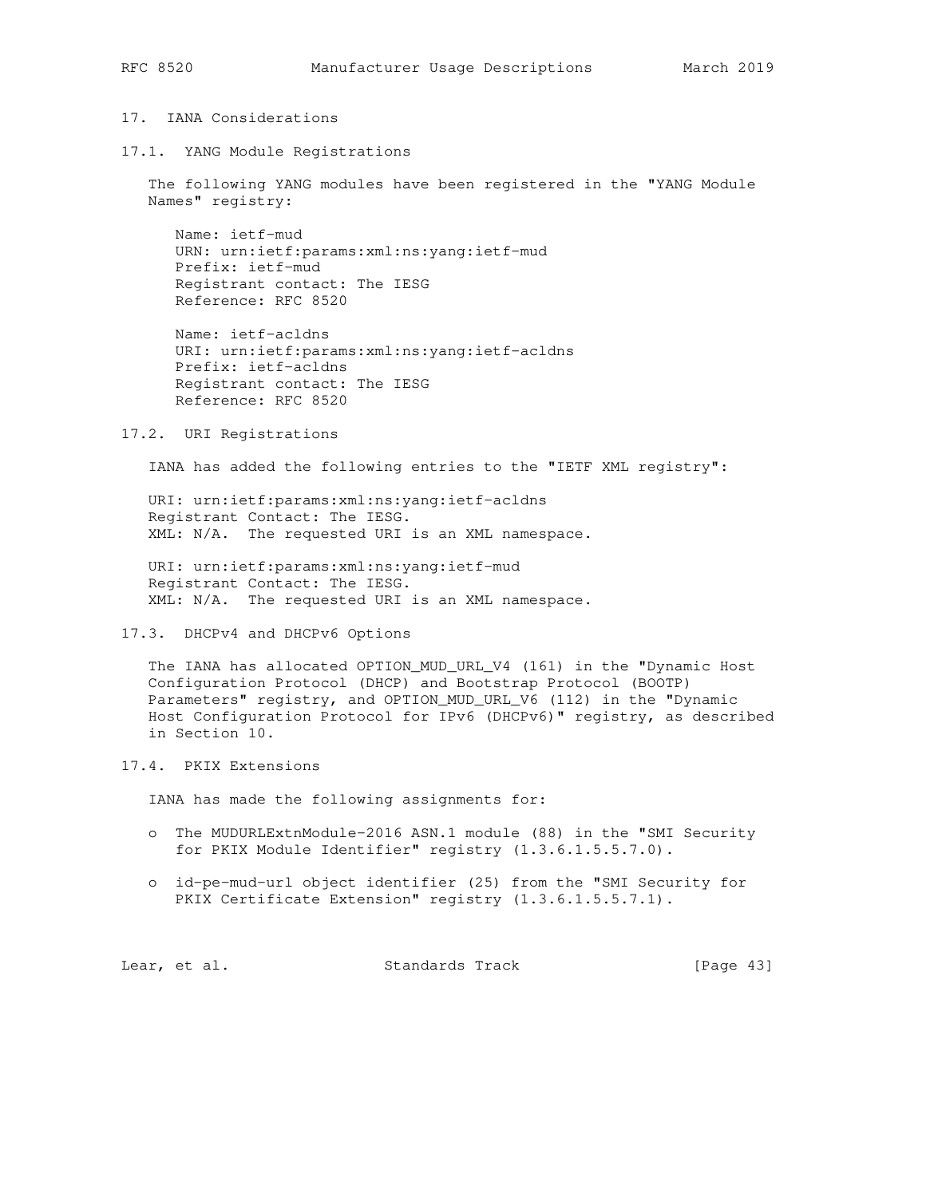# 17. IANA Considerations

17.1. YANG Module Registrations

 The following YANG modules have been registered in the "YANG Module Names" registry:

 Name: ietf-mud URN: urn:ietf:params:xml:ns:yang:ietf-mud Prefix: ietf-mud Registrant contact: The IESG Reference: RFC 8520

 Name: ietf-acldns URI: urn:ietf:params:xml:ns:yang:ietf-acldns Prefix: ietf-acldns Registrant contact: The IESG Reference: RFC 8520

#### 17.2. URI Registrations

IANA has added the following entries to the "IETF XML registry":

 URI: urn:ietf:params:xml:ns:yang:ietf-acldns Registrant Contact: The IESG. XML: N/A. The requested URI is an XML namespace.

 URI: urn:ietf:params:xml:ns:yang:ietf-mud Registrant Contact: The IESG. XML: N/A. The requested URI is an XML namespace.

17.3. DHCPv4 and DHCPv6 Options

 The IANA has allocated OPTION\_MUD\_URL\_V4 (161) in the "Dynamic Host Configuration Protocol (DHCP) and Bootstrap Protocol (BOOTP) Parameters" registry, and OPTION\_MUD\_URL\_V6 (112) in the "Dynamic Host Configuration Protocol for IPv6 (DHCPv6)" registry, as described in Section 10.

# 17.4. PKIX Extensions

IANA has made the following assignments for:

- o The MUDURLExtnModule-2016 ASN.1 module (88) in the "SMI Security for PKIX Module Identifier" registry (1.3.6.1.5.5.7.0).
- o id-pe-mud-url object identifier (25) from the "SMI Security for PKIX Certificate Extension" registry (1.3.6.1.5.5.7.1).

Lear, et al. Standards Track [Page 43]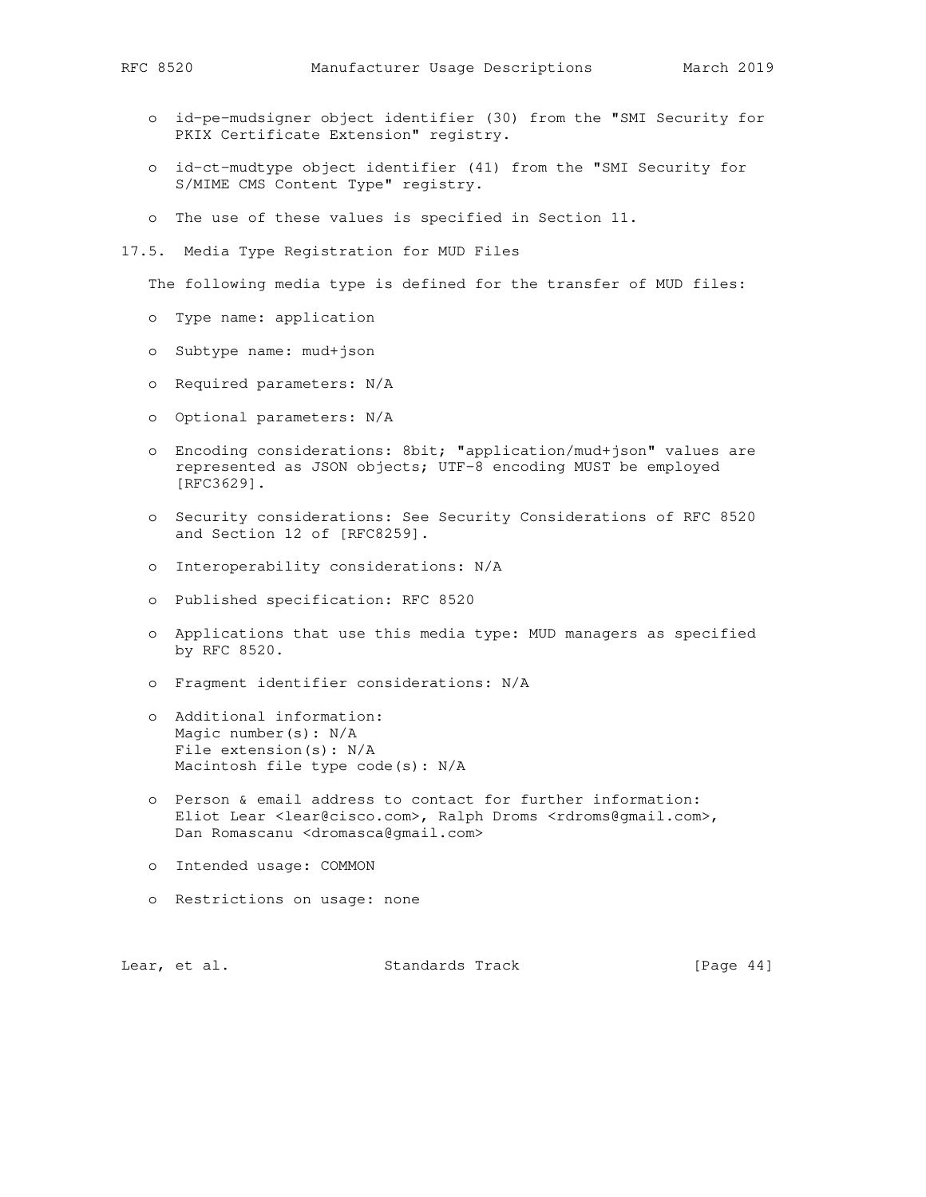- o id-pe-mudsigner object identifier (30) from the "SMI Security for PKIX Certificate Extension" registry.
- o id-ct-mudtype object identifier (41) from the "SMI Security for S/MIME CMS Content Type" registry.
- o The use of these values is specified in Section 11.
- 17.5. Media Type Registration for MUD Files

The following media type is defined for the transfer of MUD files:

- o Type name: application
- o Subtype name: mud+json
- o Required parameters: N/A
- o Optional parameters: N/A
- o Encoding considerations: 8bit; "application/mud+json" values are represented as JSON objects; UTF-8 encoding MUST be employed [RFC3629].
- o Security considerations: See Security Considerations of RFC 8520 and Section 12 of [RFC8259].
- o Interoperability considerations: N/A
- o Published specification: RFC 8520
- o Applications that use this media type: MUD managers as specified by RFC 8520.
- o Fragment identifier considerations: N/A
- o Additional information: Magic number(s): N/A File extension(s): N/A Macintosh file type code(s): N/A
- o Person & email address to contact for further information: Eliot Lear <lear@cisco.com>, Ralph Droms <rdroms@gmail.com>, Dan Romascanu <dromasca@gmail.com>
- o Intended usage: COMMON
- o Restrictions on usage: none

Lear, et al. Standards Track [Page 44]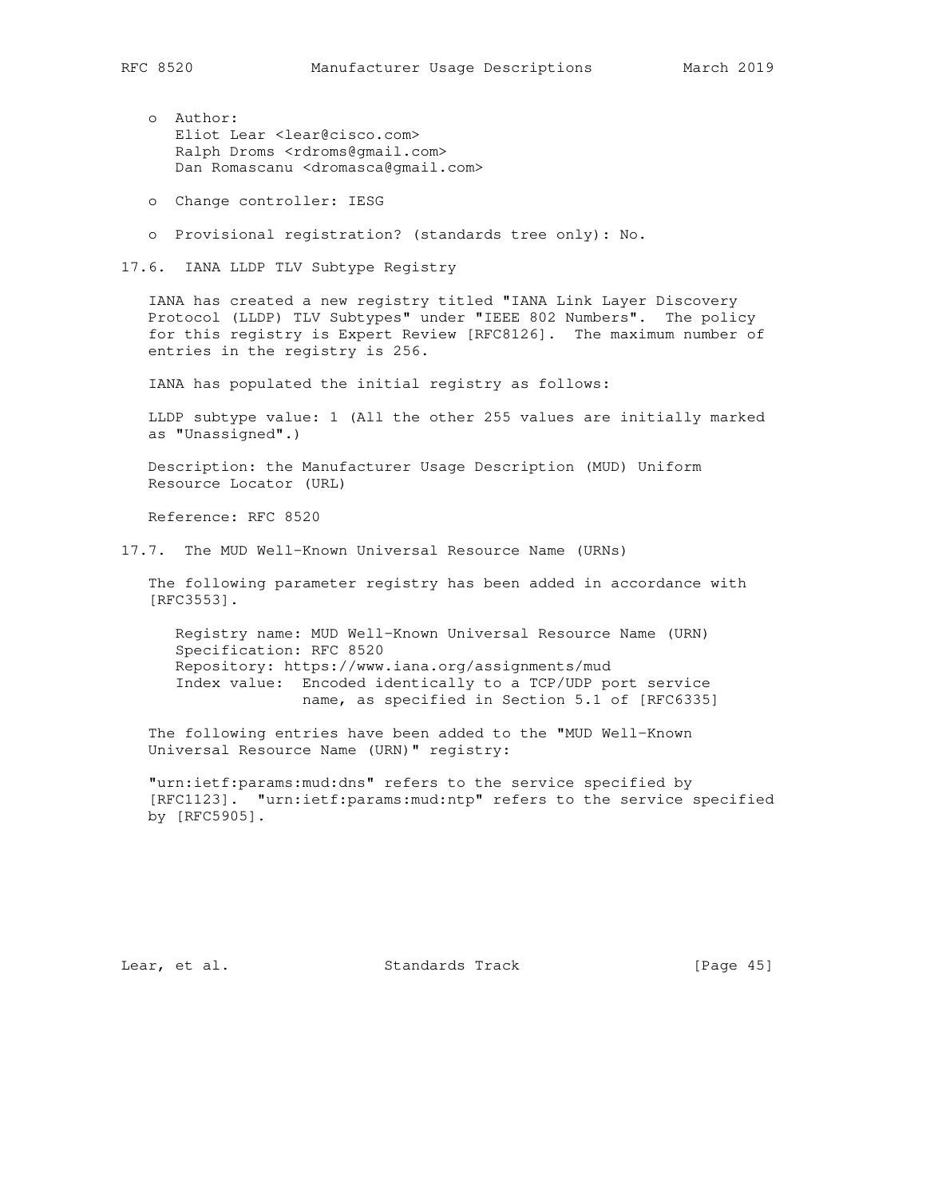- o Author: Eliot Lear <lear@cisco.com> Ralph Droms <rdroms@gmail.com> Dan Romascanu <dromasca@gmail.com>
- o Change controller: IESG
- o Provisional registration? (standards tree only): No.

17.6. IANA LLDP TLV Subtype Registry

 IANA has created a new registry titled "IANA Link Layer Discovery Protocol (LLDP) TLV Subtypes" under "IEEE 802 Numbers". The policy for this registry is Expert Review [RFC8126]. The maximum number of entries in the registry is 256.

IANA has populated the initial registry as follows:

 LLDP subtype value: 1 (All the other 255 values are initially marked as "Unassigned".)

 Description: the Manufacturer Usage Description (MUD) Uniform Resource Locator (URL)

Reference: RFC 8520

17.7. The MUD Well-Known Universal Resource Name (URNs)

 The following parameter registry has been added in accordance with [RFC3553].

 Registry name: MUD Well-Known Universal Resource Name (URN) Specification: RFC 8520 Repository: https://www.iana.org/assignments/mud Index value: Encoded identically to a TCP/UDP port service name, as specified in Section 5.1 of [RFC6335]

 The following entries have been added to the "MUD Well-Known Universal Resource Name (URN)" registry:

 "urn:ietf:params:mud:dns" refers to the service specified by [RFC1123]. "urn:ietf:params:mud:ntp" refers to the service specified by [RFC5905].

Lear, et al. Standards Track [Page 45]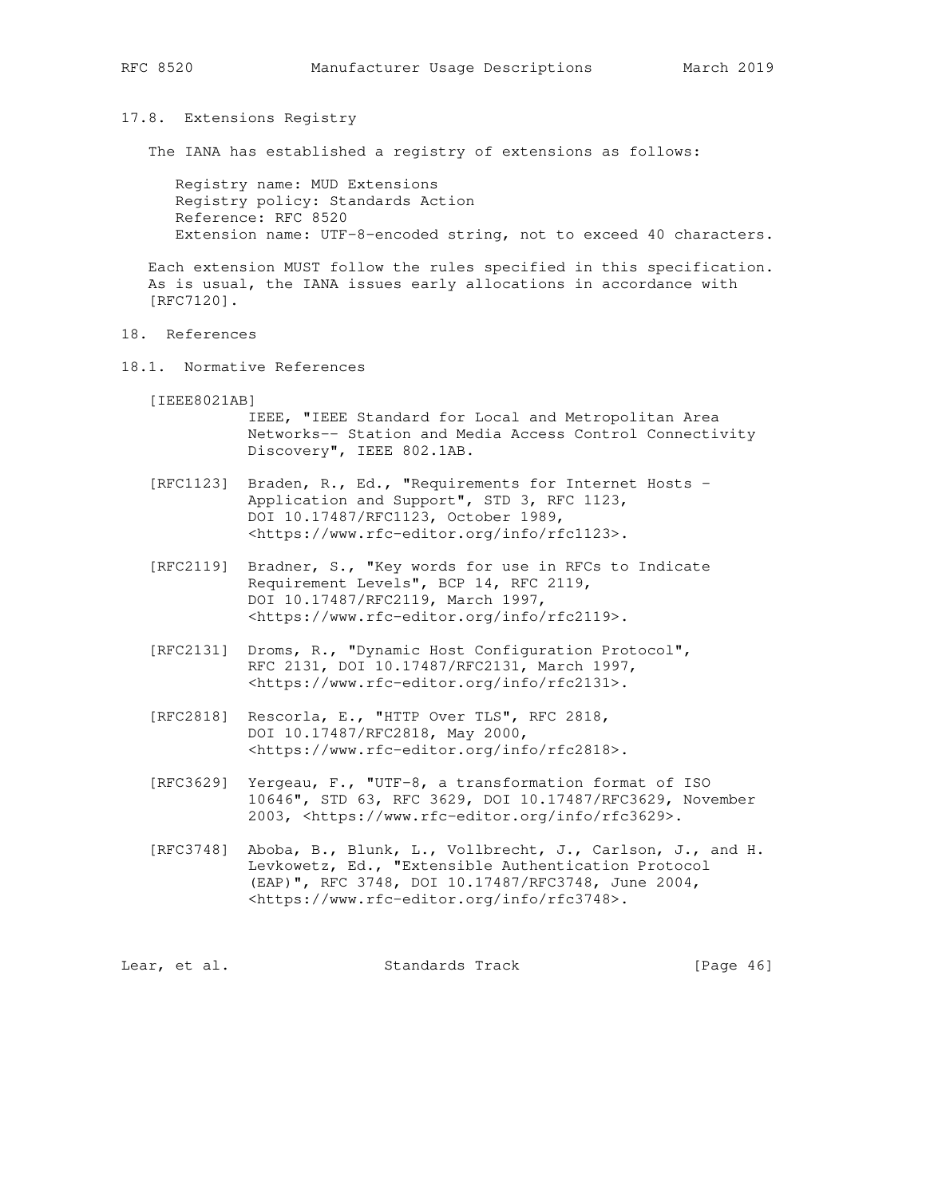17.8. Extensions Registry

The IANA has established a registry of extensions as follows:

 Registry name: MUD Extensions Registry policy: Standards Action Reference: RFC 8520 Extension name: UTF-8-encoded string, not to exceed 40 characters.

 Each extension MUST follow the rules specified in this specification. As is usual, the IANA issues early allocations in accordance with [RFC7120].

- 18. References
- 18.1. Normative References

[IEEE8021AB]

 IEEE, "IEEE Standard for Local and Metropolitan Area Networks-- Station and Media Access Control Connectivity Discovery", IEEE 802.1AB.

- [RFC1123] Braden, R., Ed., "Requirements for Internet Hosts Application and Support", STD 3, RFC 1123, DOI 10.17487/RFC1123, October 1989, <https://www.rfc-editor.org/info/rfc1123>.
- [RFC2119] Bradner, S., "Key words for use in RFCs to Indicate Requirement Levels", BCP 14, RFC 2119, DOI 10.17487/RFC2119, March 1997, <https://www.rfc-editor.org/info/rfc2119>.
- [RFC2131] Droms, R., "Dynamic Host Configuration Protocol", RFC 2131, DOI 10.17487/RFC2131, March 1997, <https://www.rfc-editor.org/info/rfc2131>.
- [RFC2818] Rescorla, E., "HTTP Over TLS", RFC 2818, DOI 10.17487/RFC2818, May 2000, <https://www.rfc-editor.org/info/rfc2818>.
- [RFC3629] Yergeau, F., "UTF-8, a transformation format of ISO 10646", STD 63, RFC 3629, DOI 10.17487/RFC3629, November 2003, <https://www.rfc-editor.org/info/rfc3629>.
- [RFC3748] Aboba, B., Blunk, L., Vollbrecht, J., Carlson, J., and H. Levkowetz, Ed., "Extensible Authentication Protocol (EAP)", RFC 3748, DOI 10.17487/RFC3748, June 2004, <https://www.rfc-editor.org/info/rfc3748>.

| [Page $46$ ]<br>Standards Track<br>Lear, et al. |  |  |
|-------------------------------------------------|--|--|
|-------------------------------------------------|--|--|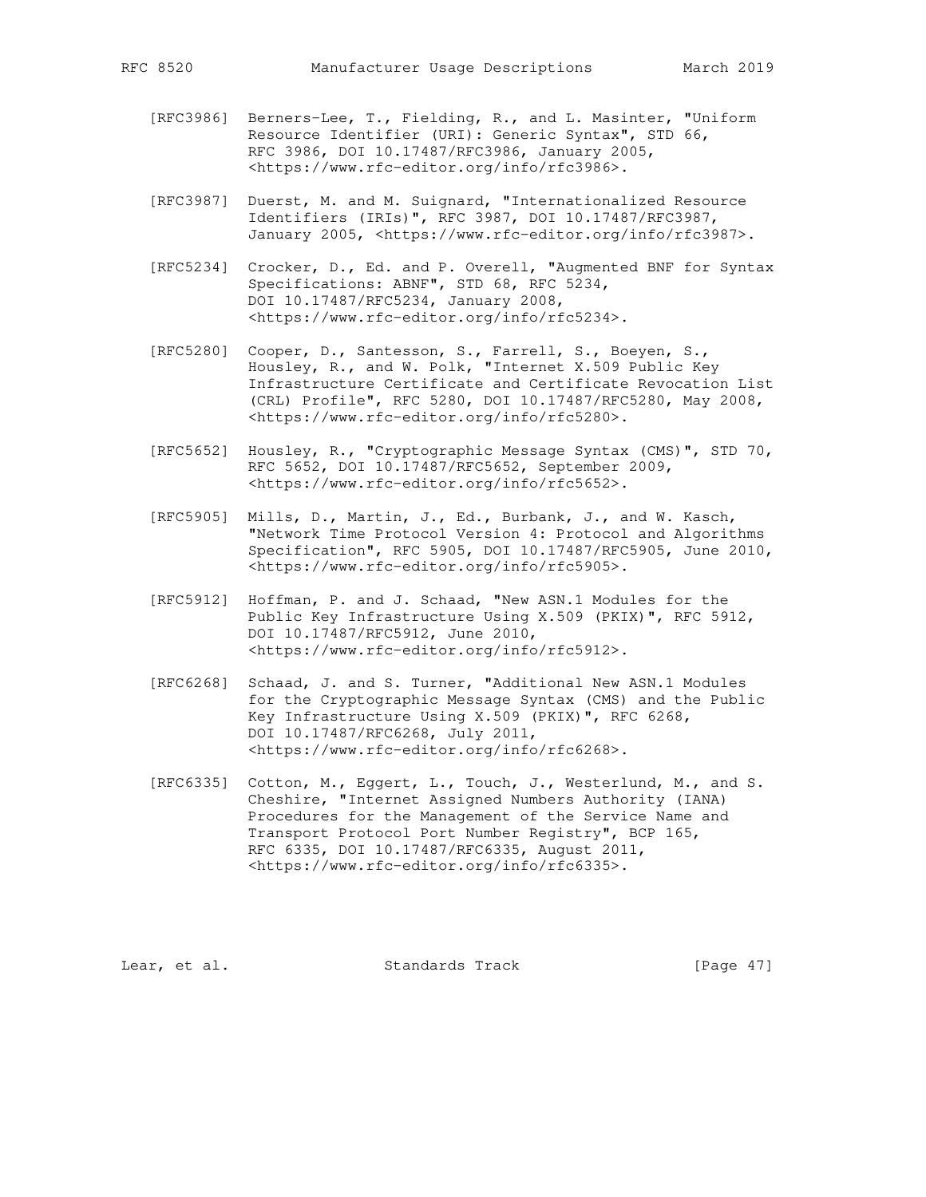- [RFC3986] Berners-Lee, T., Fielding, R., and L. Masinter, "Uniform Resource Identifier (URI): Generic Syntax", STD 66, RFC 3986, DOI 10.17487/RFC3986, January 2005, <https://www.rfc-editor.org/info/rfc3986>.
- [RFC3987] Duerst, M. and M. Suignard, "Internationalized Resource Identifiers (IRIs)", RFC 3987, DOI 10.17487/RFC3987, January 2005, <https://www.rfc-editor.org/info/rfc3987>.
- [RFC5234] Crocker, D., Ed. and P. Overell, "Augmented BNF for Syntax Specifications: ABNF", STD 68, RFC 5234, DOI 10.17487/RFC5234, January 2008, <https://www.rfc-editor.org/info/rfc5234>.
- [RFC5280] Cooper, D., Santesson, S., Farrell, S., Boeyen, S., Housley, R., and W. Polk, "Internet X.509 Public Key Infrastructure Certificate and Certificate Revocation List (CRL) Profile", RFC 5280, DOI 10.17487/RFC5280, May 2008, <https://www.rfc-editor.org/info/rfc5280>.
- [RFC5652] Housley, R., "Cryptographic Message Syntax (CMS)", STD 70, RFC 5652, DOI 10.17487/RFC5652, September 2009, <https://www.rfc-editor.org/info/rfc5652>.
- [RFC5905] Mills, D., Martin, J., Ed., Burbank, J., and W. Kasch, "Network Time Protocol Version 4: Protocol and Algorithms Specification", RFC 5905, DOI 10.17487/RFC5905, June 2010, <https://www.rfc-editor.org/info/rfc5905>.
- [RFC5912] Hoffman, P. and J. Schaad, "New ASN.1 Modules for the Public Key Infrastructure Using X.509 (PKIX)", RFC 5912, DOI 10.17487/RFC5912, June 2010, <https://www.rfc-editor.org/info/rfc5912>.
- [RFC6268] Schaad, J. and S. Turner, "Additional New ASN.1 Modules for the Cryptographic Message Syntax (CMS) and the Public Key Infrastructure Using X.509 (PKIX)", RFC 6268, DOI 10.17487/RFC6268, July 2011, <https://www.rfc-editor.org/info/rfc6268>.
- [RFC6335] Cotton, M., Eggert, L., Touch, J., Westerlund, M., and S. Cheshire, "Internet Assigned Numbers Authority (IANA) Procedures for the Management of the Service Name and Transport Protocol Port Number Registry", BCP 165, RFC 6335, DOI 10.17487/RFC6335, August 2011, <https://www.rfc-editor.org/info/rfc6335>.

Lear, et al. Standards Track [Page 47]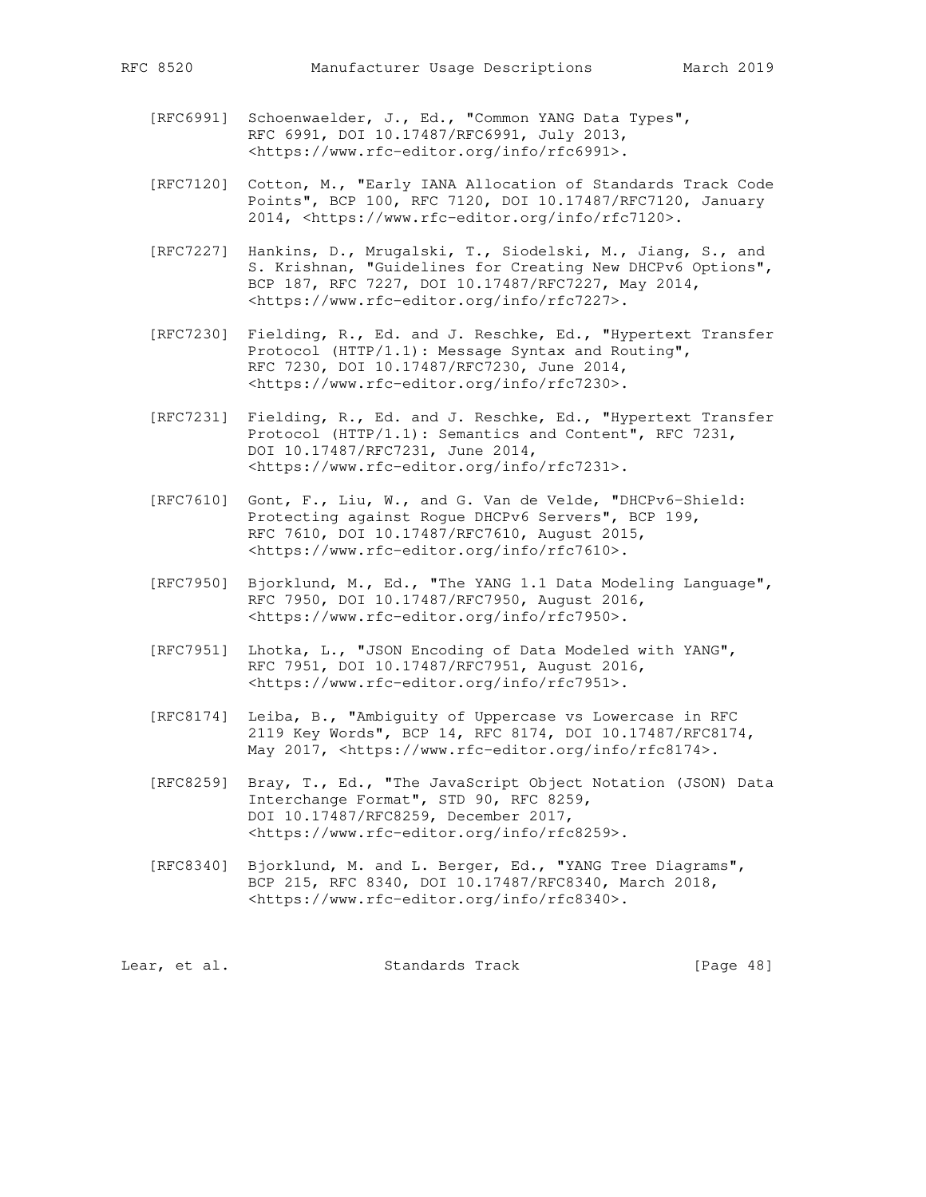- - [RFC6991] Schoenwaelder, J., Ed., "Common YANG Data Types", RFC 6991, DOI 10.17487/RFC6991, July 2013, <https://www.rfc-editor.org/info/rfc6991>.
	- [RFC7120] Cotton, M., "Early IANA Allocation of Standards Track Code Points", BCP 100, RFC 7120, DOI 10.17487/RFC7120, January 2014, <https://www.rfc-editor.org/info/rfc7120>.
	- [RFC7227] Hankins, D., Mrugalski, T., Siodelski, M., Jiang, S., and S. Krishnan, "Guidelines for Creating New DHCPv6 Options", BCP 187, RFC 7227, DOI 10.17487/RFC7227, May 2014, <https://www.rfc-editor.org/info/rfc7227>.
	- [RFC7230] Fielding, R., Ed. and J. Reschke, Ed., "Hypertext Transfer Protocol (HTTP/1.1): Message Syntax and Routing", RFC 7230, DOI 10.17487/RFC7230, June 2014, <https://www.rfc-editor.org/info/rfc7230>.
	- [RFC7231] Fielding, R., Ed. and J. Reschke, Ed., "Hypertext Transfer Protocol (HTTP/1.1): Semantics and Content", RFC 7231, DOI 10.17487/RFC7231, June 2014, <https://www.rfc-editor.org/info/rfc7231>.
	- [RFC7610] Gont, F., Liu, W., and G. Van de Velde, "DHCPv6-Shield: Protecting against Rogue DHCPv6 Servers", BCP 199, RFC 7610, DOI 10.17487/RFC7610, August 2015, <https://www.rfc-editor.org/info/rfc7610>.
	- [RFC7950] Bjorklund, M., Ed., "The YANG 1.1 Data Modeling Language", RFC 7950, DOI 10.17487/RFC7950, August 2016, <https://www.rfc-editor.org/info/rfc7950>.
	- [RFC7951] Lhotka, L., "JSON Encoding of Data Modeled with YANG", RFC 7951, DOI 10.17487/RFC7951, August 2016, <https://www.rfc-editor.org/info/rfc7951>.
	- [RFC8174] Leiba, B., "Ambiguity of Uppercase vs Lowercase in RFC 2119 Key Words", BCP 14, RFC 8174, DOI 10.17487/RFC8174, May 2017, <https://www.rfc-editor.org/info/rfc8174>.
	- [RFC8259] Bray, T., Ed., "The JavaScript Object Notation (JSON) Data Interchange Format", STD 90, RFC 8259, DOI 10.17487/RFC8259, December 2017, <https://www.rfc-editor.org/info/rfc8259>.
	- [RFC8340] Bjorklund, M. and L. Berger, Ed., "YANG Tree Diagrams", BCP 215, RFC 8340, DOI 10.17487/RFC8340, March 2018, <https://www.rfc-editor.org/info/rfc8340>.

| [Page 48]<br>Standards Track<br>Lear, et al. |  |  |  |  |
|----------------------------------------------|--|--|--|--|
|----------------------------------------------|--|--|--|--|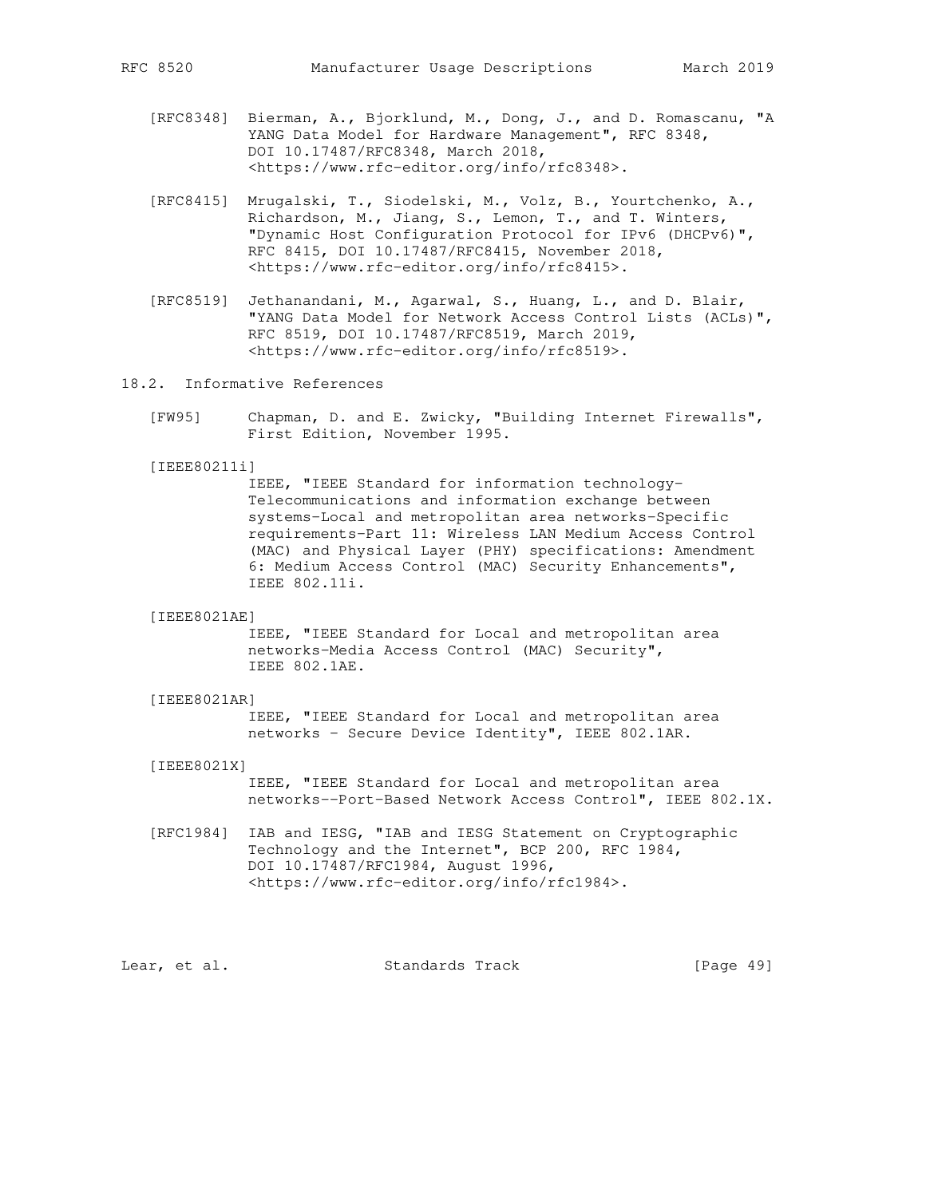- [RFC8348] Bierman, A., Bjorklund, M., Dong, J., and D. Romascanu, "A YANG Data Model for Hardware Management", RFC 8348, DOI 10.17487/RFC8348, March 2018, <https://www.rfc-editor.org/info/rfc8348>.
- [RFC8415] Mrugalski, T., Siodelski, M., Volz, B., Yourtchenko, A., Richardson, M., Jiang, S., Lemon, T., and T. Winters, "Dynamic Host Configuration Protocol for IPv6 (DHCPv6)", RFC 8415, DOI 10.17487/RFC8415, November 2018, <https://www.rfc-editor.org/info/rfc8415>.
- [RFC8519] Jethanandani, M., Agarwal, S., Huang, L., and D. Blair, "YANG Data Model for Network Access Control Lists (ACLs)", RFC 8519, DOI 10.17487/RFC8519, March 2019, <https://www.rfc-editor.org/info/rfc8519>.
- 18.2. Informative References
	- [FW95] Chapman, D. and E. Zwicky, "Building Internet Firewalls", First Edition, November 1995.

### [IEEE80211i]

 IEEE, "IEEE Standard for information technology- Telecommunications and information exchange between systems-Local and metropolitan area networks-Specific requirements-Part 11: Wireless LAN Medium Access Control (MAC) and Physical Layer (PHY) specifications: Amendment 6: Medium Access Control (MAC) Security Enhancements", IEEE 802.11i.

# [IEEE8021AE]

 IEEE, "IEEE Standard for Local and metropolitan area networks-Media Access Control (MAC) Security", IEEE 802.1AE.

#### [IEEE8021AR]

 IEEE, "IEEE Standard for Local and metropolitan area networks - Secure Device Identity", IEEE 802.1AR.

## [IEEE8021X]

 IEEE, "IEEE Standard for Local and metropolitan area networks--Port-Based Network Access Control", IEEE 802.1X.

 [RFC1984] IAB and IESG, "IAB and IESG Statement on Cryptographic Technology and the Internet", BCP 200, RFC 1984, DOI 10.17487/RFC1984, August 1996, <https://www.rfc-editor.org/info/rfc1984>.

Lear, et al. Standards Track [Page 49]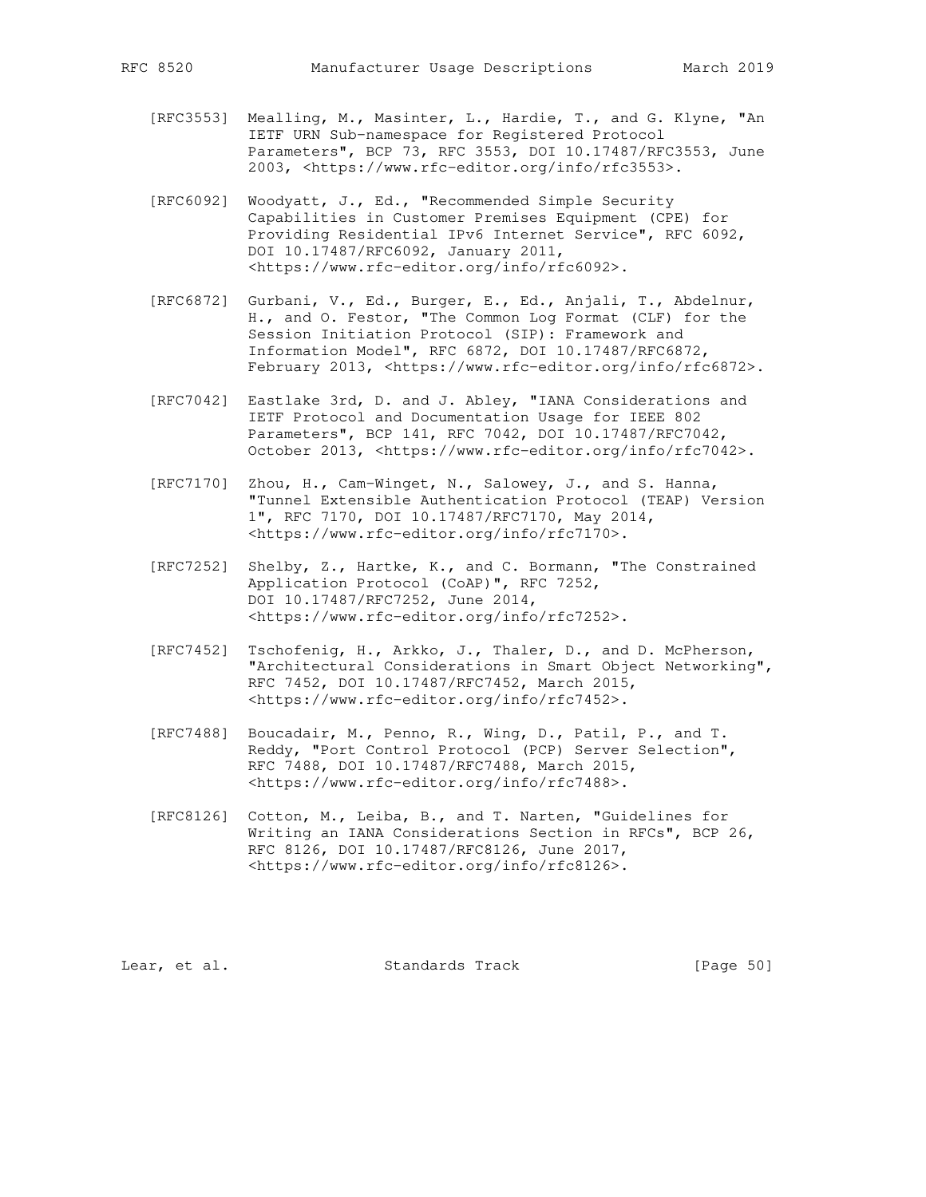- [RFC3553] Mealling, M., Masinter, L., Hardie, T., and G. Klyne, "An IETF URN Sub-namespace for Registered Protocol Parameters", BCP 73, RFC 3553, DOI 10.17487/RFC3553, June 2003, <https://www.rfc-editor.org/info/rfc3553>.
- [RFC6092] Woodyatt, J., Ed., "Recommended Simple Security Capabilities in Customer Premises Equipment (CPE) for Providing Residential IPv6 Internet Service", RFC 6092, DOI 10.17487/RFC6092, January 2011, <https://www.rfc-editor.org/info/rfc6092>.
- [RFC6872] Gurbani, V., Ed., Burger, E., Ed., Anjali, T., Abdelnur, H., and O. Festor, "The Common Log Format (CLF) for the Session Initiation Protocol (SIP): Framework and Information Model", RFC 6872, DOI 10.17487/RFC6872, February 2013, <https://www.rfc-editor.org/info/rfc6872>.
- [RFC7042] Eastlake 3rd, D. and J. Abley, "IANA Considerations and IETF Protocol and Documentation Usage for IEEE 802 Parameters", BCP 141, RFC 7042, DOI 10.17487/RFC7042, October 2013, <https://www.rfc-editor.org/info/rfc7042>.
- [RFC7170] Zhou, H., Cam-Winget, N., Salowey, J., and S. Hanna, "Tunnel Extensible Authentication Protocol (TEAP) Version 1", RFC 7170, DOI 10.17487/RFC7170, May 2014, <https://www.rfc-editor.org/info/rfc7170>.
- [RFC7252] Shelby, Z., Hartke, K., and C. Bormann, "The Constrained Application Protocol (CoAP)", RFC 7252, DOI 10.17487/RFC7252, June 2014, <https://www.rfc-editor.org/info/rfc7252>.
- [RFC7452] Tschofenig, H., Arkko, J., Thaler, D., and D. McPherson, "Architectural Considerations in Smart Object Networking", RFC 7452, DOI 10.17487/RFC7452, March 2015, <https://www.rfc-editor.org/info/rfc7452>.
- [RFC7488] Boucadair, M., Penno, R., Wing, D., Patil, P., and T. Reddy, "Port Control Protocol (PCP) Server Selection", RFC 7488, DOI 10.17487/RFC7488, March 2015, <https://www.rfc-editor.org/info/rfc7488>.
- [RFC8126] Cotton, M., Leiba, B., and T. Narten, "Guidelines for Writing an IANA Considerations Section in RFCs", BCP 26, RFC 8126, DOI 10.17487/RFC8126, June 2017, <https://www.rfc-editor.org/info/rfc8126>.

Lear, et al. Standards Track [Page 50]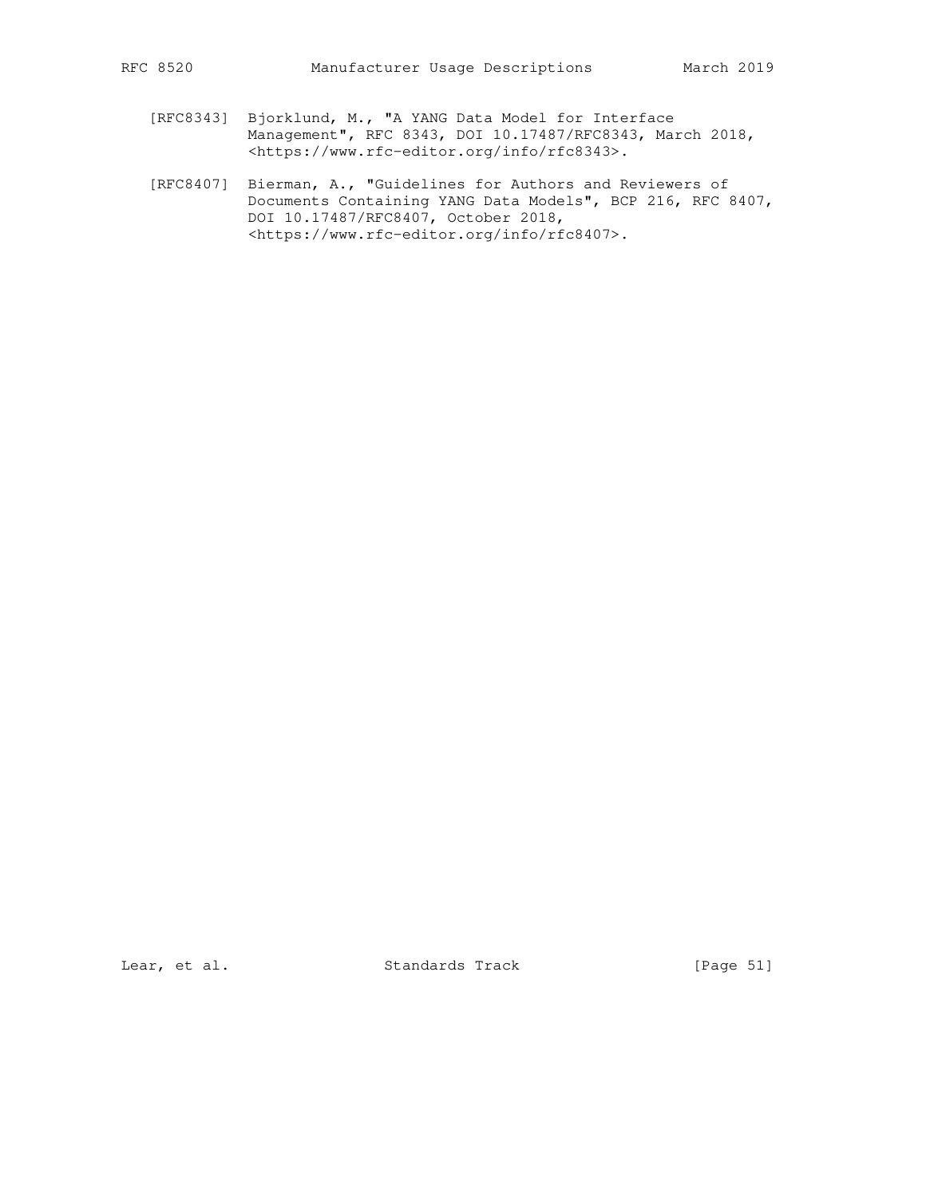- [RFC8343] Bjorklund, M., "A YANG Data Model for Interface Management", RFC 8343, DOI 10.17487/RFC8343, March 2018, <https://www.rfc-editor.org/info/rfc8343>.
- [RFC8407] Bierman, A., "Guidelines for Authors and Reviewers of Documents Containing YANG Data Models", BCP 216, RFC 8407, DOI 10.17487/RFC8407, October 2018, <https://www.rfc-editor.org/info/rfc8407>.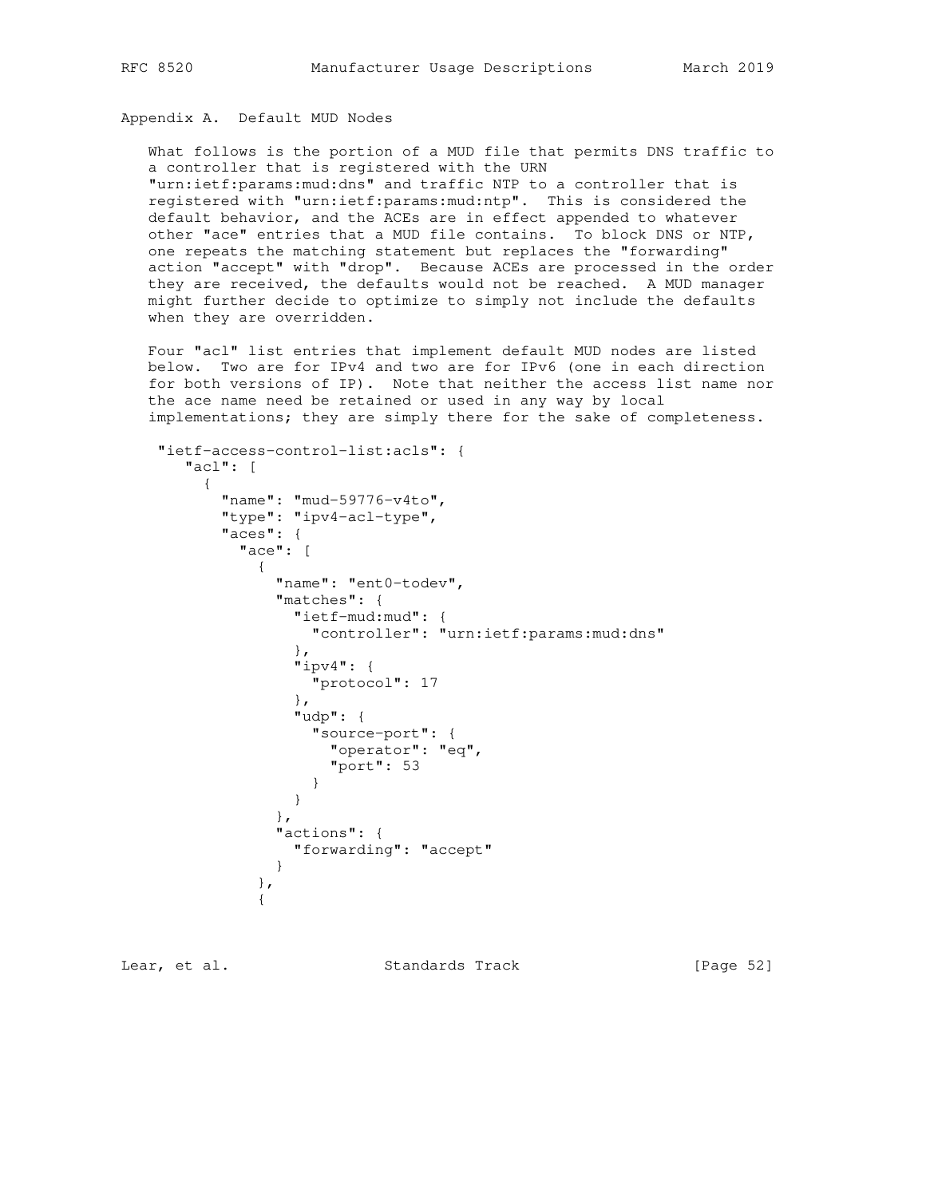# Appendix A. Default MUD Nodes

 What follows is the portion of a MUD file that permits DNS traffic to a controller that is registered with the URN "urn:ietf:params:mud:dns" and traffic NTP to a controller that is registered with "urn:ietf:params:mud:ntp". This is considered the default behavior, and the ACEs are in effect appended to whatever other "ace" entries that a MUD file contains. To block DNS or NTP, one repeats the matching statement but replaces the "forwarding" action "accept" with "drop". Because ACEs are processed in the order they are received, the defaults would not be reached. A MUD manager might further decide to optimize to simply not include the defaults when they are overridden.

 Four "acl" list entries that implement default MUD nodes are listed below. Two are for IPv4 and two are for IPv6 (one in each direction for both versions of IP). Note that neither the access list name nor the ace name need be retained or used in any way by local implementations; they are simply there for the sake of completeness.

```
 "ietf-access-control-list:acls": {
      "acl": [
\overline{\mathcal{A}} "name": "mud-59776-v4to",
          "type": "ipv4-acl-type",
          "aces": {
           "ace": [
 {
               "name": "ent0-todev",
               "matches": {
                 "ietf-mud:mud": {
                  "controller": "urn:ietf:params:mud:dns"
 },
                 "ipv4": {
                  "protocol": 17
 },
                 "udp": {
                 "source-port": {
                   "operator": "eq",
                    "port": 53
 }
 }
               },
               "actions": {
                "forwarding": "accept"
 }
             },
 {
```
Lear, et al. Standards Track [Page 52]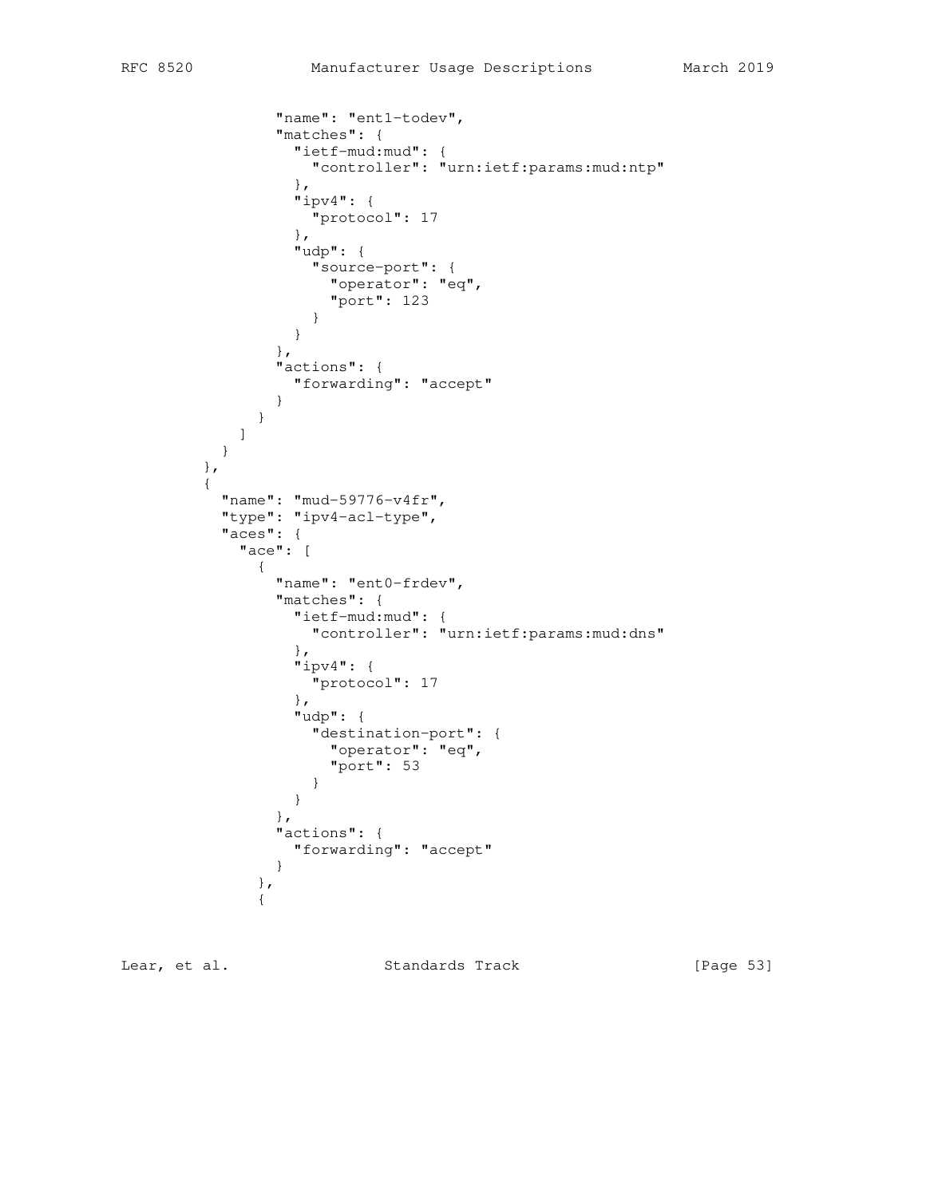```
 "name": "ent1-todev",
              "matches": {
                "ietf-mud:mud": {
                 "controller": "urn:ietf:params:mud:ntp"
                },
                "ipv4": {
                 "protocol": 17
 },
                "udp": {
                 "source-port": {
                  "operator": "eq",
                  "port": 123
 }
 }
              },
              "actions": {
                "forwarding": "accept"
 }
 }
 ]
 }
        },
\overline{\mathcal{A}} "name": "mud-59776-v4fr",
         "type": "ipv4-acl-type",
         "aces": {
           "ace": [
 {
              "name": "ent0-frdev",
              "matches": {
                "ietf-mud:mud": {
                 "controller": "urn:ietf:params:mud:dns"
 },
                "ipv4": {
                 "protocol": 17
                },
                "udp": {
                 "destination-port": {
                  "operator": "eq",
                 "port": 53
 }
 }
              },
              "actions": {
               "forwarding": "accept"
 }
             },
 {
```
Lear, et al. Standards Track [Page 53]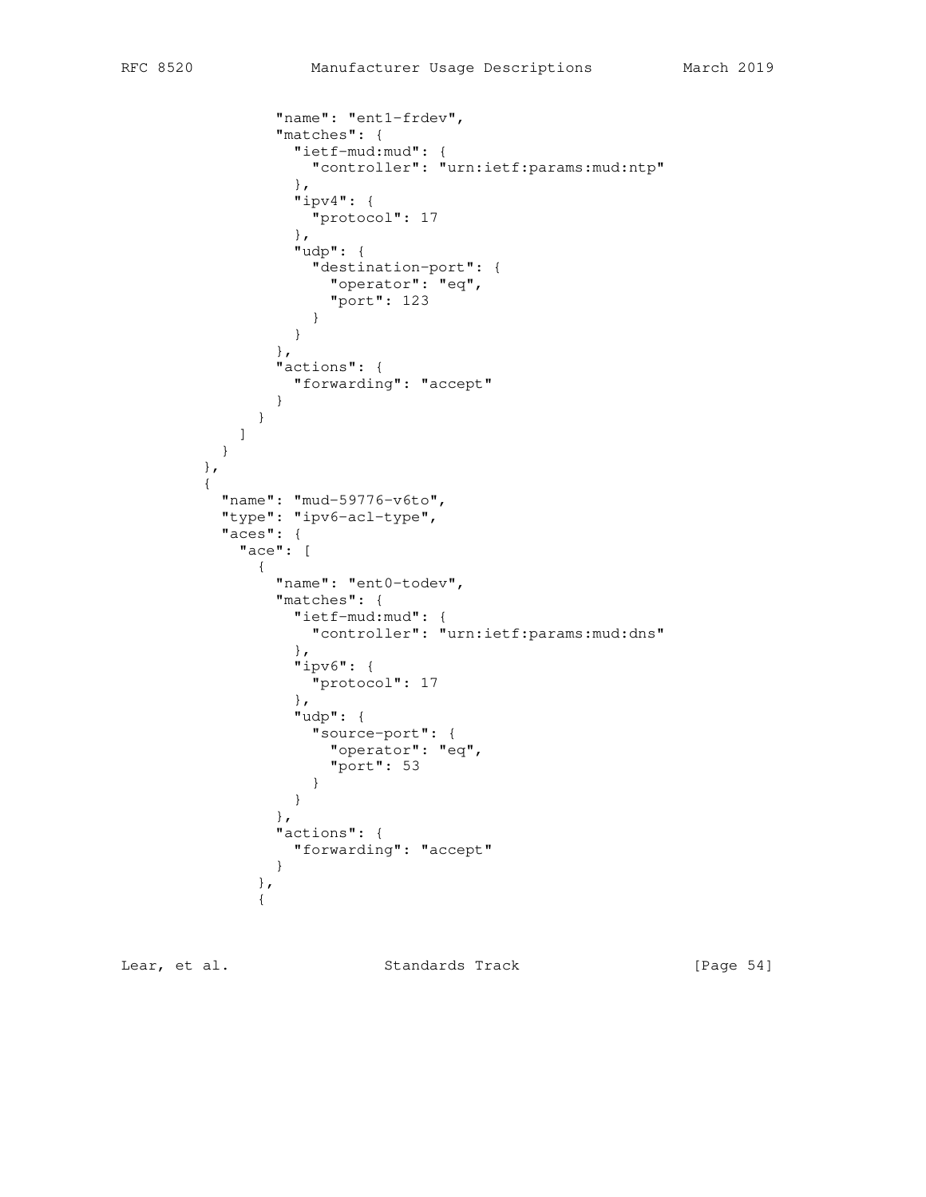```
 "name": "ent1-frdev",
              "matches": {
                "ietf-mud:mud": {
                 "controller": "urn:ietf:params:mud:ntp"
                },
                "ipv4": {
                 "protocol": 17
 },
                "udp": {
                 "destination-port": {
                   "operator": "eq",
                  "port": 123
 }
 }
              },
              "actions": {
                "forwarding": "accept"
 }
 }
 ]
 }
        },
\overline{\mathcal{A}} "name": "mud-59776-v6to",
         "type": "ipv6-acl-type",
         "aces": {
           "ace": [
 {
              "name": "ent0-todev",
              "matches": {
                "ietf-mud:mud": {
                 "controller": "urn:ietf:params:mud:dns"
 },
                "ipv6": {
                 "protocol": 17
                },
                "udp": {
                "source-port": {
                  "operator": "eq",
                   "port": 53
 }
 }
              },
              "actions": {
               "forwarding": "accept"
 }
             },
 {
```
Lear, et al. Standards Track [Page 54]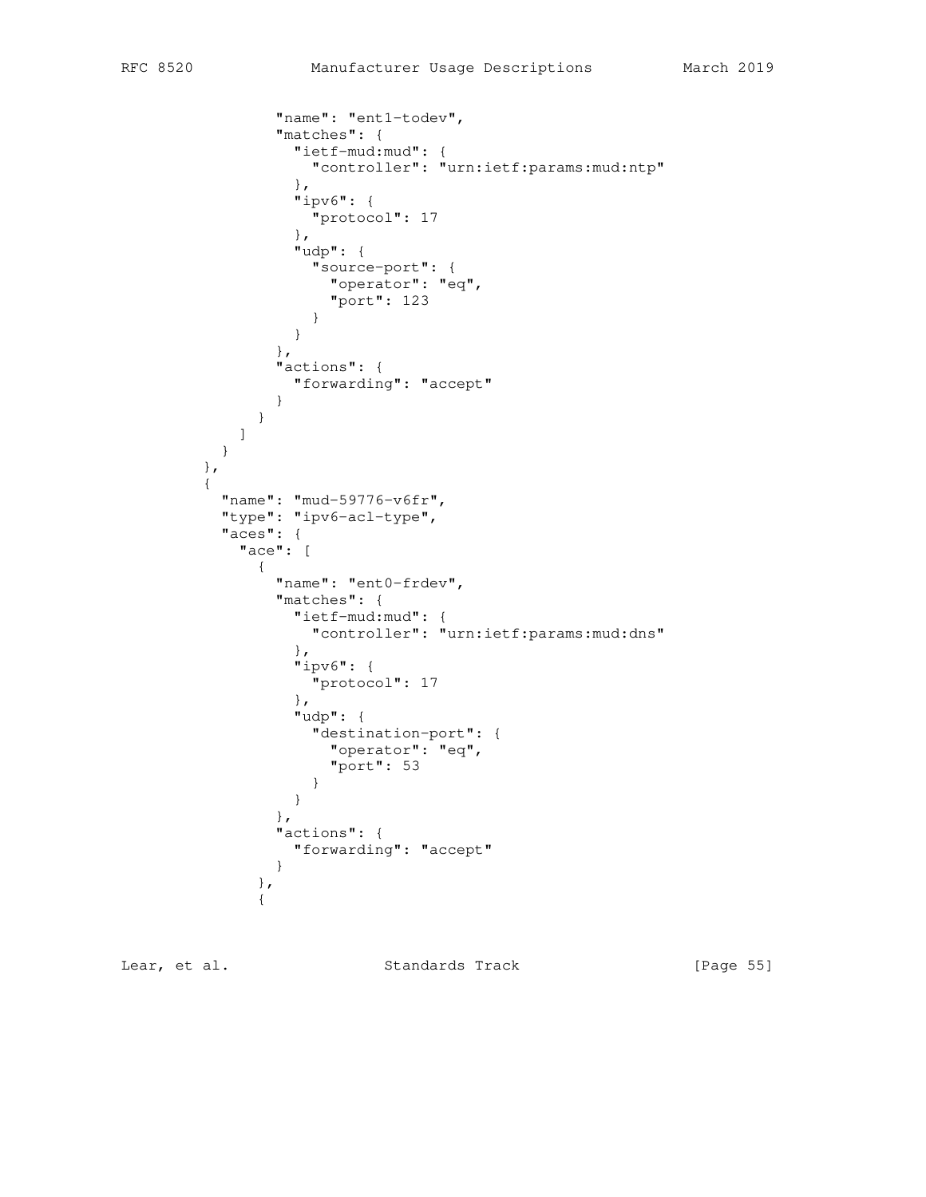```
 "name": "ent1-todev",
              "matches": {
                "ietf-mud:mud": {
                 "controller": "urn:ietf:params:mud:ntp"
                },
                "ipv6": {
                 "protocol": 17
 },
                "udp": {
                 "source-port": {
                  "operator": "eq",
                  "port": 123
 }
 }
              },
              "actions": {
                "forwarding": "accept"
 }
 }
 ]
 }
        },
\overline{\mathcal{A}} "name": "mud-59776-v6fr",
         "type": "ipv6-acl-type",
         "aces": {
           "ace": [
 {
              "name": "ent0-frdev",
              "matches": {
                "ietf-mud:mud": {
                 "controller": "urn:ietf:params:mud:dns"
 },
                "ipv6": {
                 "protocol": 17
                },
                "udp": {
                 "destination-port": {
                  "operator": "eq",
                 "port": 53
 }
 }
              },
              "actions": {
               "forwarding": "accept"
 }
             },
 {
```
Lear, et al. Standards Track [Page 55]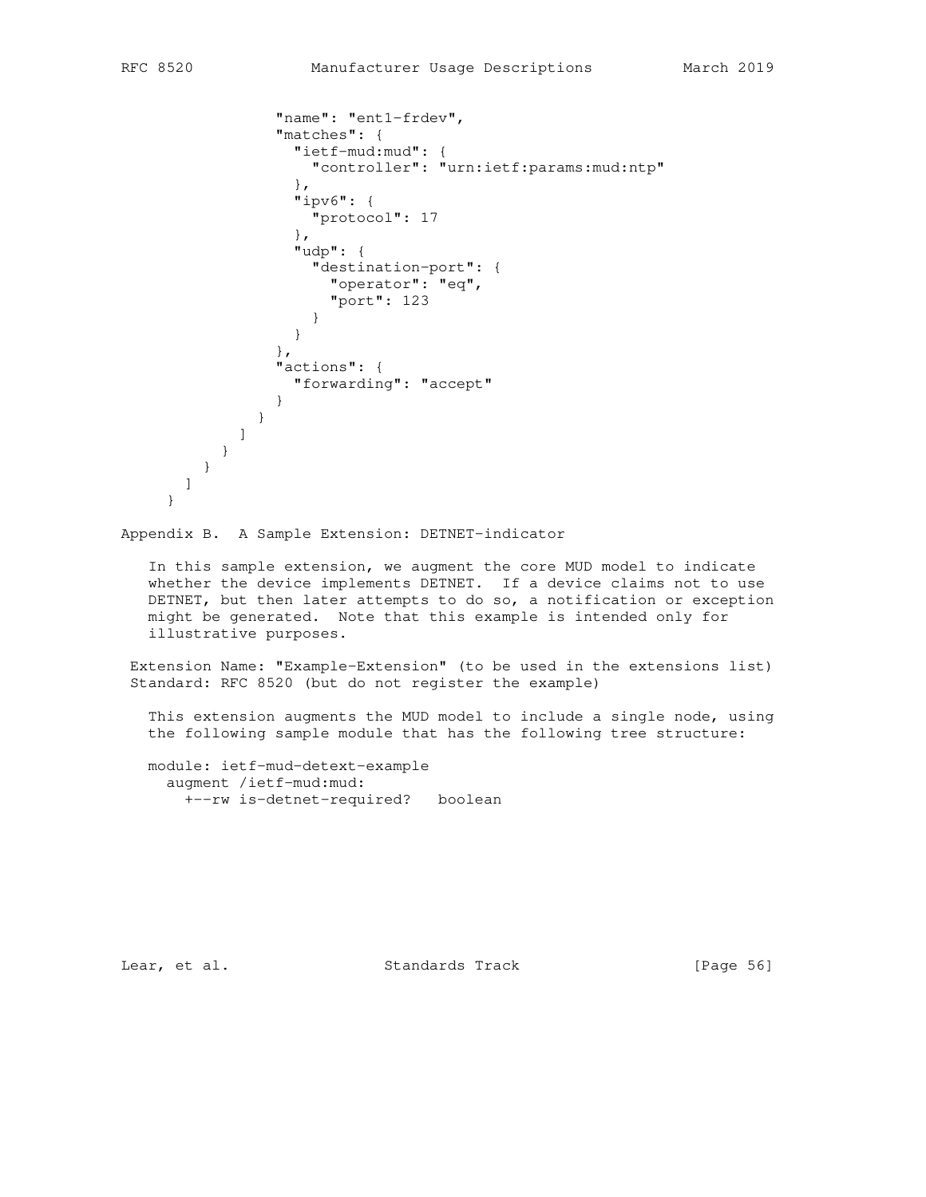```
 "name": "ent1-frdev",
             "matches": {
               "ietf-mud:mud": {
                "controller": "urn:ietf:params:mud:ntp"
 },
               "ipv6": {
                "protocol": 17
 },
               "udp": {
                "destination-port": {
                 "operator": "eq",
                 "port": 123
 }
 }
 },
             "actions": {
               "forwarding": "accept"
 }
 }
          ]
        }
       }
     ]
    }
```
Appendix B. A Sample Extension: DETNET-indicator

 In this sample extension, we augment the core MUD model to indicate whether the device implements DETNET. If a device claims not to use DETNET, but then later attempts to do so, a notification or exception might be generated. Note that this example is intended only for illustrative purposes.

 Extension Name: "Example-Extension" (to be used in the extensions list) Standard: RFC 8520 (but do not register the example)

 This extension augments the MUD model to include a single node, using the following sample module that has the following tree structure:

 module: ietf-mud-detext-example augment /ietf-mud:mud: +--rw is-detnet-required? boolean

Lear, et al. Standards Track [Page 56]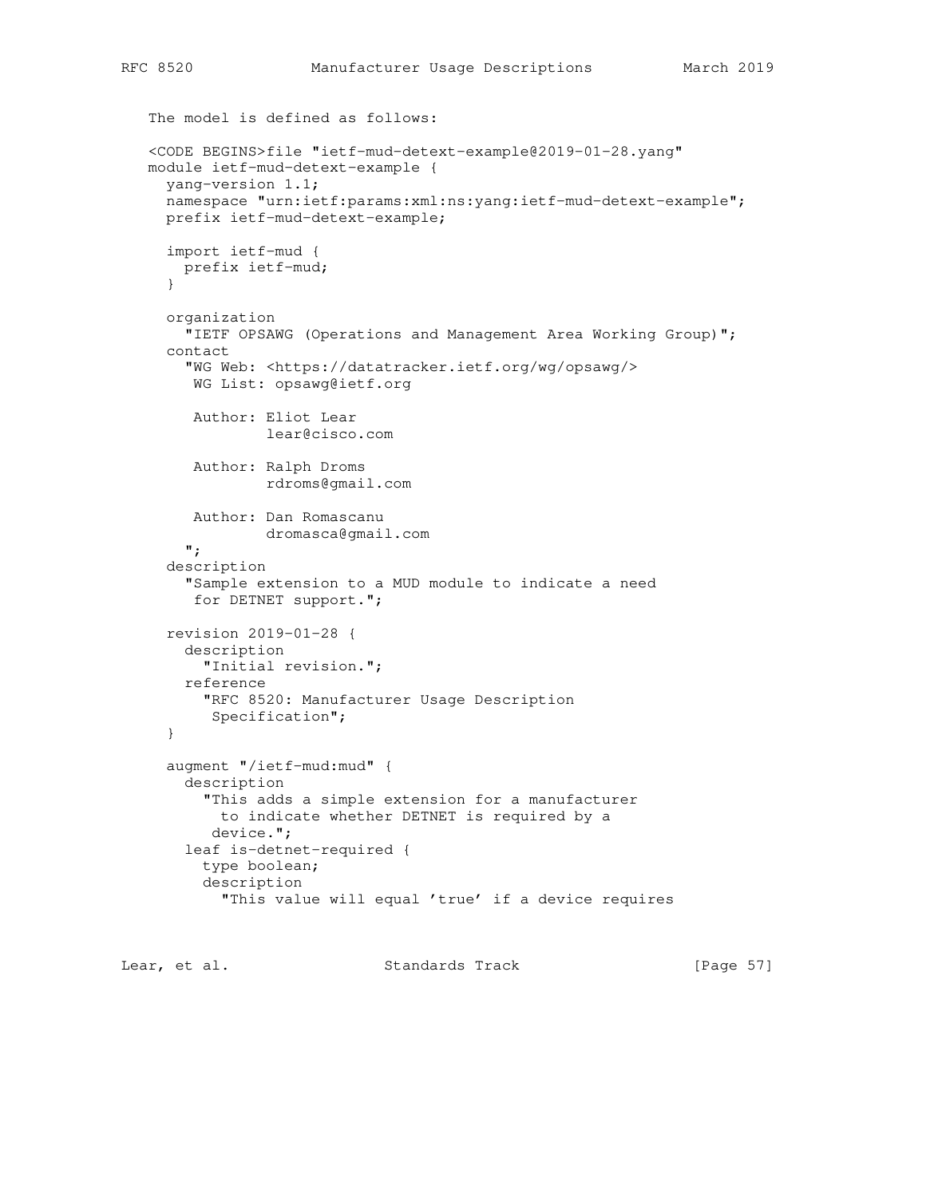```
 The model is defined as follows:
 <CODE BEGINS>file "ietf-mud-detext-example@2019-01-28.yang"
 module ietf-mud-detext-example {
   yang-version 1.1;
  namespace "urn:ietf:params:xml:ns:yang:ietf-mud-detext-example";
  prefix ietf-mud-detext-example;
   import ietf-mud {
    prefix ietf-mud;
   }
   organization
    "IETF OPSAWG (Operations and Management Area Working Group)";
   contact
     "WG Web: <https://datatracker.ietf.org/wg/opsawg/>
      WG List: opsawg@ietf.org
      Author: Eliot Lear
              lear@cisco.com
      Author: Ralph Droms
              rdroms@gmail.com
      Author: Dan Romascanu
              dromasca@gmail.com
     ";
   description
     "Sample extension to a MUD module to indicate a need
      for DETNET support.";
   revision 2019-01-28 {
     description
       "Initial revision.";
     reference
       "RFC 8520: Manufacturer Usage Description
        Specification";
   }
   augment "/ietf-mud:mud" {
     description
       "This adds a simple extension for a manufacturer
        to indicate whether DETNET is required by a
        device.";
     leaf is-detnet-required {
       type boolean;
       description
         "This value will equal 'true' if a device requires
```
Lear, et al. Standards Track [Page 57]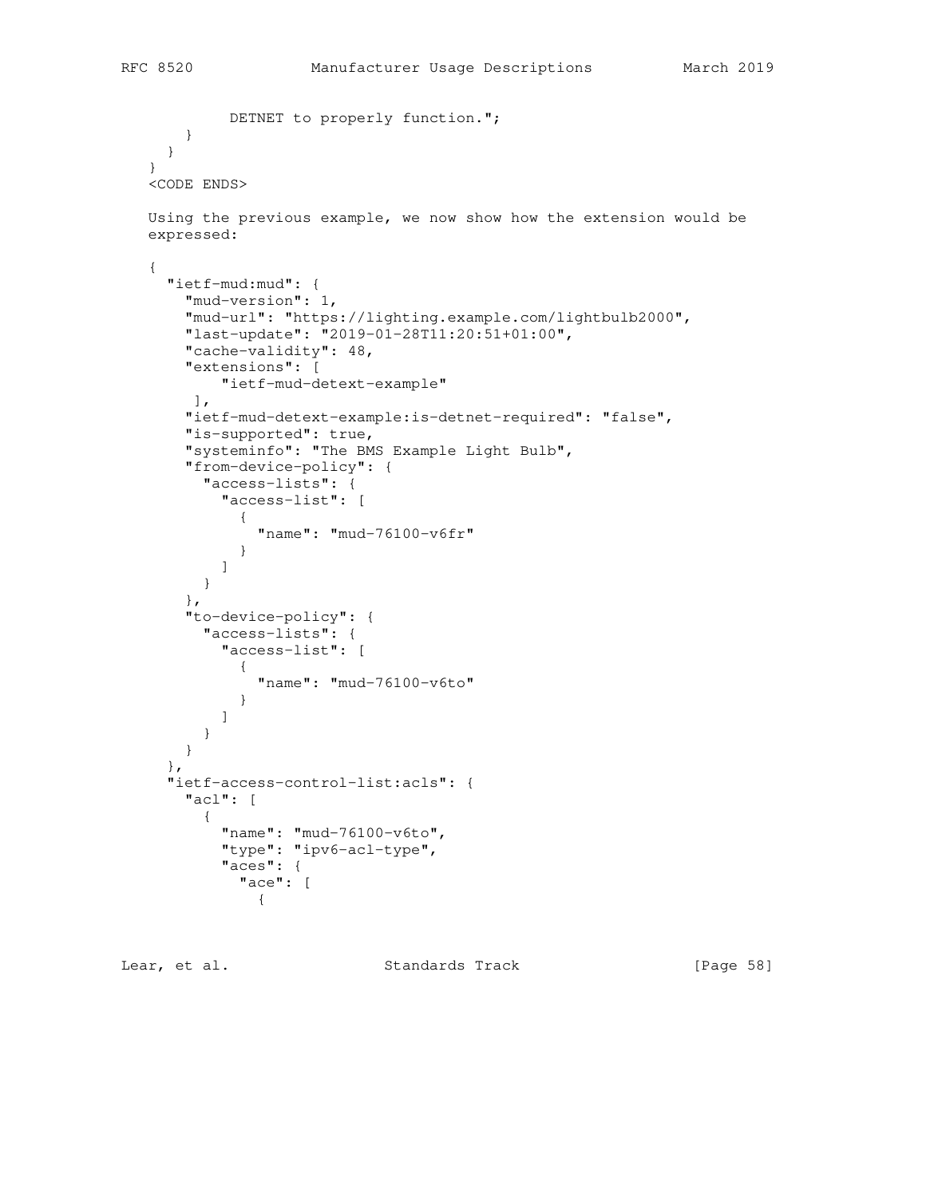```
DETNET to properly function.";
       }
     }
   }
   <CODE ENDS>
   Using the previous example, we now show how the extension would be
   expressed:
   {
     "ietf-mud:mud": {
       "mud-version": 1,
        "mud-url": "https://lighting.example.com/lightbulb2000",
        "last-update": "2019-01-28T11:20:51+01:00",
        "cache-validity": 48,
        "extensions": [
           "ietf-mud-detext-example"
        ],
        "ietf-mud-detext-example:is-detnet-required": "false",
        "is-supported": true,
        "systeminfo": "The BMS Example Light Bulb",
        "from-device-policy": {
          "access-lists": {
            "access-list": [
 {
                "name": "mud-76100-v6fr"
 }
          \lceil }
        },
        "to-device-policy": {
         "access-lists": {
           "access-list": [
 {
                "name": "mud-76100-v6to"
 }
           ]
          }
       }
     },
      "ietf-access-control-list:acls": {
       "acl": [
\overline{\mathcal{L}} "name": "mud-76100-v6to",
            "type": "ipv6-acl-type",
            "aces": {
              "ace": [
               {
```
Lear, et al. Standards Track [Page 58]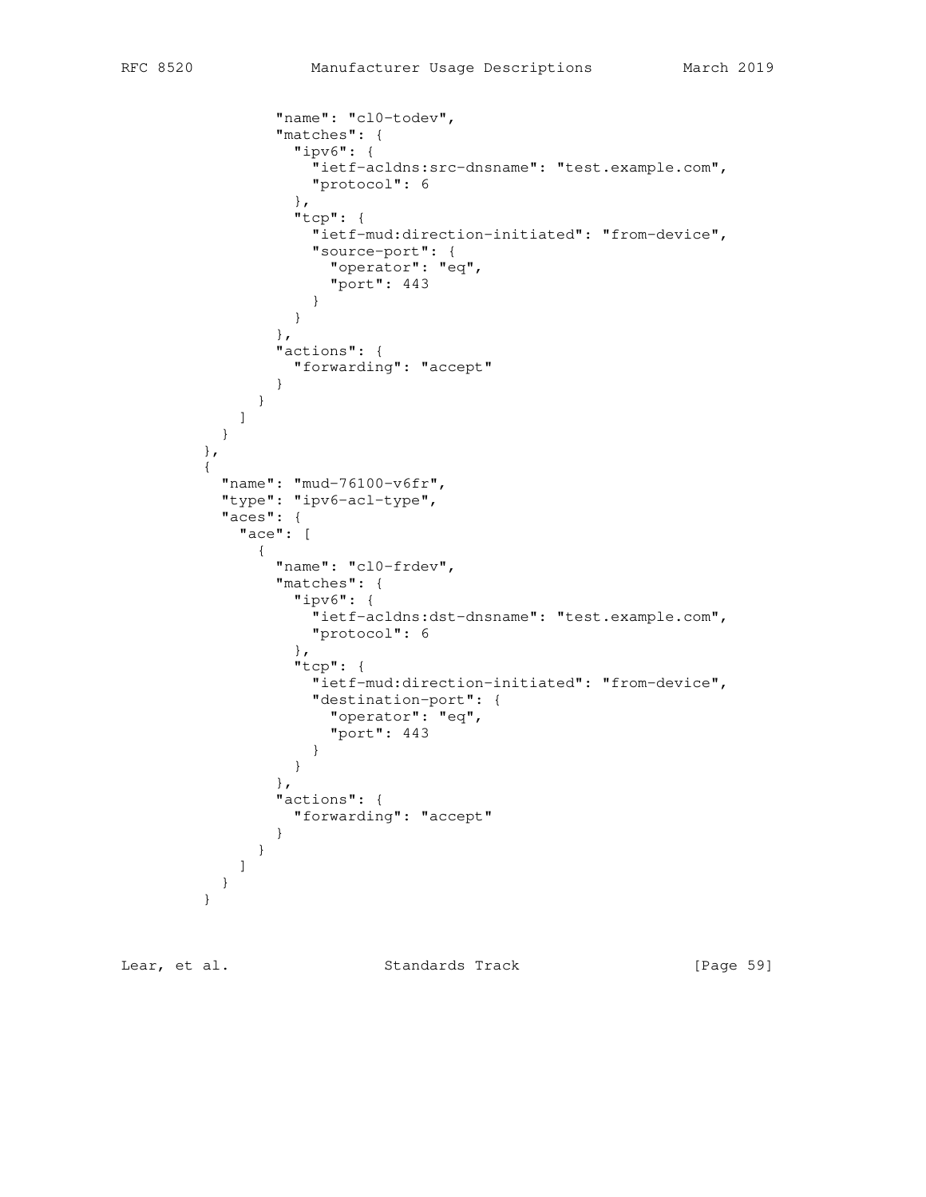```
 "name": "cl0-todev",
              "matches": {
                "ipv6": {
                 "ietf-acldns:src-dnsname": "test.example.com",
                  "protocol": 6
 },
                "tcp": {
                 "ietf-mud:direction-initiated": "from-device",
                 "source-port": {
                  "operator": "eq",
                   "port": 443
 }
 }
              },
              "actions": {
               "forwarding": "accept"
 }
 }
 ]
         }
        },
\overline{\mathcal{L}} "name": "mud-76100-v6fr",
         "type": "ipv6-acl-type",
          "aces": {
           "ace": [
 {
              "name": "cl0-frdev",
              "matches": {
                "ipv6": {
                 "ietf-acldns:dst-dnsname": "test.example.com",
                 "protocol": 6
 },
                "tcp": {
                  "ietf-mud:direction-initiated": "from-device",
                  "destination-port": {
                  "operator": "eq",
                 "port": 443
 }
 }
              },
              "actions": {
                "forwarding": "accept"
 }
 }
 ]
       }<br>}
 }
```
Lear, et al. Standards Track [Page 59]